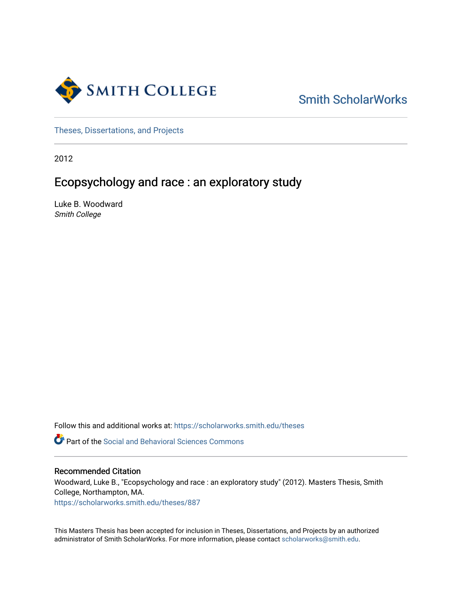

[Smith ScholarWorks](https://scholarworks.smith.edu/) 

[Theses, Dissertations, and Projects](https://scholarworks.smith.edu/theses) 

2012

# Ecopsychology and race : an exploratory study

Luke B. Woodward Smith College

Follow this and additional works at: [https://scholarworks.smith.edu/theses](https://scholarworks.smith.edu/theses?utm_source=scholarworks.smith.edu%2Ftheses%2F887&utm_medium=PDF&utm_campaign=PDFCoverPages) 

**C** Part of the Social and Behavioral Sciences Commons

## Recommended Citation

Woodward, Luke B., "Ecopsychology and race : an exploratory study" (2012). Masters Thesis, Smith College, Northampton, MA.

[https://scholarworks.smith.edu/theses/887](https://scholarworks.smith.edu/theses/887?utm_source=scholarworks.smith.edu%2Ftheses%2F887&utm_medium=PDF&utm_campaign=PDFCoverPages) 

This Masters Thesis has been accepted for inclusion in Theses, Dissertations, and Projects by an authorized administrator of Smith ScholarWorks. For more information, please contact [scholarworks@smith.edu](mailto:scholarworks@smith.edu).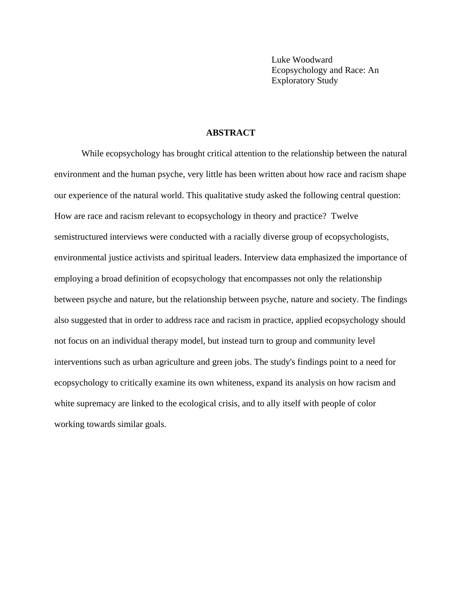Luke Woodward Ecopsychology and Race: An Exploratory Study

## **ABSTRACT**

While ecopsychology has brought critical attention to the relationship between the natural environment and the human psyche, very little has been written about how race and racism shape our experience of the natural world. This qualitative study asked the following central question: How are race and racism relevant to ecopsychology in theory and practice? Twelve semistructured interviews were conducted with a racially diverse group of ecopsychologists, environmental justice activists and spiritual leaders. Interview data emphasized the importance of employing a broad definition of ecopsychology that encompasses not only the relationship between psyche and nature, but the relationship between psyche, nature and society. The findings also suggested that in order to address race and racism in practice, applied ecopsychology should not focus on an individual therapy model, but instead turn to group and community level interventions such as urban agriculture and green jobs. The study's findings point to a need for ecopsychology to critically examine its own whiteness, expand its analysis on how racism and white supremacy are linked to the ecological crisis, and to ally itself with people of color working towards similar goals.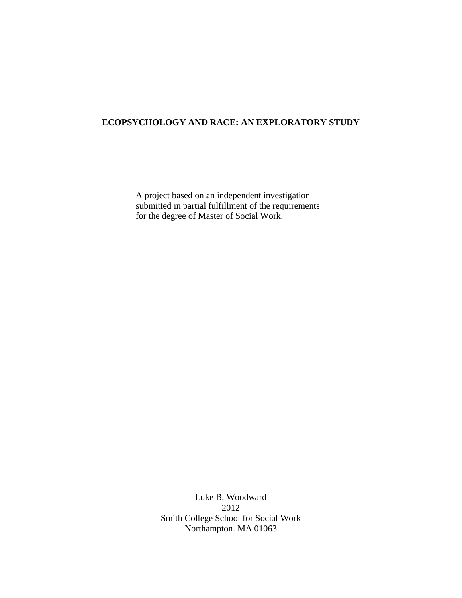## **ECOPSYCHOLOGY AND RACE: AN EXPLORATORY STUDY**

A project based on an independent investigation submitted in partial fulfillment of the requirements for the degree of Master of Social Work.

> Luke B. Woodward 2012 Smith College School for Social Work Northampton. MA 01063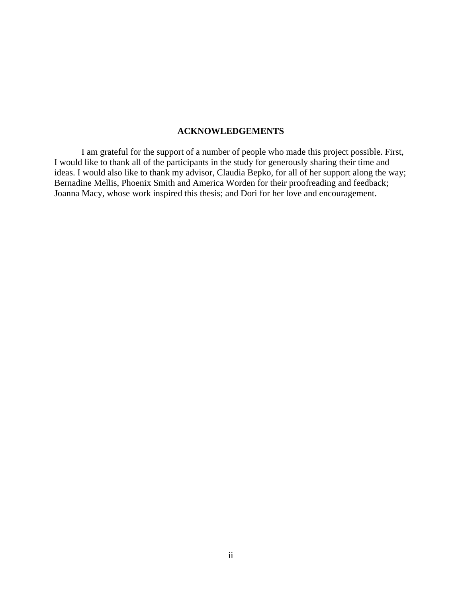## **ACKNOWLEDGEMENTS**

 I am grateful for the support of a number of people who made this project possible. First, I would like to thank all of the participants in the study for generously sharing their time and ideas. I would also like to thank my advisor, Claudia Bepko, for all of her support along the way; Bernadine Mellis, Phoenix Smith and America Worden for their proofreading and feedback; Joanna Macy, whose work inspired this thesis; and Dori for her love and encouragement.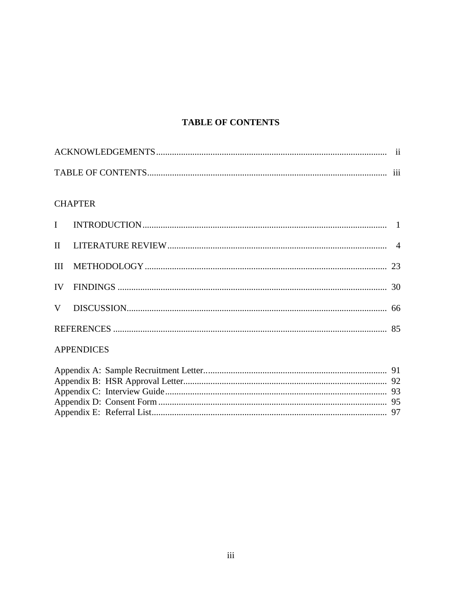# **TABLE OF CONTENTS**

## **CHAPTER**

## **APPENDICES**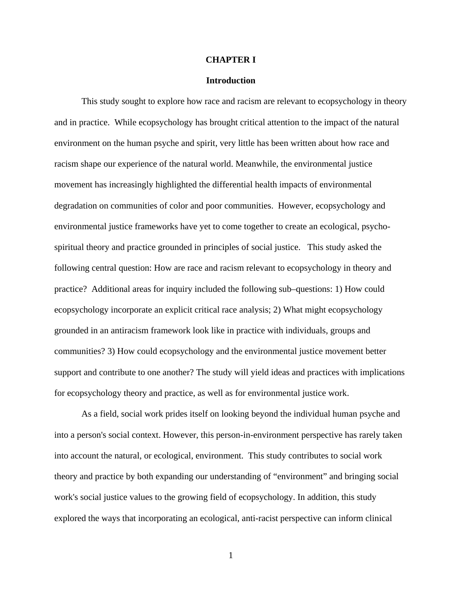#### **CHAPTER I**

#### **Introduction**

This study sought to explore how race and racism are relevant to ecopsychology in theory and in practice. While ecopsychology has brought critical attention to the impact of the natural environment on the human psyche and spirit, very little has been written about how race and racism shape our experience of the natural world. Meanwhile, the environmental justice movement has increasingly highlighted the differential health impacts of environmental degradation on communities of color and poor communities. However, ecopsychology and environmental justice frameworks have yet to come together to create an ecological, psychospiritual theory and practice grounded in principles of social justice. This study asked the following central question: How are race and racism relevant to ecopsychology in theory and practice? Additional areas for inquiry included the following sub–questions: 1) How could ecopsychology incorporate an explicit critical race analysis; 2) What might ecopsychology grounded in an antiracism framework look like in practice with individuals, groups and communities? 3) How could ecopsychology and the environmental justice movement better support and contribute to one another? The study will yield ideas and practices with implications for ecopsychology theory and practice, as well as for environmental justice work.

As a field, social work prides itself on looking beyond the individual human psyche and into a person's social context. However, this person-in-environment perspective has rarely taken into account the natural, or ecological, environment. This study contributes to social work theory and practice by both expanding our understanding of "environment" and bringing social work's social justice values to the growing field of ecopsychology. In addition, this study explored the ways that incorporating an ecological, anti-racist perspective can inform clinical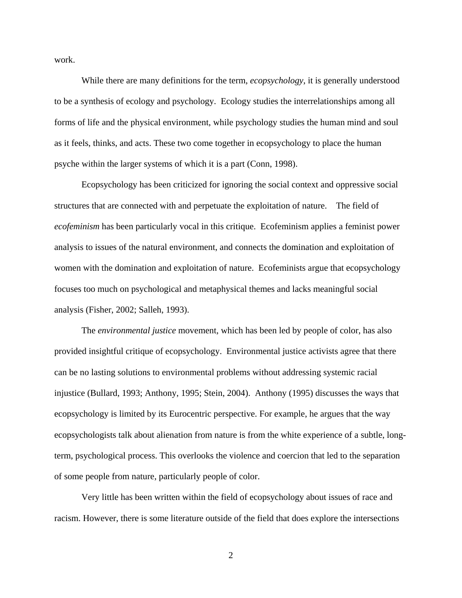work.

While there are many definitions for the term, *ecopsychology*, it is generally understood to be a synthesis of ecology and psychology. Ecology studies the interrelationships among all forms of life and the physical environment, while psychology studies the human mind and soul as it feels, thinks, and acts. These two come together in ecopsychology to place the human psyche within the larger systems of which it is a part (Conn, 1998).

Ecopsychology has been criticized for ignoring the social context and oppressive social structures that are connected with and perpetuate the exploitation of nature. The field of *ecofeminism* has been particularly vocal in this critique. Ecofeminism applies a feminist power analysis to issues of the natural environment, and connects the domination and exploitation of women with the domination and exploitation of nature. Ecofeminists argue that ecopsychology focuses too much on psychological and metaphysical themes and lacks meaningful social analysis (Fisher, 2002; Salleh, 1993).

The *environmental justice* movement, which has been led by people of color, has also provided insightful critique of ecopsychology. Environmental justice activists agree that there can be no lasting solutions to environmental problems without addressing systemic racial injustice (Bullard, 1993; Anthony, 1995; Stein, 2004). Anthony (1995) discusses the ways that ecopsychology is limited by its Eurocentric perspective. For example, he argues that the way ecopsychologists talk about alienation from nature is from the white experience of a subtle, longterm, psychological process. This overlooks the violence and coercion that led to the separation of some people from nature, particularly people of color.

Very little has been written within the field of ecopsychology about issues of race and racism. However, there is some literature outside of the field that does explore the intersections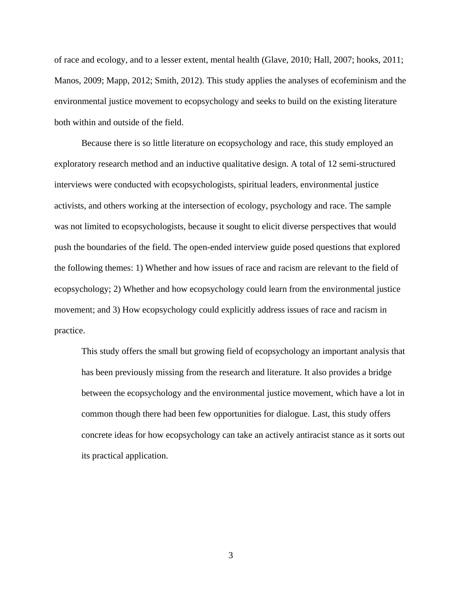of race and ecology, and to a lesser extent, mental health (Glave, 2010; Hall, 2007; hooks, 2011; Manos, 2009; Mapp, 2012; Smith, 2012). This study applies the analyses of ecofeminism and the environmental justice movement to ecopsychology and seeks to build on the existing literature both within and outside of the field.

Because there is so little literature on ecopsychology and race, this study employed an exploratory research method and an inductive qualitative design. A total of 12 semi-structured interviews were conducted with ecopsychologists, spiritual leaders, environmental justice activists, and others working at the intersection of ecology, psychology and race. The sample was not limited to ecopsychologists, because it sought to elicit diverse perspectives that would push the boundaries of the field. The open-ended interview guide posed questions that explored the following themes: 1) Whether and how issues of race and racism are relevant to the field of ecopsychology; 2) Whether and how ecopsychology could learn from the environmental justice movement; and 3) How ecopsychology could explicitly address issues of race and racism in practice.

This study offers the small but growing field of ecopsychology an important analysis that has been previously missing from the research and literature. It also provides a bridge between the ecopsychology and the environmental justice movement, which have a lot in common though there had been few opportunities for dialogue. Last, this study offers concrete ideas for how ecopsychology can take an actively antiracist stance as it sorts out its practical application.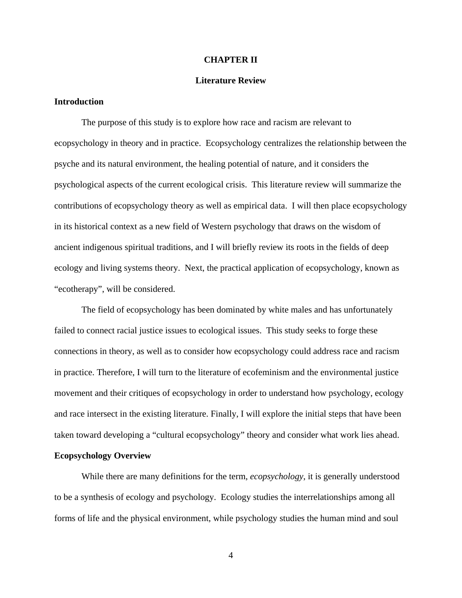#### **CHAPTER II**

## **Literature Review**

## **Introduction**

The purpose of this study is to explore how race and racism are relevant to ecopsychology in theory and in practice. Ecopsychology centralizes the relationship between the psyche and its natural environment, the healing potential of nature, and it considers the psychological aspects of the current ecological crisis. This literature review will summarize the contributions of ecopsychology theory as well as empirical data. I will then place ecopsychology in its historical context as a new field of Western psychology that draws on the wisdom of ancient indigenous spiritual traditions, and I will briefly review its roots in the fields of deep ecology and living systems theory. Next, the practical application of ecopsychology, known as "ecotherapy", will be considered.

The field of ecopsychology has been dominated by white males and has unfortunately failed to connect racial justice issues to ecological issues. This study seeks to forge these connections in theory, as well as to consider how ecopsychology could address race and racism in practice. Therefore, I will turn to the literature of ecofeminism and the environmental justice movement and their critiques of ecopsychology in order to understand how psychology, ecology and race intersect in the existing literature. Finally, I will explore the initial steps that have been taken toward developing a "cultural ecopsychology" theory and consider what work lies ahead. **Ecopsychology Overview** 

While there are many definitions for the term, *ecopsychology*, it is generally understood to be a synthesis of ecology and psychology. Ecology studies the interrelationships among all forms of life and the physical environment, while psychology studies the human mind and soul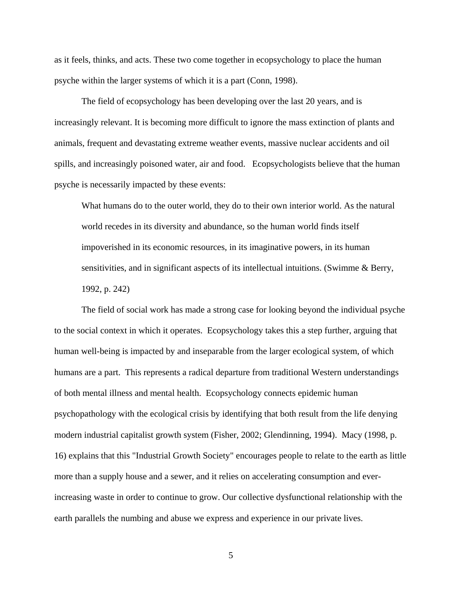as it feels, thinks, and acts. These two come together in ecopsychology to place the human psyche within the larger systems of which it is a part (Conn, 1998).

The field of ecopsychology has been developing over the last 20 years, and is increasingly relevant. It is becoming more difficult to ignore the mass extinction of plants and animals, frequent and devastating extreme weather events, massive nuclear accidents and oil spills, and increasingly poisoned water, air and food. Ecopsychologists believe that the human psyche is necessarily impacted by these events:

What humans do to the outer world, they do to their own interior world. As the natural world recedes in its diversity and abundance, so the human world finds itself impoverished in its economic resources, in its imaginative powers, in its human sensitivities, and in significant aspects of its intellectual intuitions. (Swimme & Berry, 1992, p. 242)

The field of social work has made a strong case for looking beyond the individual psyche to the social context in which it operates. Ecopsychology takes this a step further, arguing that human well-being is impacted by and inseparable from the larger ecological system, of which humans are a part. This represents a radical departure from traditional Western understandings of both mental illness and mental health. Ecopsychology connects epidemic human psychopathology with the ecological crisis by identifying that both result from the life denying modern industrial capitalist growth system (Fisher, 2002; Glendinning, 1994). Macy (1998, p. 16) explains that this "Industrial Growth Society" encourages people to relate to the earth as little more than a supply house and a sewer, and it relies on accelerating consumption and everincreasing waste in order to continue to grow. Our collective dysfunctional relationship with the earth parallels the numbing and abuse we express and experience in our private lives.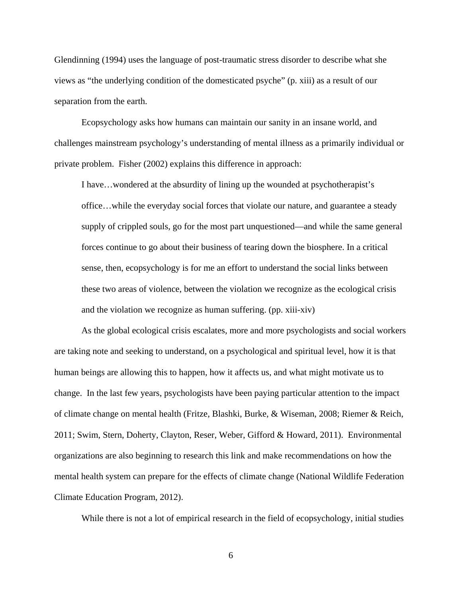Glendinning (1994) uses the language of post-traumatic stress disorder to describe what she views as "the underlying condition of the domesticated psyche" (p. xiii) as a result of our separation from the earth.

Ecopsychology asks how humans can maintain our sanity in an insane world, and challenges mainstream psychology's understanding of mental illness as a primarily individual or private problem. Fisher (2002) explains this difference in approach:

I have…wondered at the absurdity of lining up the wounded at psychotherapist's office…while the everyday social forces that violate our nature, and guarantee a steady supply of crippled souls, go for the most part unquestioned—and while the same general forces continue to go about their business of tearing down the biosphere. In a critical sense, then, ecopsychology is for me an effort to understand the social links between these two areas of violence, between the violation we recognize as the ecological crisis and the violation we recognize as human suffering. (pp. xiii-xiv)

As the global ecological crisis escalates, more and more psychologists and social workers are taking note and seeking to understand, on a psychological and spiritual level, how it is that human beings are allowing this to happen, how it affects us, and what might motivate us to change. In the last few years, psychologists have been paying particular attention to the impact of climate change on mental health (Fritze, Blashki, Burke, & Wiseman, 2008; Riemer & Reich, 2011; Swim, Stern, Doherty, Clayton, Reser, Weber, Gifford & Howard, 2011). Environmental organizations are also beginning to research this link and make recommendations on how the mental health system can prepare for the effects of climate change (National Wildlife Federation Climate Education Program, 2012).

While there is not a lot of empirical research in the field of ecopsychology, initial studies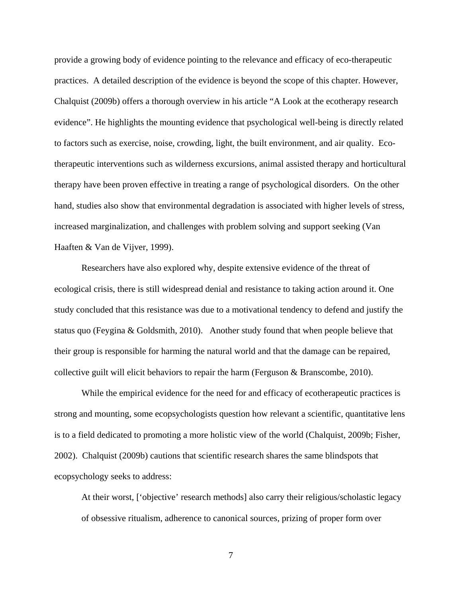provide a growing body of evidence pointing to the relevance and efficacy of eco-therapeutic practices. A detailed description of the evidence is beyond the scope of this chapter. However, Chalquist (2009b) offers a thorough overview in his article "A Look at the ecotherapy research evidence". He highlights the mounting evidence that psychological well-being is directly related to factors such as exercise, noise, crowding, light, the built environment, and air quality. Ecotherapeutic interventions such as wilderness excursions, animal assisted therapy and horticultural therapy have been proven effective in treating a range of psychological disorders. On the other hand, studies also show that environmental degradation is associated with higher levels of stress, increased marginalization, and challenges with problem solving and support seeking (Van Haaften & Van de Vijver, 1999).

Researchers have also explored why, despite extensive evidence of the threat of ecological crisis, there is still widespread denial and resistance to taking action around it. One study concluded that this resistance was due to a motivational tendency to defend and justify the status quo (Feygina & Goldsmith, 2010). Another study found that when people believe that their group is responsible for harming the natural world and that the damage can be repaired, collective guilt will elicit behaviors to repair the harm (Ferguson & Branscombe, 2010).

While the empirical evidence for the need for and efficacy of ecotherapeutic practices is strong and mounting, some ecopsychologists question how relevant a scientific, quantitative lens is to a field dedicated to promoting a more holistic view of the world (Chalquist, 2009b; Fisher, 2002). Chalquist (2009b) cautions that scientific research shares the same blindspots that ecopsychology seeks to address:

At their worst, ['objective' research methods] also carry their religious/scholastic legacy of obsessive ritualism, adherence to canonical sources, prizing of proper form over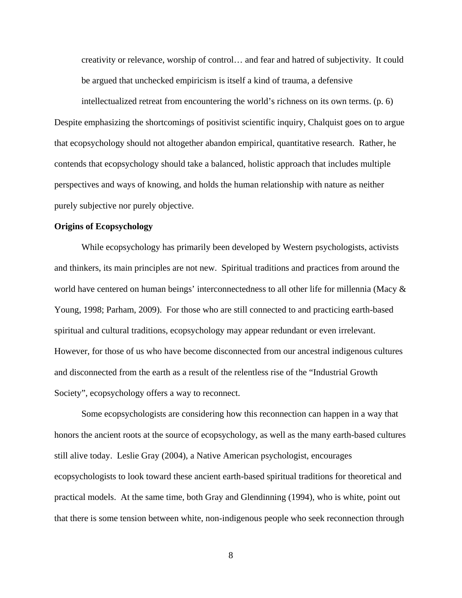creativity or relevance, worship of control… and fear and hatred of subjectivity. It could be argued that unchecked empiricism is itself a kind of trauma, a defensive

intellectualized retreat from encountering the world's richness on its own terms. (p. 6) Despite emphasizing the shortcomings of positivist scientific inquiry, Chalquist goes on to argue that ecopsychology should not altogether abandon empirical, quantitative research. Rather, he contends that ecopsychology should take a balanced, holistic approach that includes multiple perspectives and ways of knowing, and holds the human relationship with nature as neither purely subjective nor purely objective.

### **Origins of Ecopsychology**

While ecopsychology has primarily been developed by Western psychologists, activists and thinkers, its main principles are not new. Spiritual traditions and practices from around the world have centered on human beings' interconnectedness to all other life for millennia (Macy & Young, 1998; Parham, 2009). For those who are still connected to and practicing earth-based spiritual and cultural traditions, ecopsychology may appear redundant or even irrelevant. However, for those of us who have become disconnected from our ancestral indigenous cultures and disconnected from the earth as a result of the relentless rise of the "Industrial Growth Society", ecopsychology offers a way to reconnect.

Some ecopsychologists are considering how this reconnection can happen in a way that honors the ancient roots at the source of ecopsychology, as well as the many earth-based cultures still alive today. Leslie Gray (2004), a Native American psychologist, encourages ecopsychologists to look toward these ancient earth-based spiritual traditions for theoretical and practical models. At the same time, both Gray and Glendinning (1994), who is white, point out that there is some tension between white, non-indigenous people who seek reconnection through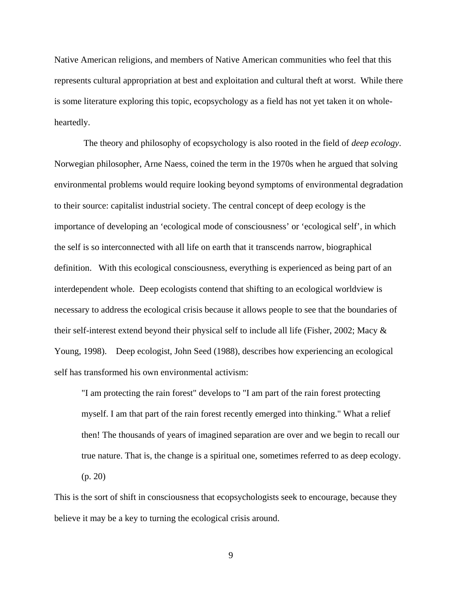Native American religions, and members of Native American communities who feel that this represents cultural appropriation at best and exploitation and cultural theft at worst. While there is some literature exploring this topic, ecopsychology as a field has not yet taken it on wholeheartedly.

 The theory and philosophy of ecopsychology is also rooted in the field of *deep ecology*. Norwegian philosopher, Arne Naess, coined the term in the 1970s when he argued that solving environmental problems would require looking beyond symptoms of environmental degradation to their source: capitalist industrial society. The central concept of deep ecology is the importance of developing an 'ecological mode of consciousness' or 'ecological self', in which the self is so interconnected with all life on earth that it transcends narrow, biographical definition. With this ecological consciousness, everything is experienced as being part of an interdependent whole. Deep ecologists contend that shifting to an ecological worldview is necessary to address the ecological crisis because it allows people to see that the boundaries of their self-interest extend beyond their physical self to include all life (Fisher, 2002; Macy & Young, 1998). Deep ecologist, John Seed (1988), describes how experiencing an ecological self has transformed his own environmental activism:

"I am protecting the rain forest" develops to "I am part of the rain forest protecting myself. I am that part of the rain forest recently emerged into thinking." What a relief then! The thousands of years of imagined separation are over and we begin to recall our true nature. That is, the change is a spiritual one, sometimes referred to as deep ecology. (p. 20)

This is the sort of shift in consciousness that ecopsychologists seek to encourage, because they believe it may be a key to turning the ecological crisis around.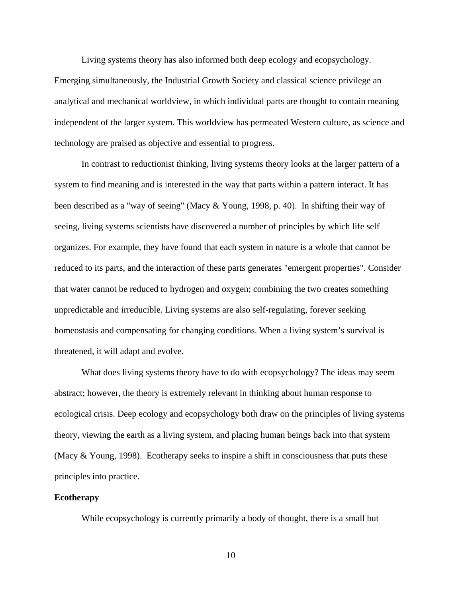Living systems theory has also informed both deep ecology and ecopsychology. Emerging simultaneously, the Industrial Growth Society and classical science privilege an analytical and mechanical worldview, in which individual parts are thought to contain meaning independent of the larger system. This worldview has permeated Western culture, as science and technology are praised as objective and essential to progress.

In contrast to reductionist thinking, living systems theory looks at the larger pattern of a system to find meaning and is interested in the way that parts within a pattern interact. It has been described as a "way of seeing" (Macy & Young, 1998, p. 40). In shifting their way of seeing, living systems scientists have discovered a number of principles by which life self organizes. For example, they have found that each system in nature is a whole that cannot be reduced to its parts, and the interaction of these parts generates "emergent properties". Consider that water cannot be reduced to hydrogen and oxygen; combining the two creates something unpredictable and irreducible. Living systems are also self-regulating, forever seeking homeostasis and compensating for changing conditions. When a living system's survival is threatened, it will adapt and evolve.

What does living systems theory have to do with ecopsychology? The ideas may seem abstract; however, the theory is extremely relevant in thinking about human response to ecological crisis. Deep ecology and ecopsychology both draw on the principles of living systems theory, viewing the earth as a living system, and placing human beings back into that system (Macy & Young, 1998). Ecotherapy seeks to inspire a shift in consciousness that puts these principles into practice.

### **Ecotherapy**

While ecopsychology is currently primarily a body of thought, there is a small but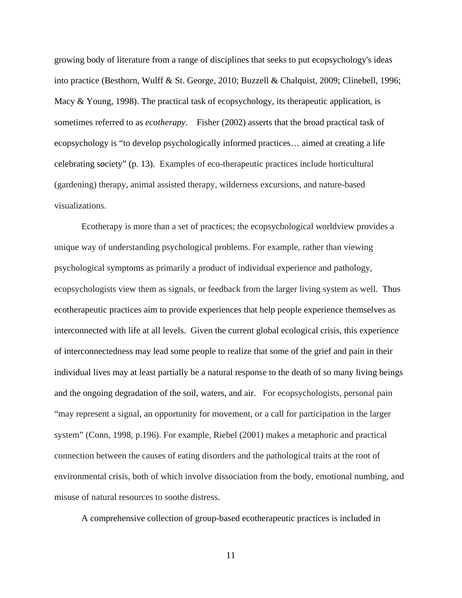growing body of literature from a range of disciplines that seeks to put ecopsychology's ideas into practice (Besthorn, Wulff & St. George, 2010; Buzzell & Chalquist, 2009; Clinebell, 1996; Macy & Young, 1998). The practical task of ecopsychology, its therapeutic application, is sometimes referred to as *ecotherapy*. Fisher (2002) asserts that the broad practical task of ecopsychology is "to develop psychologically informed practices… aimed at creating a life celebrating society" (p. 13). Examples of eco-therapeutic practices include horticultural (gardening) therapy, animal assisted therapy, wilderness excursions, and nature-based visualizations.

Ecotherapy is more than a set of practices; the ecopsychological worldview provides a unique way of understanding psychological problems. For example, rather than viewing psychological symptoms as primarily a product of individual experience and pathology, ecopsychologists view them as signals, or feedback from the larger living system as well. Thus ecotherapeutic practices aim to provide experiences that help people experience themselves as interconnected with life at all levels. Given the current global ecological crisis, this experience of interconnectedness may lead some people to realize that some of the grief and pain in their individual lives may at least partially be a natural response to the death of so many living beings and the ongoing degradation of the soil, waters, and air. For ecopsychologists, personal pain "may represent a signal, an opportunity for movement, or a call for participation in the larger system" (Conn, 1998, p.196). For example, Riebel (2001) makes a metaphoric and practical connection between the causes of eating disorders and the pathological traits at the root of environmental crisis, both of which involve dissociation from the body, emotional numbing, and misuse of natural resources to soothe distress.

A comprehensive collection of group-based ecotherapeutic practices is included in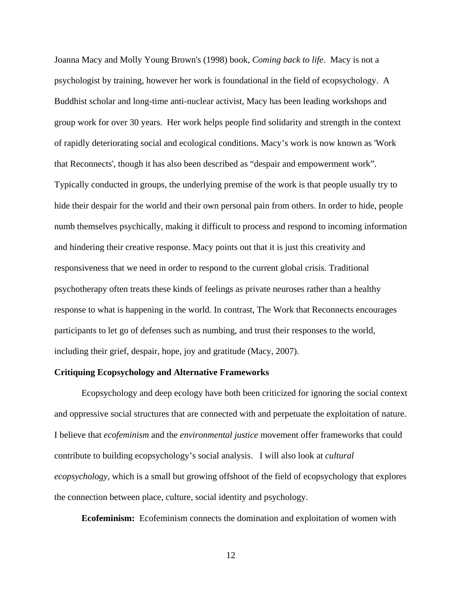Joanna Macy and Molly Young Brown's (1998) book, *Coming back to life*. Macy is not a psychologist by training, however her work is foundational in the field of ecopsychology. A Buddhist scholar and long-time anti-nuclear activist, Macy has been leading workshops and group work for over 30 years. Her work helps people find solidarity and strength in the context of rapidly deteriorating social and ecological conditions. Macy's work is now known as 'Work that Reconnects', though it has also been described as "despair and empowerment work". Typically conducted in groups, the underlying premise of the work is that people usually try to hide their despair for the world and their own personal pain from others. In order to hide, people numb themselves psychically, making it difficult to process and respond to incoming information and hindering their creative response. Macy points out that it is just this creativity and responsiveness that we need in order to respond to the current global crisis. Traditional psychotherapy often treats these kinds of feelings as private neuroses rather than a healthy response to what is happening in the world. In contrast, The Work that Reconnects encourages participants to let go of defenses such as numbing, and trust their responses to the world, including their grief, despair, hope, joy and gratitude (Macy, 2007).

## **Critiquing Ecopsychology and Alternative Frameworks**

Ecopsychology and deep ecology have both been criticized for ignoring the social context and oppressive social structures that are connected with and perpetuate the exploitation of nature. I believe that *ecofeminism* and the *environmental justice* movement offer frameworks that could contribute to building ecopsychology's social analysis. I will also look at *cultural ecopsychology*, which is a small but growing offshoot of the field of ecopsychology that explores the connection between place, culture, social identity and psychology.

**Ecofeminism:** Ecofeminism connects the domination and exploitation of women with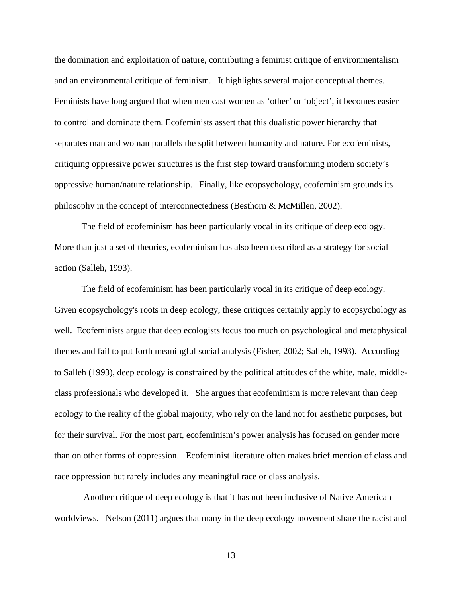the domination and exploitation of nature, contributing a feminist critique of environmentalism and an environmental critique of feminism. It highlights several major conceptual themes. Feminists have long argued that when men cast women as 'other' or 'object', it becomes easier to control and dominate them. Ecofeminists assert that this dualistic power hierarchy that separates man and woman parallels the split between humanity and nature. For ecofeminists, critiquing oppressive power structures is the first step toward transforming modern society's oppressive human/nature relationship. Finally, like ecopsychology, ecofeminism grounds its philosophy in the concept of interconnectedness (Besthorn & McMillen, 2002).

The field of ecofeminism has been particularly vocal in its critique of deep ecology. More than just a set of theories, ecofeminism has also been described as a strategy for social action (Salleh, 1993).

The field of ecofeminism has been particularly vocal in its critique of deep ecology. Given ecopsychology's roots in deep ecology, these critiques certainly apply to ecopsychology as well. Ecofeminists argue that deep ecologists focus too much on psychological and metaphysical themes and fail to put forth meaningful social analysis (Fisher, 2002; Salleh, 1993). According to Salleh (1993), deep ecology is constrained by the political attitudes of the white, male, middleclass professionals who developed it. She argues that ecofeminism is more relevant than deep ecology to the reality of the global majority, who rely on the land not for aesthetic purposes, but for their survival. For the most part, ecofeminism's power analysis has focused on gender more than on other forms of oppression. Ecofeminist literature often makes brief mention of class and race oppression but rarely includes any meaningful race or class analysis.

 Another critique of deep ecology is that it has not been inclusive of Native American worldviews. Nelson (2011) argues that many in the deep ecology movement share the racist and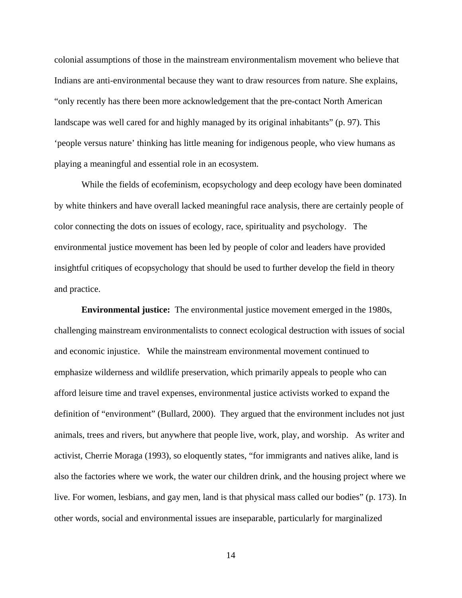colonial assumptions of those in the mainstream environmentalism movement who believe that Indians are anti-environmental because they want to draw resources from nature. She explains, "only recently has there been more acknowledgement that the pre-contact North American landscape was well cared for and highly managed by its original inhabitants" (p. 97). This 'people versus nature' thinking has little meaning for indigenous people, who view humans as playing a meaningful and essential role in an ecosystem.

While the fields of ecofeminism, ecopsychology and deep ecology have been dominated by white thinkers and have overall lacked meaningful race analysis, there are certainly people of color connecting the dots on issues of ecology, race, spirituality and psychology. The environmental justice movement has been led by people of color and leaders have provided insightful critiques of ecopsychology that should be used to further develop the field in theory and practice.

**Environmental justice:** The environmental justice movement emerged in the 1980s, challenging mainstream environmentalists to connect ecological destruction with issues of social and economic injustice. While the mainstream environmental movement continued to emphasize wilderness and wildlife preservation, which primarily appeals to people who can afford leisure time and travel expenses, environmental justice activists worked to expand the definition of "environment" (Bullard, 2000). They argued that the environment includes not just animals, trees and rivers, but anywhere that people live, work, play, and worship. As writer and activist, Cherrie Moraga (1993), so eloquently states, "for immigrants and natives alike, land is also the factories where we work, the water our children drink, and the housing project where we live. For women, lesbians, and gay men, land is that physical mass called our bodies" (p. 173). In other words, social and environmental issues are inseparable, particularly for marginalized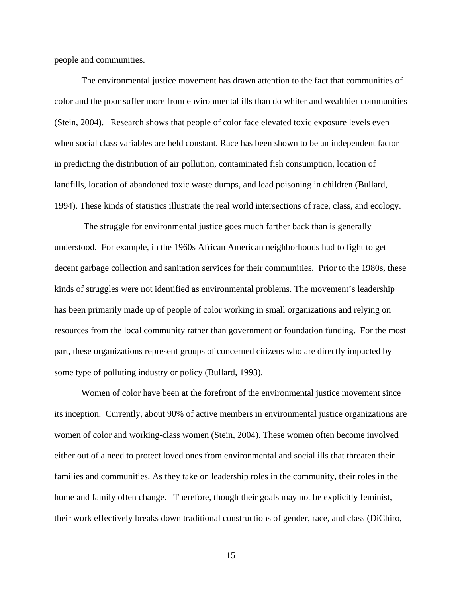people and communities.

The environmental justice movement has drawn attention to the fact that communities of color and the poor suffer more from environmental ills than do whiter and wealthier communities (Stein, 2004). Research shows that people of color face elevated toxic exposure levels even when social class variables are held constant. Race has been shown to be an independent factor in predicting the distribution of air pollution, contaminated fish consumption, location of landfills, location of abandoned toxic waste dumps, and lead poisoning in children (Bullard, 1994). These kinds of statistics illustrate the real world intersections of race, class, and ecology.

 The struggle for environmental justice goes much farther back than is generally understood. For example, in the 1960s African American neighborhoods had to fight to get decent garbage collection and sanitation services for their communities. Prior to the 1980s, these kinds of struggles were not identified as environmental problems. The movement's leadership has been primarily made up of people of color working in small organizations and relying on resources from the local community rather than government or foundation funding. For the most part, these organizations represent groups of concerned citizens who are directly impacted by some type of polluting industry or policy (Bullard, 1993).

Women of color have been at the forefront of the environmental justice movement since its inception. Currently, about 90% of active members in environmental justice organizations are women of color and working-class women (Stein, 2004). These women often become involved either out of a need to protect loved ones from environmental and social ills that threaten their families and communities. As they take on leadership roles in the community, their roles in the home and family often change. Therefore, though their goals may not be explicitly feminist, their work effectively breaks down traditional constructions of gender, race, and class (DiChiro,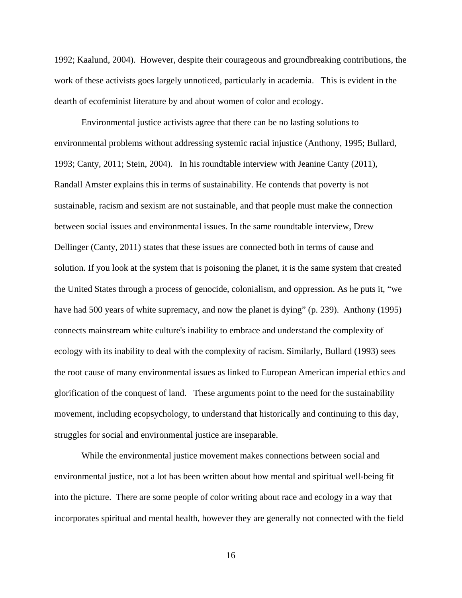1992; Kaalund, 2004). However, despite their courageous and groundbreaking contributions, the work of these activists goes largely unnoticed, particularly in academia. This is evident in the dearth of ecofeminist literature by and about women of color and ecology.

Environmental justice activists agree that there can be no lasting solutions to environmental problems without addressing systemic racial injustice (Anthony, 1995; Bullard, 1993; Canty, 2011; Stein, 2004). In his roundtable interview with Jeanine Canty (2011), Randall Amster explains this in terms of sustainability. He contends that poverty is not sustainable, racism and sexism are not sustainable, and that people must make the connection between social issues and environmental issues. In the same roundtable interview, Drew Dellinger (Canty, 2011) states that these issues are connected both in terms of cause and solution. If you look at the system that is poisoning the planet, it is the same system that created the United States through a process of genocide, colonialism, and oppression. As he puts it, "we have had 500 years of white supremacy, and now the planet is dying" (p. 239). Anthony (1995) connects mainstream white culture's inability to embrace and understand the complexity of ecology with its inability to deal with the complexity of racism. Similarly, Bullard (1993) sees the root cause of many environmental issues as linked to European American imperial ethics and glorification of the conquest of land. These arguments point to the need for the sustainability movement, including ecopsychology, to understand that historically and continuing to this day, struggles for social and environmental justice are inseparable.

While the environmental justice movement makes connections between social and environmental justice, not a lot has been written about how mental and spiritual well-being fit into the picture. There are some people of color writing about race and ecology in a way that incorporates spiritual and mental health, however they are generally not connected with the field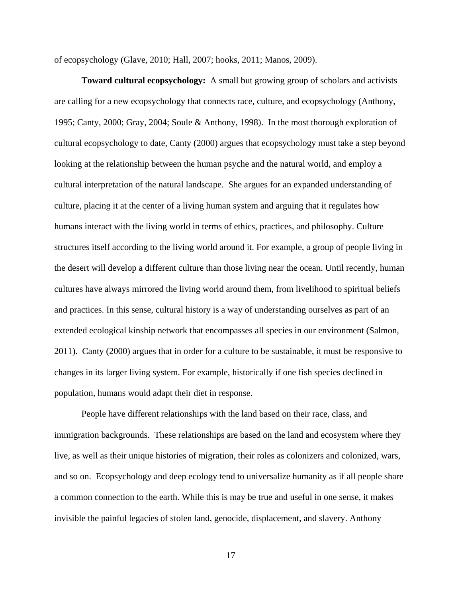of ecopsychology (Glave, 2010; Hall, 2007; hooks, 2011; Manos, 2009).

**Toward cultural ecopsychology:** A small but growing group of scholars and activists are calling for a new ecopsychology that connects race, culture, and ecopsychology (Anthony, 1995; Canty, 2000; Gray, 2004; Soule & Anthony, 1998). In the most thorough exploration of cultural ecopsychology to date, Canty (2000) argues that ecopsychology must take a step beyond looking at the relationship between the human psyche and the natural world, and employ a cultural interpretation of the natural landscape. She argues for an expanded understanding of culture, placing it at the center of a living human system and arguing that it regulates how humans interact with the living world in terms of ethics, practices, and philosophy. Culture structures itself according to the living world around it. For example, a group of people living in the desert will develop a different culture than those living near the ocean. Until recently, human cultures have always mirrored the living world around them, from livelihood to spiritual beliefs and practices. In this sense, cultural history is a way of understanding ourselves as part of an extended ecological kinship network that encompasses all species in our environment (Salmon, 2011). Canty (2000) argues that in order for a culture to be sustainable, it must be responsive to changes in its larger living system. For example, historically if one fish species declined in population, humans would adapt their diet in response.

 People have different relationships with the land based on their race, class, and immigration backgrounds. These relationships are based on the land and ecosystem where they live, as well as their unique histories of migration, their roles as colonizers and colonized, wars, and so on. Ecopsychology and deep ecology tend to universalize humanity as if all people share a common connection to the earth. While this is may be true and useful in one sense, it makes invisible the painful legacies of stolen land, genocide, displacement, and slavery. Anthony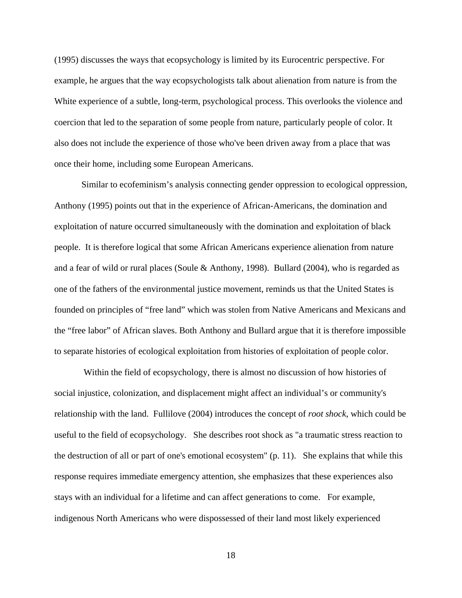(1995) discusses the ways that ecopsychology is limited by its Eurocentric perspective. For example, he argues that the way ecopsychologists talk about alienation from nature is from the White experience of a subtle, long-term, psychological process. This overlooks the violence and coercion that led to the separation of some people from nature, particularly people of color. It also does not include the experience of those who've been driven away from a place that was once their home, including some European Americans.

Similar to ecofeminism's analysis connecting gender oppression to ecological oppression, Anthony (1995) points out that in the experience of African-Americans, the domination and exploitation of nature occurred simultaneously with the domination and exploitation of black people. It is therefore logical that some African Americans experience alienation from nature and a fear of wild or rural places (Soule & Anthony, 1998). Bullard (2004), who is regarded as one of the fathers of the environmental justice movement, reminds us that the United States is founded on principles of "free land" which was stolen from Native Americans and Mexicans and the "free labor" of African slaves. Both Anthony and Bullard argue that it is therefore impossible to separate histories of ecological exploitation from histories of exploitation of people color.

 Within the field of ecopsychology, there is almost no discussion of how histories of social injustice, colonization, and displacement might affect an individual's or community's relationship with the land. Fullilove (2004) introduces the concept of *root shock*, which could be useful to the field of ecopsychology. She describes root shock as "a traumatic stress reaction to the destruction of all or part of one's emotional ecosystem" (p. 11). She explains that while this response requires immediate emergency attention, she emphasizes that these experiences also stays with an individual for a lifetime and can affect generations to come. For example, indigenous North Americans who were dispossessed of their land most likely experienced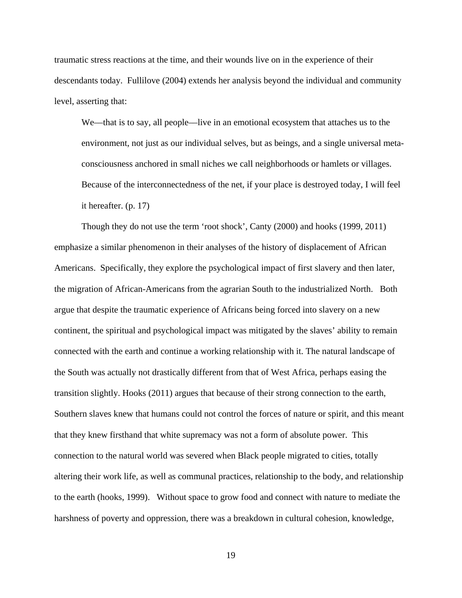traumatic stress reactions at the time, and their wounds live on in the experience of their descendants today. Fullilove (2004) extends her analysis beyond the individual and community level, asserting that:

We—that is to say, all people—live in an emotional ecosystem that attaches us to the environment, not just as our individual selves, but as beings, and a single universal metaconsciousness anchored in small niches we call neighborhoods or hamlets or villages. Because of the interconnectedness of the net, if your place is destroyed today, I will feel it hereafter. (p. 17)

Though they do not use the term 'root shock', Canty (2000) and hooks (1999, 2011) emphasize a similar phenomenon in their analyses of the history of displacement of African Americans. Specifically, they explore the psychological impact of first slavery and then later, the migration of African-Americans from the agrarian South to the industrialized North. Both argue that despite the traumatic experience of Africans being forced into slavery on a new continent, the spiritual and psychological impact was mitigated by the slaves' ability to remain connected with the earth and continue a working relationship with it. The natural landscape of the South was actually not drastically different from that of West Africa, perhaps easing the transition slightly. Hooks (2011) argues that because of their strong connection to the earth, Southern slaves knew that humans could not control the forces of nature or spirit, and this meant that they knew firsthand that white supremacy was not a form of absolute power. This connection to the natural world was severed when Black people migrated to cities, totally altering their work life, as well as communal practices, relationship to the body, and relationship to the earth (hooks, 1999). Without space to grow food and connect with nature to mediate the harshness of poverty and oppression, there was a breakdown in cultural cohesion, knowledge,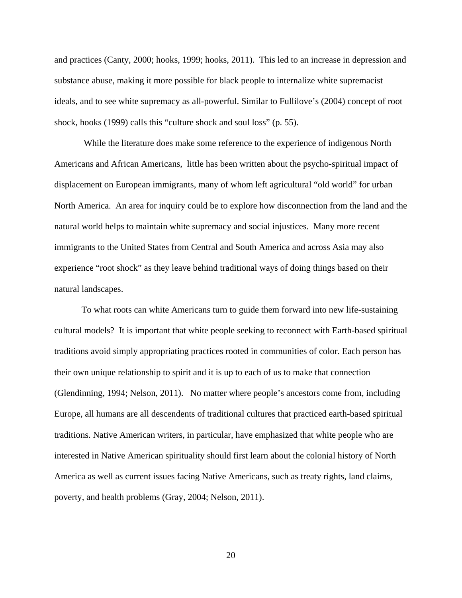and practices (Canty, 2000; hooks, 1999; hooks, 2011). This led to an increase in depression and substance abuse, making it more possible for black people to internalize white supremacist ideals, and to see white supremacy as all-powerful. Similar to Fullilove's (2004) concept of root shock, hooks (1999) calls this "culture shock and soul loss" (p. 55).

 While the literature does make some reference to the experience of indigenous North Americans and African Americans, little has been written about the psycho-spiritual impact of displacement on European immigrants, many of whom left agricultural "old world" for urban North America. An area for inquiry could be to explore how disconnection from the land and the natural world helps to maintain white supremacy and social injustices. Many more recent immigrants to the United States from Central and South America and across Asia may also experience "root shock" as they leave behind traditional ways of doing things based on their natural landscapes.

To what roots can white Americans turn to guide them forward into new life-sustaining cultural models? It is important that white people seeking to reconnect with Earth-based spiritual traditions avoid simply appropriating practices rooted in communities of color. Each person has their own unique relationship to spirit and it is up to each of us to make that connection (Glendinning, 1994; Nelson, 2011). No matter where people's ancestors come from, including Europe, all humans are all descendents of traditional cultures that practiced earth-based spiritual traditions. Native American writers, in particular, have emphasized that white people who are interested in Native American spirituality should first learn about the colonial history of North America as well as current issues facing Native Americans, such as treaty rights, land claims, poverty, and health problems (Gray, 2004; Nelson, 2011).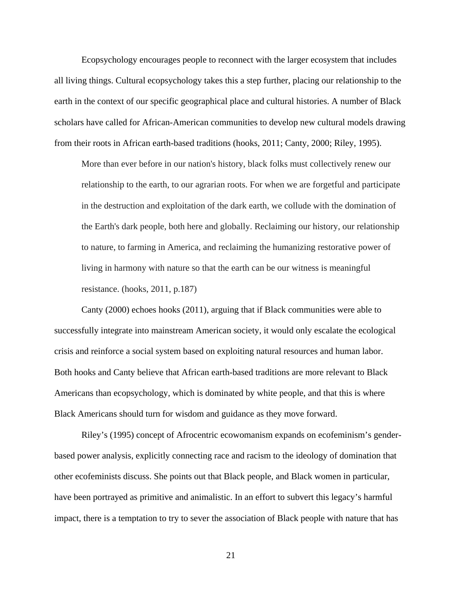Ecopsychology encourages people to reconnect with the larger ecosystem that includes all living things. Cultural ecopsychology takes this a step further, placing our relationship to the earth in the context of our specific geographical place and cultural histories. A number of Black scholars have called for African-American communities to develop new cultural models drawing from their roots in African earth-based traditions (hooks, 2011; Canty, 2000; Riley, 1995).

More than ever before in our nation's history, black folks must collectively renew our relationship to the earth, to our agrarian roots. For when we are forgetful and participate in the destruction and exploitation of the dark earth, we collude with the domination of the Earth's dark people, both here and globally. Reclaiming our history, our relationship to nature, to farming in America, and reclaiming the humanizing restorative power of living in harmony with nature so that the earth can be our witness is meaningful resistance. (hooks, 2011, p.187)

Canty (2000) echoes hooks (2011), arguing that if Black communities were able to successfully integrate into mainstream American society, it would only escalate the ecological crisis and reinforce a social system based on exploiting natural resources and human labor. Both hooks and Canty believe that African earth-based traditions are more relevant to Black Americans than ecopsychology, which is dominated by white people, and that this is where Black Americans should turn for wisdom and guidance as they move forward.

Riley's (1995) concept of Afrocentric ecowomanism expands on ecofeminism's genderbased power analysis, explicitly connecting race and racism to the ideology of domination that other ecofeminists discuss. She points out that Black people, and Black women in particular, have been portrayed as primitive and animalistic. In an effort to subvert this legacy's harmful impact, there is a temptation to try to sever the association of Black people with nature that has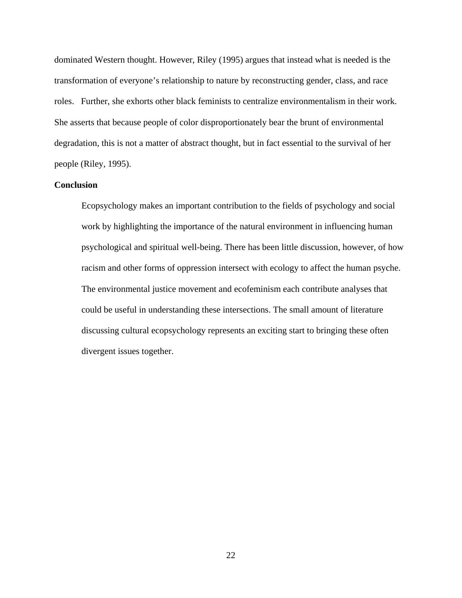dominated Western thought. However, Riley (1995) argues that instead what is needed is the transformation of everyone's relationship to nature by reconstructing gender, class, and race roles. Further, she exhorts other black feminists to centralize environmentalism in their work. She asserts that because people of color disproportionately bear the brunt of environmental degradation, this is not a matter of abstract thought, but in fact essential to the survival of her people (Riley, 1995).

## **Conclusion**

Ecopsychology makes an important contribution to the fields of psychology and social work by highlighting the importance of the natural environment in influencing human psychological and spiritual well-being. There has been little discussion, however, of how racism and other forms of oppression intersect with ecology to affect the human psyche. The environmental justice movement and ecofeminism each contribute analyses that could be useful in understanding these intersections. The small amount of literature discussing cultural ecopsychology represents an exciting start to bringing these often divergent issues together.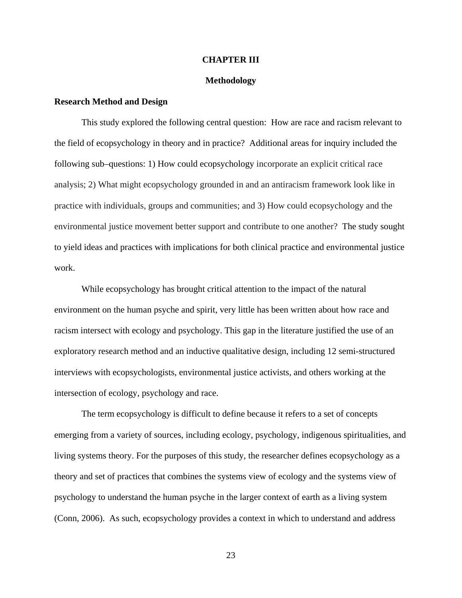#### **CHAPTER III**

#### **Methodology**

### **Research Method and Design**

This study explored the following central question: How are race and racism relevant to the field of ecopsychology in theory and in practice? Additional areas for inquiry included the following sub–questions: 1) How could ecopsychology incorporate an explicit critical race analysis; 2) What might ecopsychology grounded in and an antiracism framework look like in practice with individuals, groups and communities; and 3) How could ecopsychology and the environmental justice movement better support and contribute to one another? The study sought to yield ideas and practices with implications for both clinical practice and environmental justice work.

While ecopsychology has brought critical attention to the impact of the natural environment on the human psyche and spirit, very little has been written about how race and racism intersect with ecology and psychology. This gap in the literature justified the use of an exploratory research method and an inductive qualitative design, including 12 semi-structured interviews with ecopsychologists, environmental justice activists, and others working at the intersection of ecology, psychology and race.

 The term ecopsychology is difficult to define because it refers to a set of concepts emerging from a variety of sources, including ecology, psychology, indigenous spiritualities, and living systems theory. For the purposes of this study, the researcher defines ecopsychology as a theory and set of practices that combines the systems view of ecology and the systems view of psychology to understand the human psyche in the larger context of earth as a living system (Conn, 2006). As such, ecopsychology provides a context in which to understand and address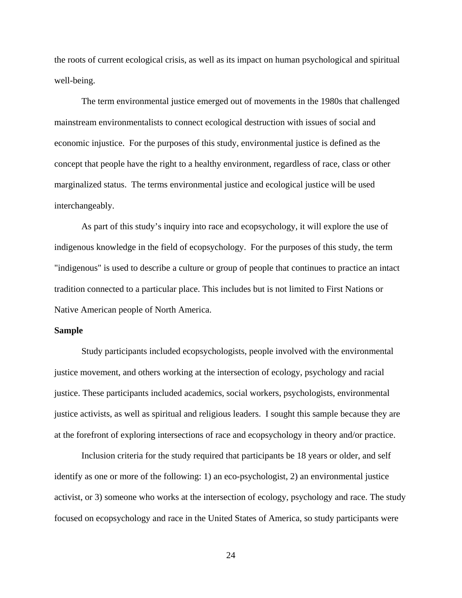the roots of current ecological crisis, as well as its impact on human psychological and spiritual well-being.

 The term environmental justice emerged out of movements in the 1980s that challenged mainstream environmentalists to connect ecological destruction with issues of social and economic injustice. For the purposes of this study, environmental justice is defined as the concept that people have the right to a healthy environment, regardless of race, class or other marginalized status. The terms environmental justice and ecological justice will be used interchangeably.

As part of this study's inquiry into race and ecopsychology, it will explore the use of indigenous knowledge in the field of ecopsychology. For the purposes of this study, the term "indigenous" is used to describe a culture or group of people that continues to practice an intact tradition connected to a particular place. This includes but is not limited to First Nations or Native American people of North America.

#### **Sample**

Study participants included ecopsychologists, people involved with the environmental justice movement, and others working at the intersection of ecology, psychology and racial justice. These participants included academics, social workers, psychologists, environmental justice activists, as well as spiritual and religious leaders. I sought this sample because they are at the forefront of exploring intersections of race and ecopsychology in theory and/or practice.

Inclusion criteria for the study required that participants be 18 years or older, and self identify as one or more of the following: 1) an eco-psychologist, 2) an environmental justice activist, or 3) someone who works at the intersection of ecology, psychology and race. The study focused on ecopsychology and race in the United States of America, so study participants were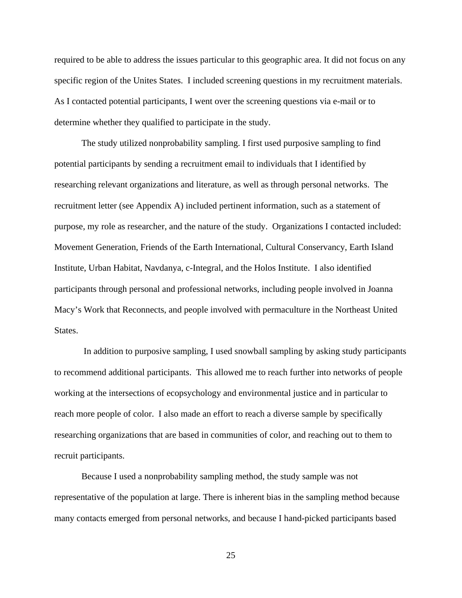required to be able to address the issues particular to this geographic area. It did not focus on any specific region of the Unites States. I included screening questions in my recruitment materials. As I contacted potential participants, I went over the screening questions via e-mail or to determine whether they qualified to participate in the study.

The study utilized nonprobability sampling. I first used purposive sampling to find potential participants by sending a recruitment email to individuals that I identified by researching relevant organizations and literature, as well as through personal networks. The recruitment letter (see Appendix A) included pertinent information, such as a statement of purpose, my role as researcher, and the nature of the study. Organizations I contacted included: Movement Generation, Friends of the Earth International, Cultural Conservancy, Earth Island Institute, Urban Habitat, Navdanya, c-Integral, and the Holos Institute. I also identified participants through personal and professional networks, including people involved in Joanna Macy's Work that Reconnects, and people involved with permaculture in the Northeast United States.

 In addition to purposive sampling, I used snowball sampling by asking study participants to recommend additional participants. This allowed me to reach further into networks of people working at the intersections of ecopsychology and environmental justice and in particular to reach more people of color. I also made an effort to reach a diverse sample by specifically researching organizations that are based in communities of color, and reaching out to them to recruit participants.

Because I used a nonprobability sampling method, the study sample was not representative of the population at large. There is inherent bias in the sampling method because many contacts emerged from personal networks, and because I hand-picked participants based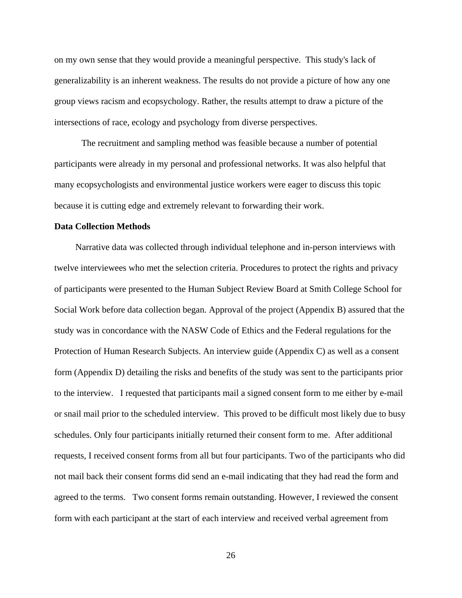on my own sense that they would provide a meaningful perspective. This study's lack of generalizability is an inherent weakness. The results do not provide a picture of how any one group views racism and ecopsychology. Rather, the results attempt to draw a picture of the intersections of race, ecology and psychology from diverse perspectives.

The recruitment and sampling method was feasible because a number of potential participants were already in my personal and professional networks. It was also helpful that many ecopsychologists and environmental justice workers were eager to discuss this topic because it is cutting edge and extremely relevant to forwarding their work.

#### **Data Collection Methods**

 Narrative data was collected through individual telephone and in-person interviews with twelve interviewees who met the selection criteria. Procedures to protect the rights and privacy of participants were presented to the Human Subject Review Board at Smith College School for Social Work before data collection began. Approval of the project (Appendix B) assured that the study was in concordance with the NASW Code of Ethics and the Federal regulations for the Protection of Human Research Subjects. An interview guide (Appendix C) as well as a consent form (Appendix D) detailing the risks and benefits of the study was sent to the participants prior to the interview. I requested that participants mail a signed consent form to me either by e-mail or snail mail prior to the scheduled interview. This proved to be difficult most likely due to busy schedules. Only four participants initially returned their consent form to me. After additional requests, I received consent forms from all but four participants. Two of the participants who did not mail back their consent forms did send an e-mail indicating that they had read the form and agreed to the terms. Two consent forms remain outstanding. However, I reviewed the consent form with each participant at the start of each interview and received verbal agreement from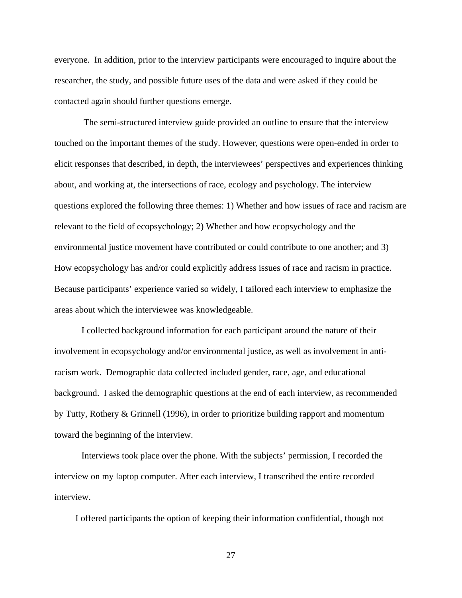everyone. In addition, prior to the interview participants were encouraged to inquire about the researcher, the study, and possible future uses of the data and were asked if they could be contacted again should further questions emerge.

 The semi-structured interview guide provided an outline to ensure that the interview touched on the important themes of the study. However, questions were open-ended in order to elicit responses that described, in depth, the interviewees' perspectives and experiences thinking about, and working at, the intersections of race, ecology and psychology. The interview questions explored the following three themes: 1) Whether and how issues of race and racism are relevant to the field of ecopsychology; 2) Whether and how ecopsychology and the environmental justice movement have contributed or could contribute to one another; and 3) How ecopsychology has and/or could explicitly address issues of race and racism in practice. Because participants' experience varied so widely, I tailored each interview to emphasize the areas about which the interviewee was knowledgeable.

I collected background information for each participant around the nature of their involvement in ecopsychology and/or environmental justice, as well as involvement in antiracism work. Demographic data collected included gender, race, age, and educational background. I asked the demographic questions at the end of each interview, as recommended by Tutty, Rothery & Grinnell (1996), in order to prioritize building rapport and momentum toward the beginning of the interview.

Interviews took place over the phone. With the subjects' permission, I recorded the interview on my laptop computer. After each interview, I transcribed the entire recorded interview.

I offered participants the option of keeping their information confidential, though not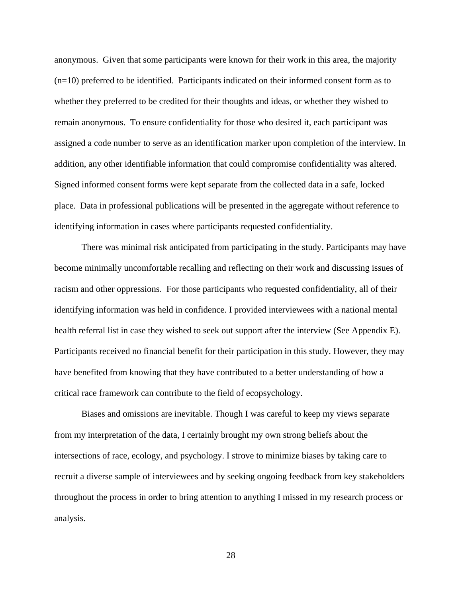anonymous. Given that some participants were known for their work in this area, the majority (n=10) preferred to be identified. Participants indicated on their informed consent form as to whether they preferred to be credited for their thoughts and ideas, or whether they wished to remain anonymous. To ensure confidentiality for those who desired it, each participant was assigned a code number to serve as an identification marker upon completion of the interview. In addition, any other identifiable information that could compromise confidentiality was altered. Signed informed consent forms were kept separate from the collected data in a safe, locked place. Data in professional publications will be presented in the aggregate without reference to identifying information in cases where participants requested confidentiality.

There was minimal risk anticipated from participating in the study. Participants may have become minimally uncomfortable recalling and reflecting on their work and discussing issues of racism and other oppressions. For those participants who requested confidentiality, all of their identifying information was held in confidence. I provided interviewees with a national mental health referral list in case they wished to seek out support after the interview (See Appendix E). Participants received no financial benefit for their participation in this study. However, they may have benefited from knowing that they have contributed to a better understanding of how a critical race framework can contribute to the field of ecopsychology.

Biases and omissions are inevitable. Though I was careful to keep my views separate from my interpretation of the data, I certainly brought my own strong beliefs about the intersections of race, ecology, and psychology. I strove to minimize biases by taking care to recruit a diverse sample of interviewees and by seeking ongoing feedback from key stakeholders throughout the process in order to bring attention to anything I missed in my research process or analysis.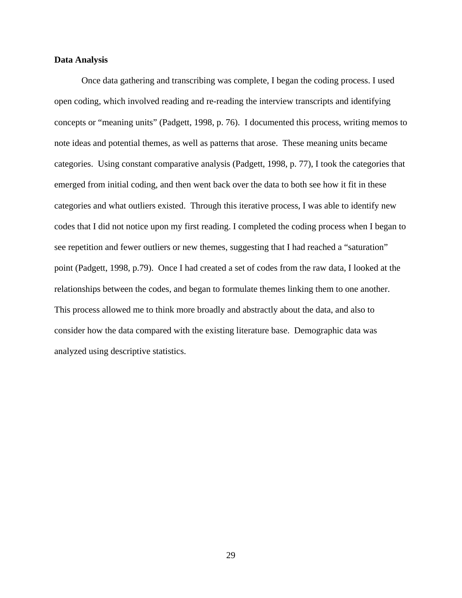#### **Data Analysis**

Once data gathering and transcribing was complete, I began the coding process. I used open coding, which involved reading and re-reading the interview transcripts and identifying concepts or "meaning units" (Padgett, 1998, p. 76). I documented this process, writing memos to note ideas and potential themes, as well as patterns that arose. These meaning units became categories. Using constant comparative analysis (Padgett, 1998, p. 77), I took the categories that emerged from initial coding, and then went back over the data to both see how it fit in these categories and what outliers existed. Through this iterative process, I was able to identify new codes that I did not notice upon my first reading. I completed the coding process when I began to see repetition and fewer outliers or new themes, suggesting that I had reached a "saturation" point (Padgett, 1998, p.79). Once I had created a set of codes from the raw data, I looked at the relationships between the codes, and began to formulate themes linking them to one another. This process allowed me to think more broadly and abstractly about the data, and also to consider how the data compared with the existing literature base. Demographic data was analyzed using descriptive statistics.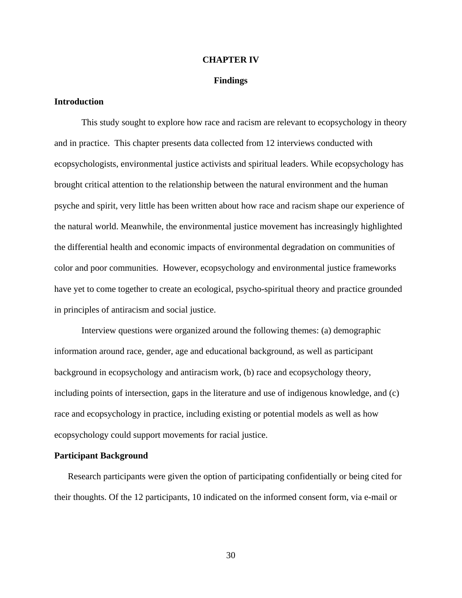#### **CHAPTER IV**

#### **Findings**

## **Introduction**

This study sought to explore how race and racism are relevant to ecopsychology in theory and in practice. This chapter presents data collected from 12 interviews conducted with ecopsychologists, environmental justice activists and spiritual leaders. While ecopsychology has brought critical attention to the relationship between the natural environment and the human psyche and spirit, very little has been written about how race and racism shape our experience of the natural world. Meanwhile, the environmental justice movement has increasingly highlighted the differential health and economic impacts of environmental degradation on communities of color and poor communities. However, ecopsychology and environmental justice frameworks have yet to come together to create an ecological, psycho-spiritual theory and practice grounded in principles of antiracism and social justice.

Interview questions were organized around the following themes: (a) demographic information around race, gender, age and educational background, as well as participant background in ecopsychology and antiracism work, (b) race and ecopsychology theory, including points of intersection, gaps in the literature and use of indigenous knowledge, and (c) race and ecopsychology in practice, including existing or potential models as well as how ecopsychology could support movements for racial justice.

#### **Participant Background**

Research participants were given the option of participating confidentially or being cited for their thoughts. Of the 12 participants, 10 indicated on the informed consent form, via e-mail or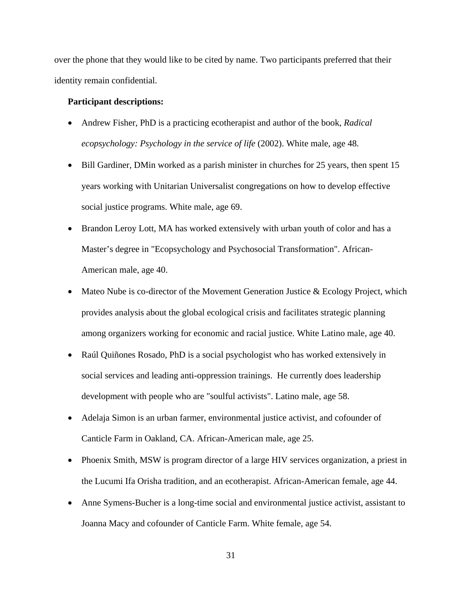over the phone that they would like to be cited by name. Two participants preferred that their identity remain confidential.

### **Participant descriptions:**

- Andrew Fisher, PhD is a practicing ecotherapist and author of the book, *Radical ecopsychology: Psychology in the service of life* (2002). White male, age 48.
- Bill Gardiner, DMin worked as a parish minister in churches for 25 years, then spent 15 years working with Unitarian Universalist congregations on how to develop effective social justice programs. White male, age 69.
- Brandon Leroy Lott, MA has worked extensively with urban youth of color and has a Master's degree in "Ecopsychology and Psychosocial Transformation". African-American male, age 40.
- Mateo Nube is co-director of the Movement Generation Justice & Ecology Project, which provides analysis about the global ecological crisis and facilitates strategic planning among organizers working for economic and racial justice. White Latino male, age 40.
- Raúl Quiñones Rosado, PhD is a social psychologist who has worked extensively in social services and leading anti-oppression trainings. He currently does leadership development with people who are "soulful activists". Latino male, age 58.
- Adelaja Simon is an urban farmer, environmental justice activist, and cofounder of Canticle Farm in Oakland, CA. African-American male, age 25.
- Phoenix Smith, MSW is program director of a large HIV services organization, a priest in the Lucumi Ifa Orisha tradition, and an ecotherapist. African-American female, age 44.
- Anne Symens-Bucher is a long-time social and environmental justice activist, assistant to Joanna Macy and cofounder of Canticle Farm. White female, age 54.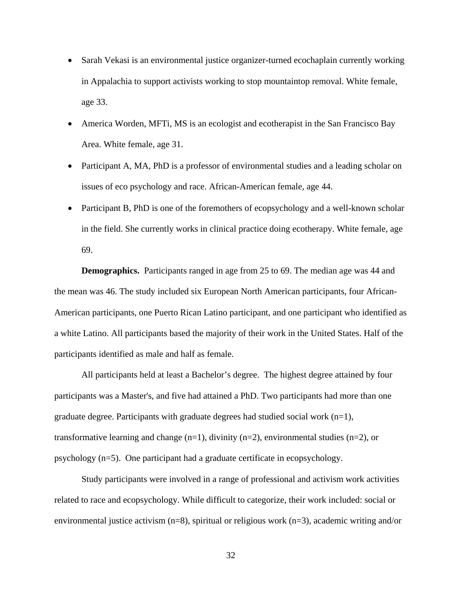- Sarah Vekasi is an environmental justice organizer-turned ecochaplain currently working in Appalachia to support activists working to stop mountaintop removal. White female, age 33.
- America Worden, MFTi, MS is an ecologist and ecotherapist in the San Francisco Bay Area. White female, age 31.
- Participant A, MA, PhD is a professor of environmental studies and a leading scholar on issues of eco psychology and race. African-American female, age 44.
- Participant B, PhD is one of the foremothers of ecopsychology and a well-known scholar in the field. She currently works in clinical practice doing ecotherapy. White female, age 69.

**Demographics.** Participants ranged in age from 25 to 69. The median age was 44 and the mean was 46. The study included six European North American participants, four African-American participants, one Puerto Rican Latino participant, and one participant who identified as a white Latino. All participants based the majority of their work in the United States. Half of the participants identified as male and half as female.

All participants held at least a Bachelor's degree. The highest degree attained by four participants was a Master's, and five had attained a PhD. Two participants had more than one graduate degree. Participants with graduate degrees had studied social work  $(n=1)$ , transformative learning and change  $(n=1)$ , divinity  $(n=2)$ , environmental studies  $(n=2)$ , or psychology (n=5). One participant had a graduate certificate in ecopsychology.

Study participants were involved in a range of professional and activism work activities related to race and ecopsychology. While difficult to categorize, their work included: social or environmental justice activism (n=8), spiritual or religious work (n=3), academic writing and/or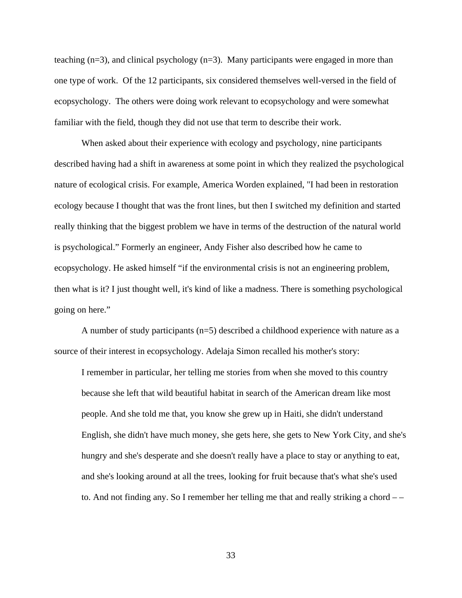teaching  $(n=3)$ , and clinical psychology  $(n=3)$ . Many participants were engaged in more than one type of work. Of the 12 participants, six considered themselves well-versed in the field of ecopsychology. The others were doing work relevant to ecopsychology and were somewhat familiar with the field, though they did not use that term to describe their work.

When asked about their experience with ecology and psychology, nine participants described having had a shift in awareness at some point in which they realized the psychological nature of ecological crisis. For example, America Worden explained, "I had been in restoration ecology because I thought that was the front lines, but then I switched my definition and started really thinking that the biggest problem we have in terms of the destruction of the natural world is psychological." Formerly an engineer, Andy Fisher also described how he came to ecopsychology. He asked himself "if the environmental crisis is not an engineering problem, then what is it? I just thought well, it's kind of like a madness. There is something psychological going on here."

 A number of study participants (n=5) described a childhood experience with nature as a source of their interest in ecopsychology. Adelaja Simon recalled his mother's story:

I remember in particular, her telling me stories from when she moved to this country because she left that wild beautiful habitat in search of the American dream like most people. And she told me that, you know she grew up in Haiti, she didn't understand English, she didn't have much money, she gets here, she gets to New York City, and she's hungry and she's desperate and she doesn't really have a place to stay or anything to eat, and she's looking around at all the trees, looking for fruit because that's what she's used to. And not finding any. So I remember her telling me that and really striking a chord – –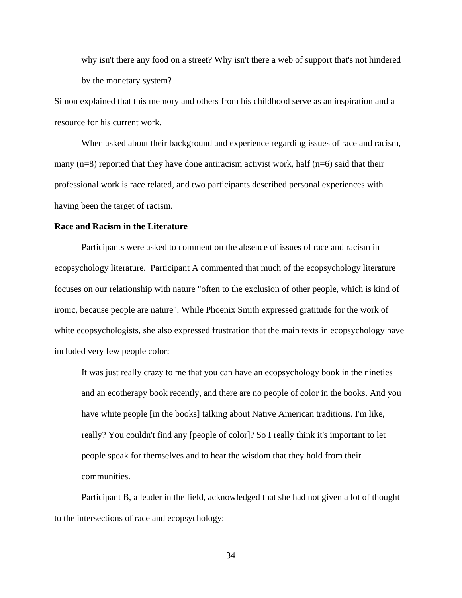why isn't there any food on a street? Why isn't there a web of support that's not hindered by the monetary system?

Simon explained that this memory and others from his childhood serve as an inspiration and a resource for his current work.

When asked about their background and experience regarding issues of race and racism, many  $(n=8)$  reported that they have done antiracism activist work, half  $(n=6)$  said that their professional work is race related, and two participants described personal experiences with having been the target of racism.

#### **Race and Racism in the Literature**

 Participants were asked to comment on the absence of issues of race and racism in ecopsychology literature. Participant A commented that much of the ecopsychology literature focuses on our relationship with nature "often to the exclusion of other people, which is kind of ironic, because people are nature". While Phoenix Smith expressed gratitude for the work of white ecopsychologists, she also expressed frustration that the main texts in ecopsychology have included very few people color:

It was just really crazy to me that you can have an ecopsychology book in the nineties and an ecotherapy book recently, and there are no people of color in the books. And you have white people [in the books] talking about Native American traditions. I'm like, really? You couldn't find any [people of color]? So I really think it's important to let people speak for themselves and to hear the wisdom that they hold from their communities.

Participant B, a leader in the field, acknowledged that she had not given a lot of thought to the intersections of race and ecopsychology: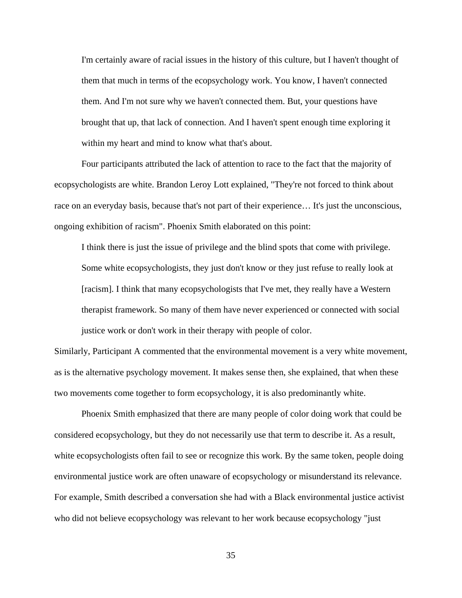I'm certainly aware of racial issues in the history of this culture, but I haven't thought of them that much in terms of the ecopsychology work. You know, I haven't connected them. And I'm not sure why we haven't connected them. But, your questions have brought that up, that lack of connection. And I haven't spent enough time exploring it within my heart and mind to know what that's about.

Four participants attributed the lack of attention to race to the fact that the majority of ecopsychologists are white. Brandon Leroy Lott explained, "They're not forced to think about race on an everyday basis, because that's not part of their experience… It's just the unconscious, ongoing exhibition of racism". Phoenix Smith elaborated on this point:

I think there is just the issue of privilege and the blind spots that come with privilege. Some white ecopsychologists, they just don't know or they just refuse to really look at [racism]. I think that many ecopsychologists that I've met, they really have a Western therapist framework. So many of them have never experienced or connected with social justice work or don't work in their therapy with people of color.

Similarly, Participant A commented that the environmental movement is a very white movement, as is the alternative psychology movement. It makes sense then, she explained, that when these two movements come together to form ecopsychology, it is also predominantly white.

 Phoenix Smith emphasized that there are many people of color doing work that could be considered ecopsychology, but they do not necessarily use that term to describe it. As a result, white ecopsychologists often fail to see or recognize this work. By the same token, people doing environmental justice work are often unaware of ecopsychology or misunderstand its relevance. For example, Smith described a conversation she had with a Black environmental justice activist who did not believe ecopsychology was relevant to her work because ecopsychology "just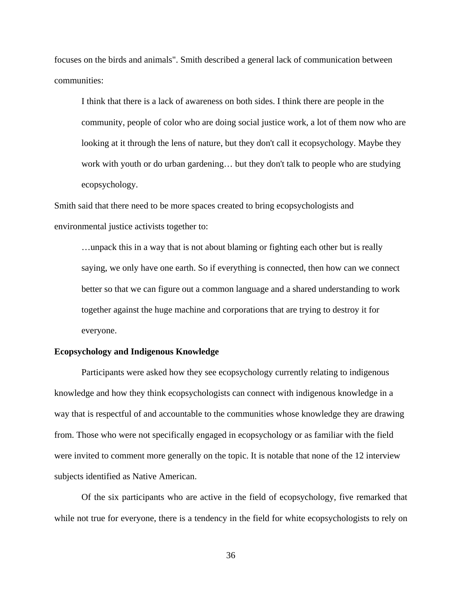focuses on the birds and animals". Smith described a general lack of communication between communities:

I think that there is a lack of awareness on both sides. I think there are people in the community, people of color who are doing social justice work, a lot of them now who are looking at it through the lens of nature, but they don't call it ecopsychology. Maybe they work with youth or do urban gardening… but they don't talk to people who are studying ecopsychology.

Smith said that there need to be more spaces created to bring ecopsychologists and environmental justice activists together to:

…unpack this in a way that is not about blaming or fighting each other but is really saying, we only have one earth. So if everything is connected, then how can we connect better so that we can figure out a common language and a shared understanding to work together against the huge machine and corporations that are trying to destroy it for everyone.

## **Ecopsychology and Indigenous Knowledge**

Participants were asked how they see ecopsychology currently relating to indigenous knowledge and how they think ecopsychologists can connect with indigenous knowledge in a way that is respectful of and accountable to the communities whose knowledge they are drawing from. Those who were not specifically engaged in ecopsychology or as familiar with the field were invited to comment more generally on the topic. It is notable that none of the 12 interview subjects identified as Native American.

Of the six participants who are active in the field of ecopsychology, five remarked that while not true for everyone, there is a tendency in the field for white ecopsychologists to rely on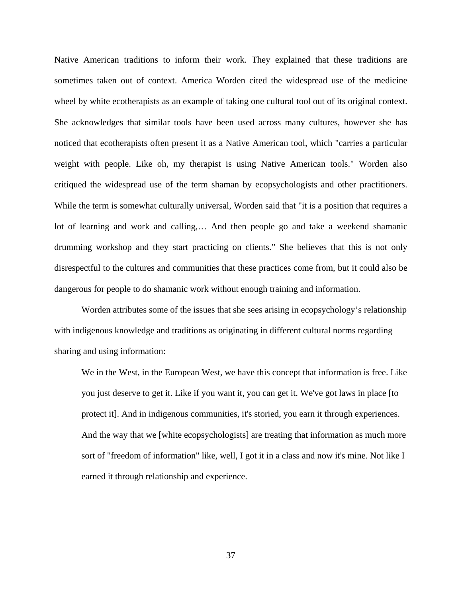Native American traditions to inform their work. They explained that these traditions are sometimes taken out of context. America Worden cited the widespread use of the medicine wheel by white ecotherapists as an example of taking one cultural tool out of its original context. She acknowledges that similar tools have been used across many cultures, however she has noticed that ecotherapists often present it as a Native American tool, which "carries a particular weight with people. Like oh, my therapist is using Native American tools." Worden also critiqued the widespread use of the term shaman by ecopsychologists and other practitioners. While the term is somewhat culturally universal, Worden said that "it is a position that requires a lot of learning and work and calling,… And then people go and take a weekend shamanic drumming workshop and they start practicing on clients." She believes that this is not only disrespectful to the cultures and communities that these practices come from, but it could also be dangerous for people to do shamanic work without enough training and information.

Worden attributes some of the issues that she sees arising in ecopsychology's relationship with indigenous knowledge and traditions as originating in different cultural norms regarding sharing and using information:

We in the West, in the European West, we have this concept that information is free. Like you just deserve to get it. Like if you want it, you can get it. We've got laws in place [to protect it]. And in indigenous communities, it's storied, you earn it through experiences. And the way that we [white ecopsychologists] are treating that information as much more sort of "freedom of information" like, well, I got it in a class and now it's mine. Not like I earned it through relationship and experience.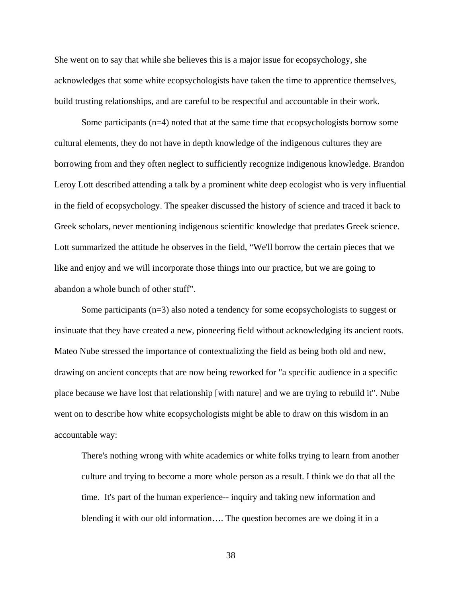She went on to say that while she believes this is a major issue for ecopsychology, she acknowledges that some white ecopsychologists have taken the time to apprentice themselves, build trusting relationships, and are careful to be respectful and accountable in their work.

Some participants  $(n=4)$  noted that at the same time that ecopsychologists borrow some cultural elements, they do not have in depth knowledge of the indigenous cultures they are borrowing from and they often neglect to sufficiently recognize indigenous knowledge. Brandon Leroy Lott described attending a talk by a prominent white deep ecologist who is very influential in the field of ecopsychology. The speaker discussed the history of science and traced it back to Greek scholars, never mentioning indigenous scientific knowledge that predates Greek science. Lott summarized the attitude he observes in the field, "We'll borrow the certain pieces that we like and enjoy and we will incorporate those things into our practice, but we are going to abandon a whole bunch of other stuff".

Some participants (n=3) also noted a tendency for some ecopsychologists to suggest or insinuate that they have created a new, pioneering field without acknowledging its ancient roots. Mateo Nube stressed the importance of contextualizing the field as being both old and new, drawing on ancient concepts that are now being reworked for "a specific audience in a specific place because we have lost that relationship [with nature] and we are trying to rebuild it". Nube went on to describe how white ecopsychologists might be able to draw on this wisdom in an accountable way:

There's nothing wrong with white academics or white folks trying to learn from another culture and trying to become a more whole person as a result. I think we do that all the time. It's part of the human experience-- inquiry and taking new information and blending it with our old information…. The question becomes are we doing it in a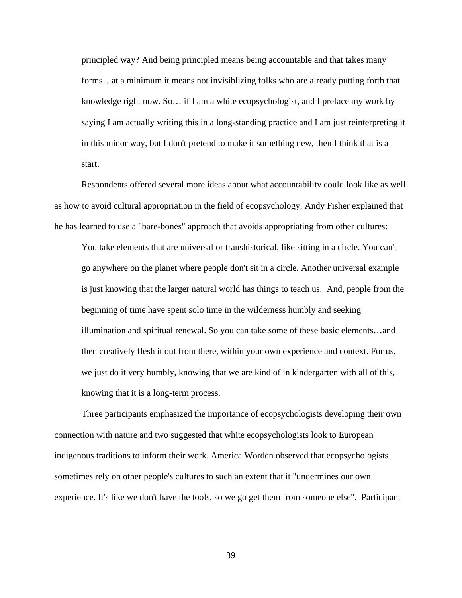principled way? And being principled means being accountable and that takes many forms…at a minimum it means not invisiblizing folks who are already putting forth that knowledge right now. So… if I am a white ecopsychologist, and I preface my work by saying I am actually writing this in a long-standing practice and I am just reinterpreting it in this minor way, but I don't pretend to make it something new, then I think that is a start.

Respondents offered several more ideas about what accountability could look like as well as how to avoid cultural appropriation in the field of ecopsychology. Andy Fisher explained that he has learned to use a "bare-bones" approach that avoids appropriating from other cultures:

You take elements that are universal or transhistorical, like sitting in a circle. You can't go anywhere on the planet where people don't sit in a circle. Another universal example is just knowing that the larger natural world has things to teach us. And, people from the beginning of time have spent solo time in the wilderness humbly and seeking illumination and spiritual renewal. So you can take some of these basic elements…and then creatively flesh it out from there, within your own experience and context. For us, we just do it very humbly, knowing that we are kind of in kindergarten with all of this, knowing that it is a long-term process.

Three participants emphasized the importance of ecopsychologists developing their own connection with nature and two suggested that white ecopsychologists look to European indigenous traditions to inform their work. America Worden observed that ecopsychologists sometimes rely on other people's cultures to such an extent that it "undermines our own experience. It's like we don't have the tools, so we go get them from someone else". Participant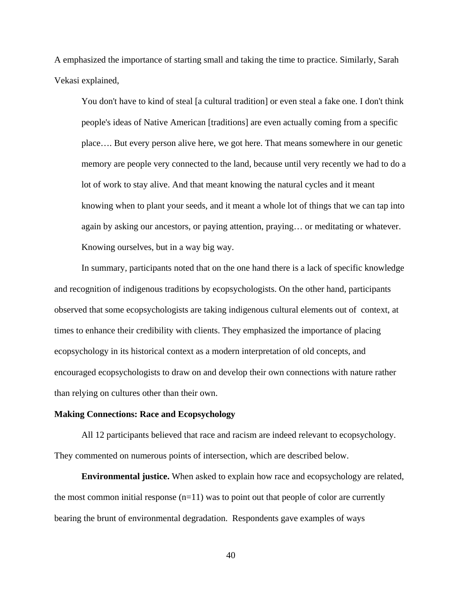A emphasized the importance of starting small and taking the time to practice. Similarly, Sarah Vekasi explained,

You don't have to kind of steal [a cultural tradition] or even steal a fake one. I don't think people's ideas of Native American [traditions] are even actually coming from a specific place…. But every person alive here, we got here. That means somewhere in our genetic memory are people very connected to the land, because until very recently we had to do a lot of work to stay alive. And that meant knowing the natural cycles and it meant knowing when to plant your seeds, and it meant a whole lot of things that we can tap into again by asking our ancestors, or paying attention, praying… or meditating or whatever. Knowing ourselves, but in a way big way.

 In summary, participants noted that on the one hand there is a lack of specific knowledge and recognition of indigenous traditions by ecopsychologists. On the other hand, participants observed that some ecopsychologists are taking indigenous cultural elements out of context, at times to enhance their credibility with clients. They emphasized the importance of placing ecopsychology in its historical context as a modern interpretation of old concepts, and encouraged ecopsychologists to draw on and develop their own connections with nature rather than relying on cultures other than their own.

#### **Making Connections: Race and Ecopsychology**

All 12 participants believed that race and racism are indeed relevant to ecopsychology. They commented on numerous points of intersection, which are described below.

**Environmental justice.** When asked to explain how race and ecopsychology are related, the most common initial response  $(n=11)$  was to point out that people of color are currently bearing the brunt of environmental degradation. Respondents gave examples of ways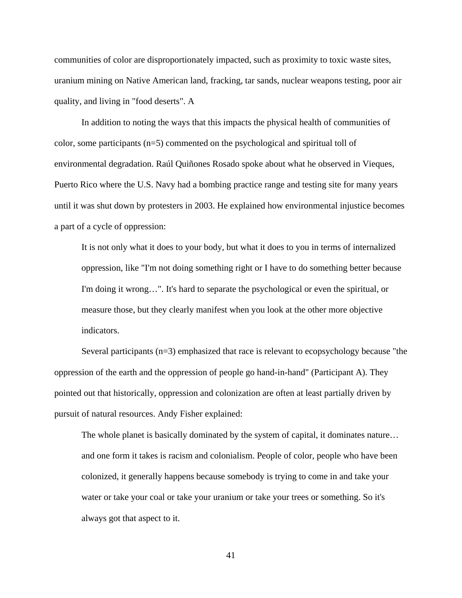communities of color are disproportionately impacted, such as proximity to toxic waste sites, uranium mining on Native American land, fracking, tar sands, nuclear weapons testing, poor air quality, and living in "food deserts". A

In addition to noting the ways that this impacts the physical health of communities of color, some participants  $(n=5)$  commented on the psychological and spiritual toll of environmental degradation. Raúl Quiñones Rosado spoke about what he observed in Vieques, Puerto Rico where the U.S. Navy had a bombing practice range and testing site for many years until it was shut down by protesters in 2003. He explained how environmental injustice becomes a part of a cycle of oppression:

It is not only what it does to your body, but what it does to you in terms of internalized oppression, like "I'm not doing something right or I have to do something better because I'm doing it wrong…". It's hard to separate the psychological or even the spiritual, or measure those, but they clearly manifest when you look at the other more objective indicators.

Several participants (n=3) emphasized that race is relevant to ecopsychology because "the oppression of the earth and the oppression of people go hand-in-hand" (Participant A). They pointed out that historically, oppression and colonization are often at least partially driven by pursuit of natural resources. Andy Fisher explained:

The whole planet is basically dominated by the system of capital, it dominates nature… and one form it takes is racism and colonialism. People of color, people who have been colonized, it generally happens because somebody is trying to come in and take your water or take your coal or take your uranium or take your trees or something. So it's always got that aspect to it.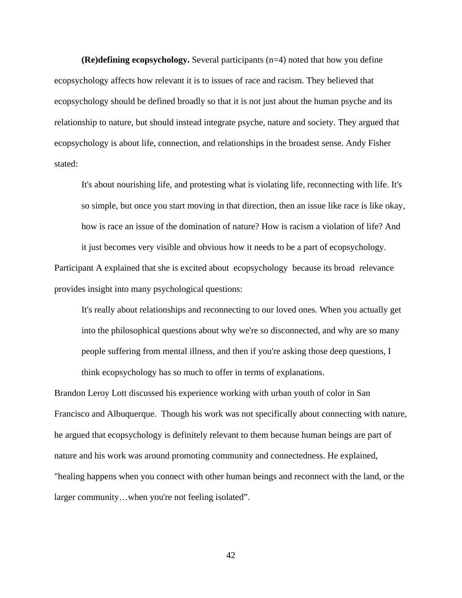**(Re)defining ecopsychology.** Several participants (n=4) noted that how you define ecopsychology affects how relevant it is to issues of race and racism. They believed that ecopsychology should be defined broadly so that it is not just about the human psyche and its relationship to nature, but should instead integrate psyche, nature and society. They argued that ecopsychology is about life, connection, and relationships in the broadest sense. Andy Fisher stated:

It's about nourishing life, and protesting what is violating life, reconnecting with life. It's so simple, but once you start moving in that direction, then an issue like race is like okay, how is race an issue of the domination of nature? How is racism a violation of life? And it just becomes very visible and obvious how it needs to be a part of ecopsychology.

Participant A explained that she is excited about ecopsychology because its broad relevance provides insight into many psychological questions:

It's really about relationships and reconnecting to our loved ones. When you actually get into the philosophical questions about why we're so disconnected, and why are so many people suffering from mental illness, and then if you're asking those deep questions, I think ecopsychology has so much to offer in terms of explanations.

Brandon Leroy Lott discussed his experience working with urban youth of color in San Francisco and Albuquerque. Though his work was not specifically about connecting with nature, he argued that ecopsychology is definitely relevant to them because human beings are part of nature and his work was around promoting community and connectedness. He explained, "healing happens when you connect with other human beings and reconnect with the land, or the larger community…when you're not feeling isolated".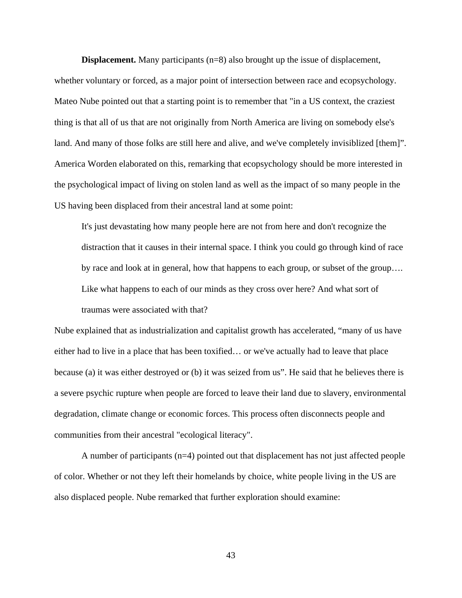**Displacement.** Many participants (n=8) also brought up the issue of displacement,

whether voluntary or forced, as a major point of intersection between race and ecopsychology. Mateo Nube pointed out that a starting point is to remember that "in a US context, the craziest thing is that all of us that are not originally from North America are living on somebody else's land. And many of those folks are still here and alive, and we've completely invisiblized [them]". America Worden elaborated on this, remarking that ecopsychology should be more interested in the psychological impact of living on stolen land as well as the impact of so many people in the US having been displaced from their ancestral land at some point:

It's just devastating how many people here are not from here and don't recognize the distraction that it causes in their internal space. I think you could go through kind of race by race and look at in general, how that happens to each group, or subset of the group…. Like what happens to each of our minds as they cross over here? And what sort of traumas were associated with that?

Nube explained that as industrialization and capitalist growth has accelerated, "many of us have either had to live in a place that has been toxified… or we've actually had to leave that place because (a) it was either destroyed or (b) it was seized from us". He said that he believes there is a severe psychic rupture when people are forced to leave their land due to slavery, environmental degradation, climate change or economic forces. This process often disconnects people and communities from their ancestral "ecological literacy".

 A number of participants (n=4) pointed out that displacement has not just affected people of color. Whether or not they left their homelands by choice, white people living in the US are also displaced people. Nube remarked that further exploration should examine: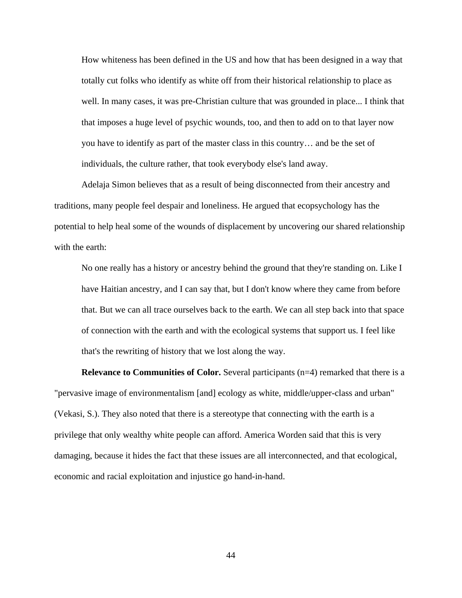How whiteness has been defined in the US and how that has been designed in a way that totally cut folks who identify as white off from their historical relationship to place as well. In many cases, it was pre-Christian culture that was grounded in place... I think that that imposes a huge level of psychic wounds, too, and then to add on to that layer now you have to identify as part of the master class in this country… and be the set of individuals, the culture rather, that took everybody else's land away.

Adelaja Simon believes that as a result of being disconnected from their ancestry and traditions, many people feel despair and loneliness. He argued that ecopsychology has the potential to help heal some of the wounds of displacement by uncovering our shared relationship with the earth:

No one really has a history or ancestry behind the ground that they're standing on. Like I have Haitian ancestry, and I can say that, but I don't know where they came from before that. But we can all trace ourselves back to the earth. We can all step back into that space of connection with the earth and with the ecological systems that support us. I feel like that's the rewriting of history that we lost along the way.

**Relevance to Communities of Color.** Several participants (n=4) remarked that there is a "pervasive image of environmentalism [and] ecology as white, middle/upper-class and urban" (Vekasi, S.). They also noted that there is a stereotype that connecting with the earth is a privilege that only wealthy white people can afford. America Worden said that this is very damaging, because it hides the fact that these issues are all interconnected, and that ecological, economic and racial exploitation and injustice go hand-in-hand.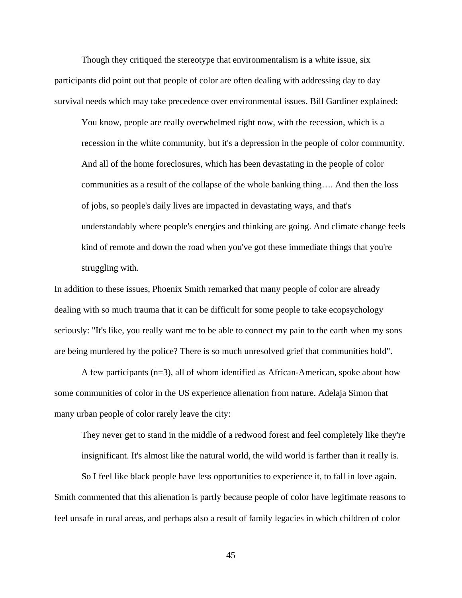Though they critiqued the stereotype that environmentalism is a white issue, six participants did point out that people of color are often dealing with addressing day to day survival needs which may take precedence over environmental issues. Bill Gardiner explained:

You know, people are really overwhelmed right now, with the recession, which is a recession in the white community, but it's a depression in the people of color community. And all of the home foreclosures, which has been devastating in the people of color communities as a result of the collapse of the whole banking thing…. And then the loss of jobs, so people's daily lives are impacted in devastating ways, and that's understandably where people's energies and thinking are going. And climate change feels kind of remote and down the road when you've got these immediate things that you're struggling with.

In addition to these issues, Phoenix Smith remarked that many people of color are already dealing with so much trauma that it can be difficult for some people to take ecopsychology seriously: "It's like, you really want me to be able to connect my pain to the earth when my sons are being murdered by the police? There is so much unresolved grief that communities hold".

A few participants  $(n=3)$ , all of whom identified as African-American, spoke about how some communities of color in the US experience alienation from nature. Adelaja Simon that many urban people of color rarely leave the city:

They never get to stand in the middle of a redwood forest and feel completely like they're insignificant. It's almost like the natural world, the wild world is farther than it really is.

So I feel like black people have less opportunities to experience it, to fall in love again. Smith commented that this alienation is partly because people of color have legitimate reasons to feel unsafe in rural areas, and perhaps also a result of family legacies in which children of color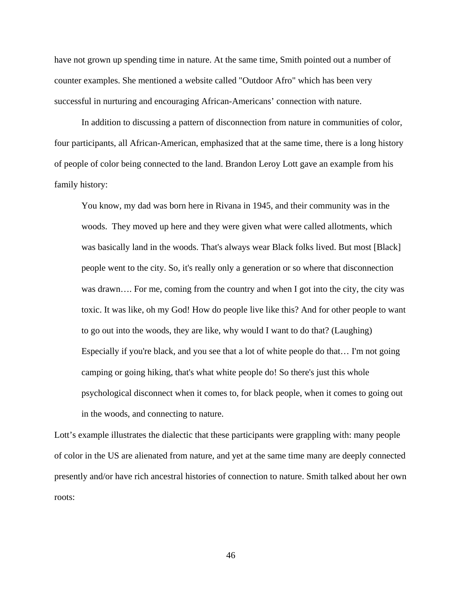have not grown up spending time in nature. At the same time, Smith pointed out a number of counter examples. She mentioned a website called "Outdoor Afro" which has been very successful in nurturing and encouraging African-Americans' connection with nature.

In addition to discussing a pattern of disconnection from nature in communities of color, four participants, all African-American, emphasized that at the same time, there is a long history of people of color being connected to the land. Brandon Leroy Lott gave an example from his family history:

You know, my dad was born here in Rivana in 1945, and their community was in the woods. They moved up here and they were given what were called allotments, which was basically land in the woods. That's always wear Black folks lived. But most [Black] people went to the city. So, it's really only a generation or so where that disconnection was drawn…. For me, coming from the country and when I got into the city, the city was toxic. It was like, oh my God! How do people live like this? And for other people to want to go out into the woods, they are like, why would I want to do that? (Laughing) Especially if you're black, and you see that a lot of white people do that… I'm not going camping or going hiking, that's what white people do! So there's just this whole psychological disconnect when it comes to, for black people, when it comes to going out in the woods, and connecting to nature.

Lott's example illustrates the dialectic that these participants were grappling with: many people of color in the US are alienated from nature, and yet at the same time many are deeply connected presently and/or have rich ancestral histories of connection to nature. Smith talked about her own roots: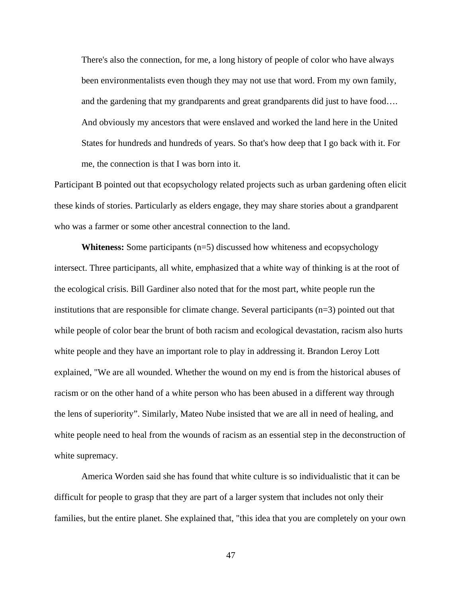There's also the connection, for me, a long history of people of color who have always been environmentalists even though they may not use that word. From my own family, and the gardening that my grandparents and great grandparents did just to have food…. And obviously my ancestors that were enslaved and worked the land here in the United States for hundreds and hundreds of years. So that's how deep that I go back with it. For me, the connection is that I was born into it.

Participant B pointed out that ecopsychology related projects such as urban gardening often elicit these kinds of stories. Particularly as elders engage, they may share stories about a grandparent who was a farmer or some other ancestral connection to the land.

**Whiteness:** Some participants (n=5) discussed how whiteness and ecopsychology intersect. Three participants, all white, emphasized that a white way of thinking is at the root of the ecological crisis. Bill Gardiner also noted that for the most part, white people run the institutions that are responsible for climate change. Several participants (n=3) pointed out that while people of color bear the brunt of both racism and ecological devastation, racism also hurts white people and they have an important role to play in addressing it. Brandon Leroy Lott explained, "We are all wounded. Whether the wound on my end is from the historical abuses of racism or on the other hand of a white person who has been abused in a different way through the lens of superiority". Similarly, Mateo Nube insisted that we are all in need of healing, and white people need to heal from the wounds of racism as an essential step in the deconstruction of white supremacy.

America Worden said she has found that white culture is so individualistic that it can be difficult for people to grasp that they are part of a larger system that includes not only their families, but the entire planet. She explained that, "this idea that you are completely on your own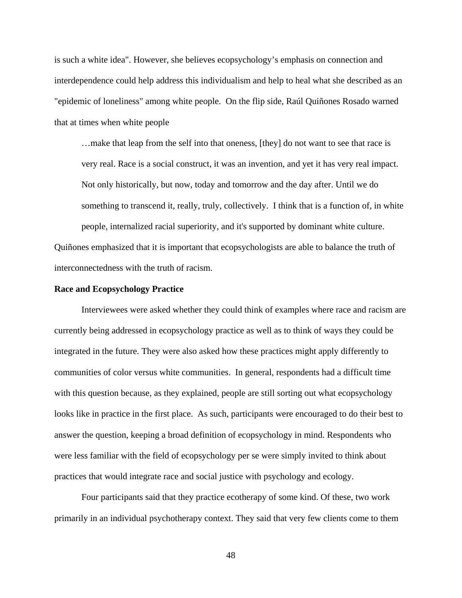is such a white idea". However, she believes ecopsychology's emphasis on connection and interdependence could help address this individualism and help to heal what she described as an "epidemic of loneliness" among white people. On the flip side, Raúl Quiñones Rosado warned that at times when white people

…make that leap from the self into that oneness, [they] do not want to see that race is very real. Race is a social construct, it was an invention, and yet it has very real impact. Not only historically, but now, today and tomorrow and the day after. Until we do something to transcend it, really, truly, collectively. I think that is a function of, in white people, internalized racial superiority, and it's supported by dominant white culture.

Quiñones emphasized that it is important that ecopsychologists are able to balance the truth of interconnectedness with the truth of racism.

#### **Race and Ecopsychology Practice**

Interviewees were asked whether they could think of examples where race and racism are currently being addressed in ecopsychology practice as well as to think of ways they could be integrated in the future. They were also asked how these practices might apply differently to communities of color versus white communities. In general, respondents had a difficult time with this question because, as they explained, people are still sorting out what ecopsychology looks like in practice in the first place. As such, participants were encouraged to do their best to answer the question, keeping a broad definition of ecopsychology in mind. Respondents who were less familiar with the field of ecopsychology per se were simply invited to think about practices that would integrate race and social justice with psychology and ecology.

Four participants said that they practice ecotherapy of some kind. Of these, two work primarily in an individual psychotherapy context. They said that very few clients come to them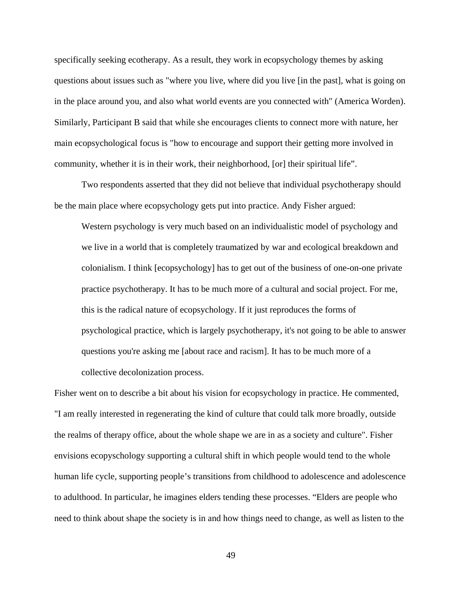specifically seeking ecotherapy. As a result, they work in ecopsychology themes by asking questions about issues such as "where you live, where did you live [in the past], what is going on in the place around you, and also what world events are you connected with" (America Worden). Similarly, Participant B said that while she encourages clients to connect more with nature, her main ecopsychological focus is "how to encourage and support their getting more involved in community, whether it is in their work, their neighborhood, [or] their spiritual life".

 Two respondents asserted that they did not believe that individual psychotherapy should be the main place where ecopsychology gets put into practice. Andy Fisher argued:

Western psychology is very much based on an individualistic model of psychology and we live in a world that is completely traumatized by war and ecological breakdown and colonialism. I think [ecopsychology] has to get out of the business of one-on-one private practice psychotherapy. It has to be much more of a cultural and social project. For me, this is the radical nature of ecopsychology. If it just reproduces the forms of psychological practice, which is largely psychotherapy, it's not going to be able to answer questions you're asking me [about race and racism]. It has to be much more of a collective decolonization process.

Fisher went on to describe a bit about his vision for ecopsychology in practice. He commented, "I am really interested in regenerating the kind of culture that could talk more broadly, outside the realms of therapy office, about the whole shape we are in as a society and culture". Fisher envisions ecopyschology supporting a cultural shift in which people would tend to the whole human life cycle, supporting people's transitions from childhood to adolescence and adolescence to adulthood. In particular, he imagines elders tending these processes. "Elders are people who need to think about shape the society is in and how things need to change, as well as listen to the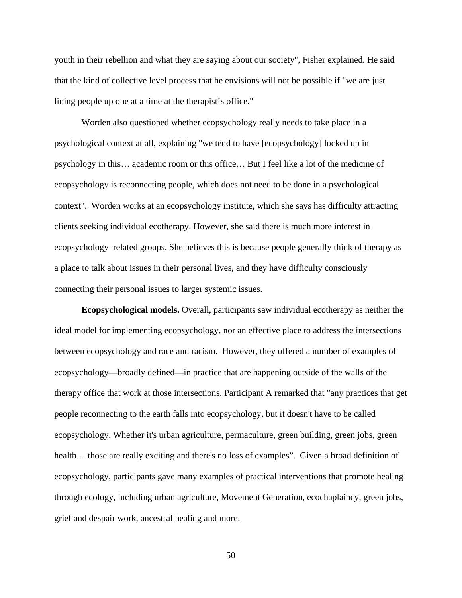youth in their rebellion and what they are saying about our society", Fisher explained. He said that the kind of collective level process that he envisions will not be possible if "we are just lining people up one at a time at the therapist's office."

Worden also questioned whether ecopsychology really needs to take place in a psychological context at all, explaining "we tend to have [ecopsychology] locked up in psychology in this… academic room or this office… But I feel like a lot of the medicine of ecopsychology is reconnecting people, which does not need to be done in a psychological context". Worden works at an ecopsychology institute, which she says has difficulty attracting clients seeking individual ecotherapy. However, she said there is much more interest in ecopsychology–related groups. She believes this is because people generally think of therapy as a place to talk about issues in their personal lives, and they have difficulty consciously connecting their personal issues to larger systemic issues.

**Ecopsychological models.** Overall, participants saw individual ecotherapy as neither the ideal model for implementing ecopsychology, nor an effective place to address the intersections between ecopsychology and race and racism. However, they offered a number of examples of ecopsychology—broadly defined—in practice that are happening outside of the walls of the therapy office that work at those intersections. Participant A remarked that "any practices that get people reconnecting to the earth falls into ecopsychology, but it doesn't have to be called ecopsychology. Whether it's urban agriculture, permaculture, green building, green jobs, green health... those are really exciting and there's no loss of examples". Given a broad definition of ecopsychology, participants gave many examples of practical interventions that promote healing through ecology, including urban agriculture, Movement Generation, ecochaplaincy, green jobs, grief and despair work, ancestral healing and more.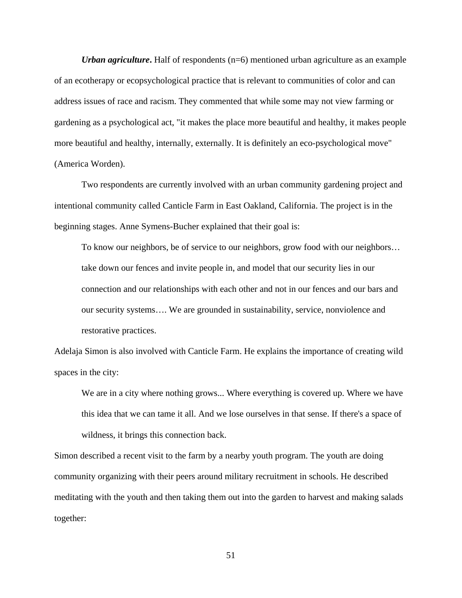*Urban agriculture*. Half of respondents (n=6) mentioned urban agriculture as an example of an ecotherapy or ecopsychological practice that is relevant to communities of color and can address issues of race and racism. They commented that while some may not view farming or gardening as a psychological act, "it makes the place more beautiful and healthy, it makes people more beautiful and healthy, internally, externally. It is definitely an eco-psychological move" (America Worden).

Two respondents are currently involved with an urban community gardening project and intentional community called Canticle Farm in East Oakland, California. The project is in the beginning stages. Anne Symens-Bucher explained that their goal is:

To know our neighbors, be of service to our neighbors, grow food with our neighbors… take down our fences and invite people in, and model that our security lies in our connection and our relationships with each other and not in our fences and our bars and our security systems…. We are grounded in sustainability, service, nonviolence and restorative practices.

Adelaja Simon is also involved with Canticle Farm. He explains the importance of creating wild spaces in the city:

We are in a city where nothing grows... Where everything is covered up. Where we have this idea that we can tame it all. And we lose ourselves in that sense. If there's a space of wildness, it brings this connection back.

Simon described a recent visit to the farm by a nearby youth program. The youth are doing community organizing with their peers around military recruitment in schools. He described meditating with the youth and then taking them out into the garden to harvest and making salads together: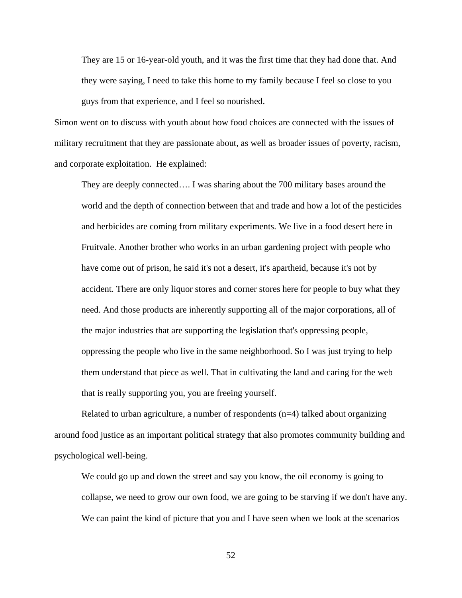They are 15 or 16-year-old youth, and it was the first time that they had done that. And they were saying, I need to take this home to my family because I feel so close to you guys from that experience, and I feel so nourished.

Simon went on to discuss with youth about how food choices are connected with the issues of military recruitment that they are passionate about, as well as broader issues of poverty, racism, and corporate exploitation. He explained:

They are deeply connected…. I was sharing about the 700 military bases around the world and the depth of connection between that and trade and how a lot of the pesticides and herbicides are coming from military experiments. We live in a food desert here in Fruitvale. Another brother who works in an urban gardening project with people who have come out of prison, he said it's not a desert, it's apartheid, because it's not by accident. There are only liquor stores and corner stores here for people to buy what they need. And those products are inherently supporting all of the major corporations, all of the major industries that are supporting the legislation that's oppressing people, oppressing the people who live in the same neighborhood. So I was just trying to help them understand that piece as well. That in cultivating the land and caring for the web that is really supporting you, you are freeing yourself.

Related to urban agriculture, a number of respondents (n=4) talked about organizing around food justice as an important political strategy that also promotes community building and psychological well-being.

We could go up and down the street and say you know, the oil economy is going to collapse, we need to grow our own food, we are going to be starving if we don't have any. We can paint the kind of picture that you and I have seen when we look at the scenarios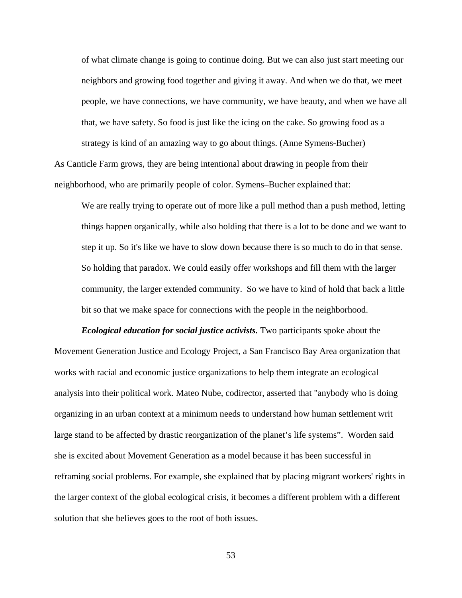of what climate change is going to continue doing. But we can also just start meeting our neighbors and growing food together and giving it away. And when we do that, we meet people, we have connections, we have community, we have beauty, and when we have all that, we have safety. So food is just like the icing on the cake. So growing food as a strategy is kind of an amazing way to go about things. (Anne Symens-Bucher) As Canticle Farm grows, they are being intentional about drawing in people from their

neighborhood, who are primarily people of color. Symens–Bucher explained that:

We are really trying to operate out of more like a pull method than a push method, letting things happen organically, while also holding that there is a lot to be done and we want to step it up. So it's like we have to slow down because there is so much to do in that sense. So holding that paradox. We could easily offer workshops and fill them with the larger community, the larger extended community. So we have to kind of hold that back a little bit so that we make space for connections with the people in the neighborhood.

*Ecological education for social justice activists.* Two participants spoke about the Movement Generation Justice and Ecology Project, a San Francisco Bay Area organization that works with racial and economic justice organizations to help them integrate an ecological analysis into their political work. Mateo Nube, codirector, asserted that "anybody who is doing organizing in an urban context at a minimum needs to understand how human settlement writ large stand to be affected by drastic reorganization of the planet's life systems". Worden said she is excited about Movement Generation as a model because it has been successful in reframing social problems. For example, she explained that by placing migrant workers' rights in the larger context of the global ecological crisis, it becomes a different problem with a different solution that she believes goes to the root of both issues.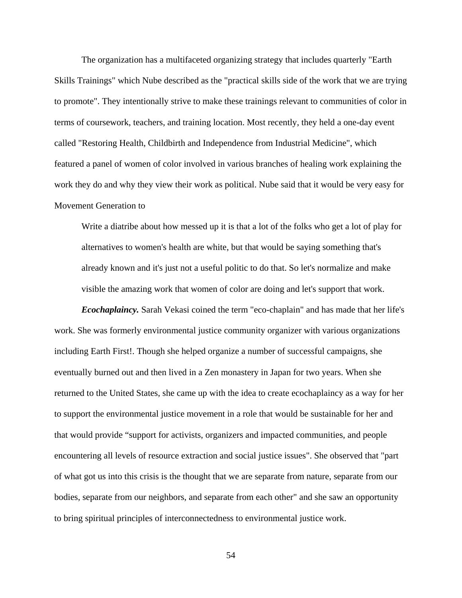The organization has a multifaceted organizing strategy that includes quarterly "Earth Skills Trainings" which Nube described as the "practical skills side of the work that we are trying to promote". They intentionally strive to make these trainings relevant to communities of color in terms of coursework, teachers, and training location. Most recently, they held a one-day event called "Restoring Health, Childbirth and Independence from Industrial Medicine", which featured a panel of women of color involved in various branches of healing work explaining the work they do and why they view their work as political. Nube said that it would be very easy for Movement Generation to

Write a diatribe about how messed up it is that a lot of the folks who get a lot of play for alternatives to women's health are white, but that would be saying something that's already known and it's just not a useful politic to do that. So let's normalize and make visible the amazing work that women of color are doing and let's support that work.

*Ecochaplaincy.* Sarah Vekasi coined the term "eco-chaplain" and has made that her life's work. She was formerly environmental justice community organizer with various organizations including Earth First!. Though she helped organize a number of successful campaigns, she eventually burned out and then lived in a Zen monastery in Japan for two years. When she returned to the United States, she came up with the idea to create ecochaplaincy as a way for her to support the environmental justice movement in a role that would be sustainable for her and that would provide "support for activists, organizers and impacted communities, and people encountering all levels of resource extraction and social justice issues". She observed that "part of what got us into this crisis is the thought that we are separate from nature, separate from our bodies, separate from our neighbors, and separate from each other" and she saw an opportunity to bring spiritual principles of interconnectedness to environmental justice work.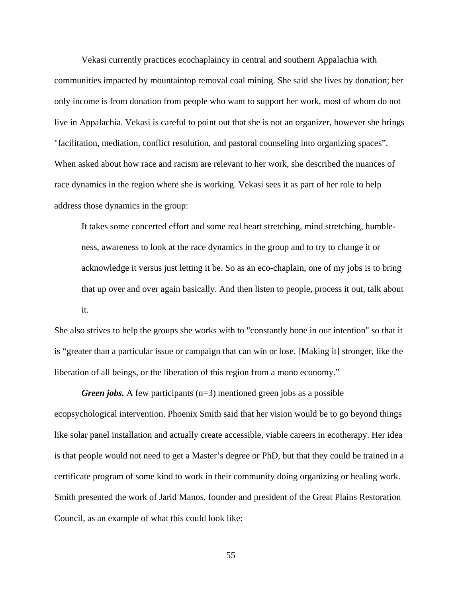Vekasi currently practices ecochaplaincy in central and southern Appalachia with communities impacted by mountaintop removal coal mining. She said she lives by donation; her only income is from donation from people who want to support her work, most of whom do not live in Appalachia. Vekasi is careful to point out that she is not an organizer, however she brings "facilitation, mediation, conflict resolution, and pastoral counseling into organizing spaces". When asked about how race and racism are relevant to her work, she described the nuances of race dynamics in the region where she is working. Vekasi sees it as part of her role to help address those dynamics in the group:

It takes some concerted effort and some real heart stretching, mind stretching, humbleness, awareness to look at the race dynamics in the group and to try to change it or acknowledge it versus just letting it be. So as an eco-chaplain, one of my jobs is to bring that up over and over again basically. And then listen to people, process it out, talk about it.

She also strives to help the groups she works with to "constantly hone in our intention" so that it is "greater than a particular issue or campaign that can win or lose. [Making it] stronger, like the liberation of all beings, or the liberation of this region from a mono economy."

*Green jobs.* A few participants (n=3) mentioned green jobs as a possible ecopsychological intervention. Phoenix Smith said that her vision would be to go beyond things like solar panel installation and actually create accessible, viable careers in ecotherapy. Her idea is that people would not need to get a Master's degree or PhD, but that they could be trained in a certificate program of some kind to work in their community doing organizing or healing work. Smith presented the work of Jarid Manos, founder and president of the Great Plains Restoration Council, as an example of what this could look like: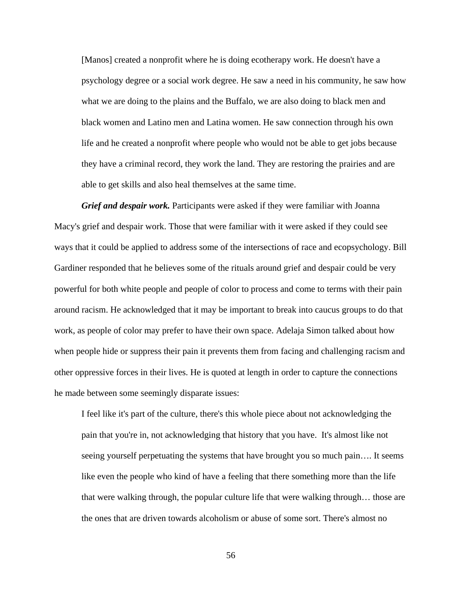[Manos] created a nonprofit where he is doing ecotherapy work. He doesn't have a psychology degree or a social work degree. He saw a need in his community, he saw how what we are doing to the plains and the Buffalo, we are also doing to black men and black women and Latino men and Latina women. He saw connection through his own life and he created a nonprofit where people who would not be able to get jobs because they have a criminal record, they work the land. They are restoring the prairies and are able to get skills and also heal themselves at the same time.

*Grief and despair work.* Participants were asked if they were familiar with Joanna Macy's grief and despair work. Those that were familiar with it were asked if they could see ways that it could be applied to address some of the intersections of race and ecopsychology. Bill Gardiner responded that he believes some of the rituals around grief and despair could be very powerful for both white people and people of color to process and come to terms with their pain around racism. He acknowledged that it may be important to break into caucus groups to do that work, as people of color may prefer to have their own space. Adelaja Simon talked about how when people hide or suppress their pain it prevents them from facing and challenging racism and other oppressive forces in their lives. He is quoted at length in order to capture the connections he made between some seemingly disparate issues:

I feel like it's part of the culture, there's this whole piece about not acknowledging the pain that you're in, not acknowledging that history that you have. It's almost like not seeing yourself perpetuating the systems that have brought you so much pain…. It seems like even the people who kind of have a feeling that there something more than the life that were walking through, the popular culture life that were walking through… those are the ones that are driven towards alcoholism or abuse of some sort. There's almost no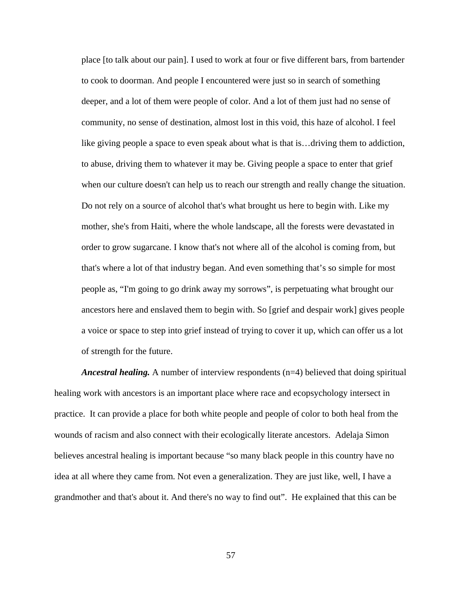place [to talk about our pain]. I used to work at four or five different bars, from bartender to cook to doorman. And people I encountered were just so in search of something deeper, and a lot of them were people of color. And a lot of them just had no sense of community, no sense of destination, almost lost in this void, this haze of alcohol. I feel like giving people a space to even speak about what is that is…driving them to addiction, to abuse, driving them to whatever it may be. Giving people a space to enter that grief when our culture doesn't can help us to reach our strength and really change the situation. Do not rely on a source of alcohol that's what brought us here to begin with. Like my mother, she's from Haiti, where the whole landscape, all the forests were devastated in order to grow sugarcane. I know that's not where all of the alcohol is coming from, but that's where a lot of that industry began. And even something that's so simple for most people as, "I'm going to go drink away my sorrows", is perpetuating what brought our ancestors here and enslaved them to begin with. So [grief and despair work] gives people a voice or space to step into grief instead of trying to cover it up, which can offer us a lot of strength for the future.

*Ancestral healing.* A number of interview respondents (n=4) believed that doing spiritual healing work with ancestors is an important place where race and ecopsychology intersect in practice. It can provide a place for both white people and people of color to both heal from the wounds of racism and also connect with their ecologically literate ancestors. Adelaja Simon believes ancestral healing is important because "so many black people in this country have no idea at all where they came from. Not even a generalization. They are just like, well, I have a grandmother and that's about it. And there's no way to find out". He explained that this can be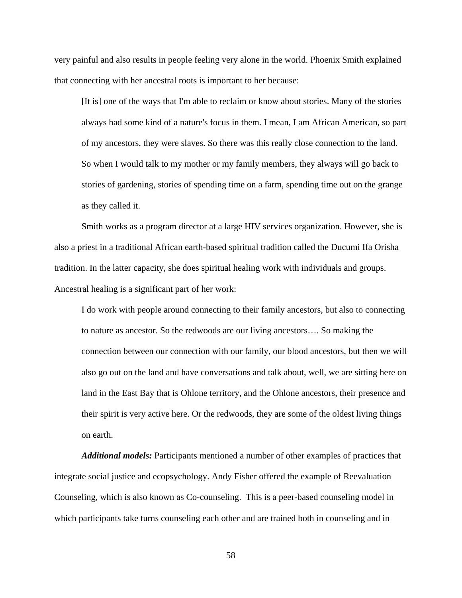very painful and also results in people feeling very alone in the world. Phoenix Smith explained that connecting with her ancestral roots is important to her because:

[It is] one of the ways that I'm able to reclaim or know about stories. Many of the stories always had some kind of a nature's focus in them. I mean, I am African American, so part of my ancestors, they were slaves. So there was this really close connection to the land. So when I would talk to my mother or my family members, they always will go back to stories of gardening, stories of spending time on a farm, spending time out on the grange as they called it.

Smith works as a program director at a large HIV services organization. However, she is also a priest in a traditional African earth-based spiritual tradition called the Ducumi Ifa Orisha tradition. In the latter capacity, she does spiritual healing work with individuals and groups. Ancestral healing is a significant part of her work:

I do work with people around connecting to their family ancestors, but also to connecting to nature as ancestor. So the redwoods are our living ancestors…. So making the connection between our connection with our family, our blood ancestors, but then we will also go out on the land and have conversations and talk about, well, we are sitting here on land in the East Bay that is Ohlone territory, and the Ohlone ancestors, their presence and their spirit is very active here. Or the redwoods, they are some of the oldest living things on earth.

*Additional models:* Participants mentioned a number of other examples of practices that integrate social justice and ecopsychology. Andy Fisher offered the example of Reevaluation Counseling, which is also known as Co-counseling. This is a peer-based counseling model in which participants take turns counseling each other and are trained both in counseling and in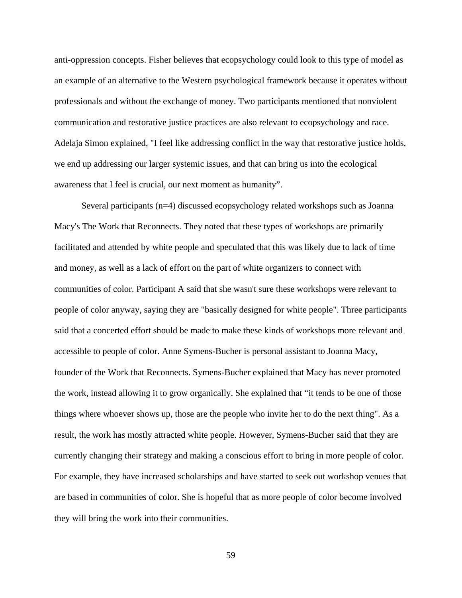anti-oppression concepts. Fisher believes that ecopsychology could look to this type of model as an example of an alternative to the Western psychological framework because it operates without professionals and without the exchange of money. Two participants mentioned that nonviolent communication and restorative justice practices are also relevant to ecopsychology and race. Adelaja Simon explained, "I feel like addressing conflict in the way that restorative justice holds, we end up addressing our larger systemic issues, and that can bring us into the ecological awareness that I feel is crucial, our next moment as humanity".

Several participants (n=4) discussed ecopsychology related workshops such as Joanna Macy's The Work that Reconnects. They noted that these types of workshops are primarily facilitated and attended by white people and speculated that this was likely due to lack of time and money, as well as a lack of effort on the part of white organizers to connect with communities of color. Participant A said that she wasn't sure these workshops were relevant to people of color anyway, saying they are "basically designed for white people". Three participants said that a concerted effort should be made to make these kinds of workshops more relevant and accessible to people of color. Anne Symens-Bucher is personal assistant to Joanna Macy, founder of the Work that Reconnects. Symens-Bucher explained that Macy has never promoted the work, instead allowing it to grow organically. She explained that "it tends to be one of those things where whoever shows up, those are the people who invite her to do the next thing". As a result, the work has mostly attracted white people. However, Symens-Bucher said that they are currently changing their strategy and making a conscious effort to bring in more people of color. For example, they have increased scholarships and have started to seek out workshop venues that are based in communities of color. She is hopeful that as more people of color become involved they will bring the work into their communities.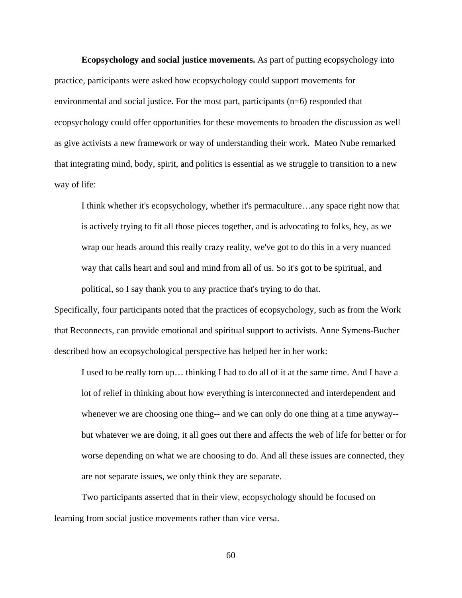**Ecopsychology and social justice movements.** As part of putting ecopsychology into practice, participants were asked how ecopsychology could support movements for environmental and social justice. For the most part, participants (n=6) responded that ecopsychology could offer opportunities for these movements to broaden the discussion as well as give activists a new framework or way of understanding their work. Mateo Nube remarked that integrating mind, body, spirit, and politics is essential as we struggle to transition to a new way of life:

I think whether it's ecopsychology, whether it's permaculture…any space right now that is actively trying to fit all those pieces together, and is advocating to folks, hey, as we wrap our heads around this really crazy reality, we've got to do this in a very nuanced way that calls heart and soul and mind from all of us. So it's got to be spiritual, and political, so I say thank you to any practice that's trying to do that.

Specifically, four participants noted that the practices of ecopsychology, such as from the Work that Reconnects, can provide emotional and spiritual support to activists. Anne Symens-Bucher described how an ecopsychological perspective has helped her in her work:

I used to be really torn up… thinking I had to do all of it at the same time. And I have a lot of relief in thinking about how everything is interconnected and interdependent and whenever we are choosing one thing-- and we can only do one thing at a time anyway- but whatever we are doing, it all goes out there and affects the web of life for better or for worse depending on what we are choosing to do. And all these issues are connected, they are not separate issues, we only think they are separate.

Two participants asserted that in their view, ecopsychology should be focused on learning from social justice movements rather than vice versa.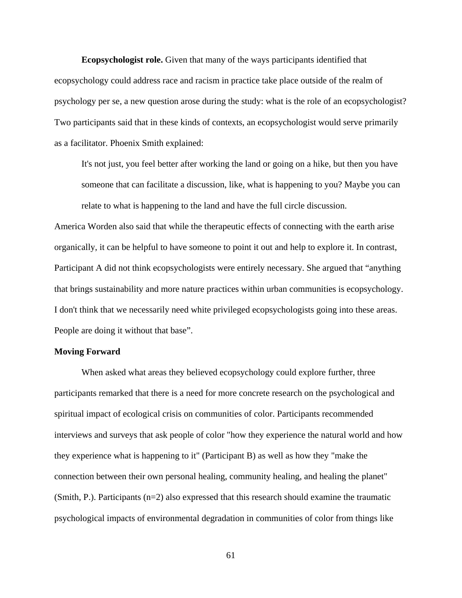**Ecopsychologist role.** Given that many of the ways participants identified that ecopsychology could address race and racism in practice take place outside of the realm of psychology per se, a new question arose during the study: what is the role of an ecopsychologist? Two participants said that in these kinds of contexts, an ecopsychologist would serve primarily as a facilitator. Phoenix Smith explained:

It's not just, you feel better after working the land or going on a hike, but then you have someone that can facilitate a discussion, like, what is happening to you? Maybe you can relate to what is happening to the land and have the full circle discussion.

America Worden also said that while the therapeutic effects of connecting with the earth arise organically, it can be helpful to have someone to point it out and help to explore it. In contrast, Participant A did not think ecopsychologists were entirely necessary. She argued that "anything that brings sustainability and more nature practices within urban communities is ecopsychology. I don't think that we necessarily need white privileged ecopsychologists going into these areas. People are doing it without that base".

### **Moving Forward**

When asked what areas they believed ecopsychology could explore further, three participants remarked that there is a need for more concrete research on the psychological and spiritual impact of ecological crisis on communities of color. Participants recommended interviews and surveys that ask people of color "how they experience the natural world and how they experience what is happening to it" (Participant B) as well as how they "make the connection between their own personal healing, community healing, and healing the planet" (Smith, P.). Participants (n=2) also expressed that this research should examine the traumatic psychological impacts of environmental degradation in communities of color from things like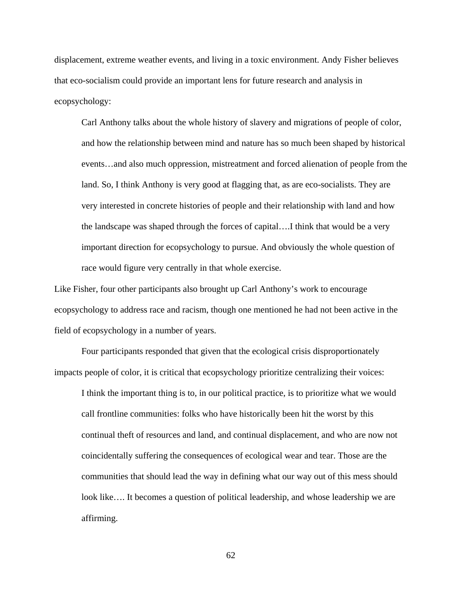displacement, extreme weather events, and living in a toxic environment. Andy Fisher believes that eco-socialism could provide an important lens for future research and analysis in ecopsychology:

Carl Anthony talks about the whole history of slavery and migrations of people of color, and how the relationship between mind and nature has so much been shaped by historical events…and also much oppression, mistreatment and forced alienation of people from the land. So, I think Anthony is very good at flagging that, as are eco-socialists. They are very interested in concrete histories of people and their relationship with land and how the landscape was shaped through the forces of capital….I think that would be a very important direction for ecopsychology to pursue. And obviously the whole question of race would figure very centrally in that whole exercise.

Like Fisher, four other participants also brought up Carl Anthony's work to encourage ecopsychology to address race and racism, though one mentioned he had not been active in the field of ecopsychology in a number of years.

Four participants responded that given that the ecological crisis disproportionately impacts people of color, it is critical that ecopsychology prioritize centralizing their voices:

I think the important thing is to, in our political practice, is to prioritize what we would call frontline communities: folks who have historically been hit the worst by this continual theft of resources and land, and continual displacement, and who are now not coincidentally suffering the consequences of ecological wear and tear. Those are the communities that should lead the way in defining what our way out of this mess should look like…. It becomes a question of political leadership, and whose leadership we are affirming.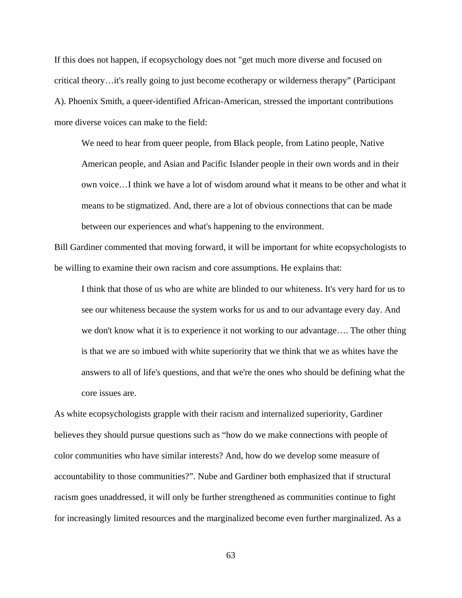If this does not happen, if ecopsychology does not "get much more diverse and focused on critical theory…it's really going to just become ecotherapy or wilderness therapy" (Participant A). Phoenix Smith, a queer-identified African-American, stressed the important contributions more diverse voices can make to the field:

We need to hear from queer people, from Black people, from Latino people, Native American people, and Asian and Pacific Islander people in their own words and in their own voice…I think we have a lot of wisdom around what it means to be other and what it means to be stigmatized. And, there are a lot of obvious connections that can be made between our experiences and what's happening to the environment.

Bill Gardiner commented that moving forward, it will be important for white ecopsychologists to be willing to examine their own racism and core assumptions. He explains that:

I think that those of us who are white are blinded to our whiteness. It's very hard for us to see our whiteness because the system works for us and to our advantage every day. And we don't know what it is to experience it not working to our advantage…. The other thing is that we are so imbued with white superiority that we think that we as whites have the answers to all of life's questions, and that we're the ones who should be defining what the core issues are.

As white ecopsychologists grapple with their racism and internalized superiority, Gardiner believes they should pursue questions such as "how do we make connections with people of color communities who have similar interests? And, how do we develop some measure of accountability to those communities?". Nube and Gardiner both emphasized that if structural racism goes unaddressed, it will only be further strengthened as communities continue to fight for increasingly limited resources and the marginalized become even further marginalized. As a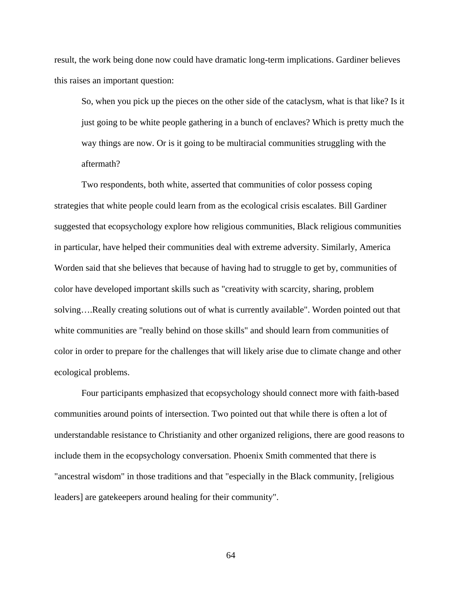result, the work being done now could have dramatic long-term implications. Gardiner believes this raises an important question:

So, when you pick up the pieces on the other side of the cataclysm, what is that like? Is it just going to be white people gathering in a bunch of enclaves? Which is pretty much the way things are now. Or is it going to be multiracial communities struggling with the aftermath?

Two respondents, both white, asserted that communities of color possess coping strategies that white people could learn from as the ecological crisis escalates. Bill Gardiner suggested that ecopsychology explore how religious communities, Black religious communities in particular, have helped their communities deal with extreme adversity. Similarly, America Worden said that she believes that because of having had to struggle to get by, communities of color have developed important skills such as "creativity with scarcity, sharing, problem solving….Really creating solutions out of what is currently available". Worden pointed out that white communities are "really behind on those skills" and should learn from communities of color in order to prepare for the challenges that will likely arise due to climate change and other ecological problems.

Four participants emphasized that ecopsychology should connect more with faith-based communities around points of intersection. Two pointed out that while there is often a lot of understandable resistance to Christianity and other organized religions, there are good reasons to include them in the ecopsychology conversation. Phoenix Smith commented that there is "ancestral wisdom" in those traditions and that "especially in the Black community, [religious leaders] are gatekeepers around healing for their community".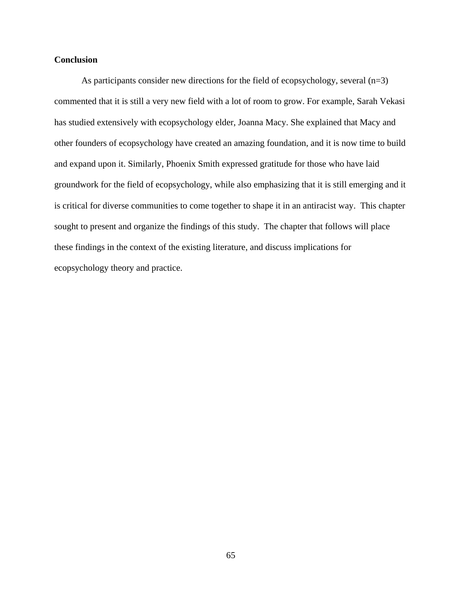# **Conclusion**

As participants consider new directions for the field of ecopsychology, several (n=3) commented that it is still a very new field with a lot of room to grow. For example, Sarah Vekasi has studied extensively with ecopsychology elder, Joanna Macy. She explained that Macy and other founders of ecopsychology have created an amazing foundation, and it is now time to build and expand upon it. Similarly, Phoenix Smith expressed gratitude for those who have laid groundwork for the field of ecopsychology, while also emphasizing that it is still emerging and it is critical for diverse communities to come together to shape it in an antiracist way. This chapter sought to present and organize the findings of this study. The chapter that follows will place these findings in the context of the existing literature, and discuss implications for ecopsychology theory and practice.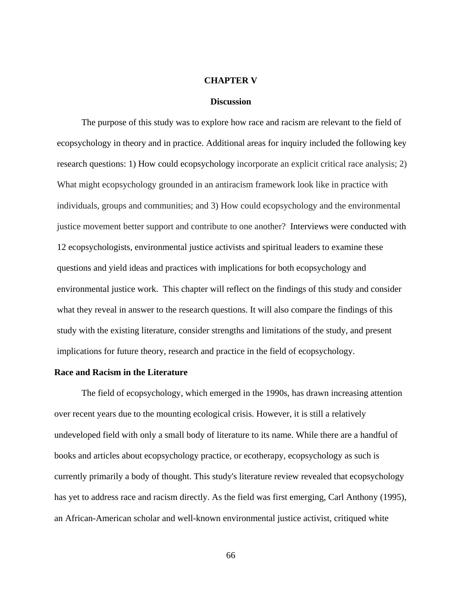### **CHAPTER V**

#### **Discussion**

The purpose of this study was to explore how race and racism are relevant to the field of ecopsychology in theory and in practice. Additional areas for inquiry included the following key research questions: 1) How could ecopsychology incorporate an explicit critical race analysis; 2) What might ecopsychology grounded in an antiracism framework look like in practice with individuals, groups and communities; and 3) How could ecopsychology and the environmental justice movement better support and contribute to one another? Interviews were conducted with 12 ecopsychologists, environmental justice activists and spiritual leaders to examine these questions and yield ideas and practices with implications for both ecopsychology and environmental justice work. This chapter will reflect on the findings of this study and consider what they reveal in answer to the research questions. It will also compare the findings of this study with the existing literature, consider strengths and limitations of the study, and present implications for future theory, research and practice in the field of ecopsychology.

#### **Race and Racism in the Literature**

The field of ecopsychology, which emerged in the 1990s, has drawn increasing attention over recent years due to the mounting ecological crisis. However, it is still a relatively undeveloped field with only a small body of literature to its name. While there are a handful of books and articles about ecopsychology practice, or ecotherapy, ecopsychology as such is currently primarily a body of thought. This study's literature review revealed that ecopsychology has yet to address race and racism directly. As the field was first emerging, Carl Anthony (1995), an African-American scholar and well-known environmental justice activist, critiqued white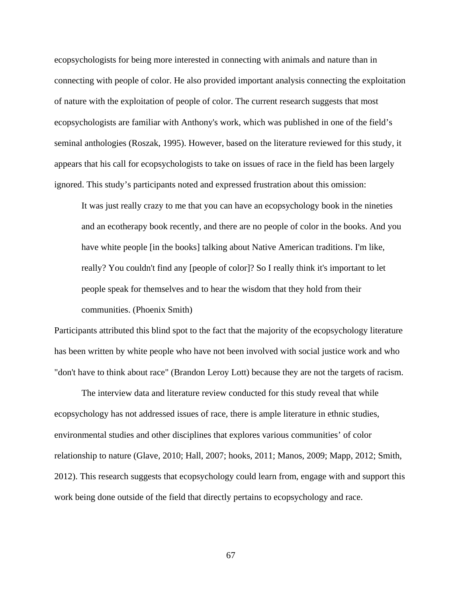ecopsychologists for being more interested in connecting with animals and nature than in connecting with people of color. He also provided important analysis connecting the exploitation of nature with the exploitation of people of color. The current research suggests that most ecopsychologists are familiar with Anthony's work, which was published in one of the field's seminal anthologies (Roszak, 1995). However, based on the literature reviewed for this study, it appears that his call for ecopsychologists to take on issues of race in the field has been largely ignored. This study's participants noted and expressed frustration about this omission:

It was just really crazy to me that you can have an ecopsychology book in the nineties and an ecotherapy book recently, and there are no people of color in the books. And you have white people [in the books] talking about Native American traditions. I'm like, really? You couldn't find any [people of color]? So I really think it's important to let people speak for themselves and to hear the wisdom that they hold from their communities. (Phoenix Smith)

Participants attributed this blind spot to the fact that the majority of the ecopsychology literature has been written by white people who have not been involved with social justice work and who "don't have to think about race" (Brandon Leroy Lott) because they are not the targets of racism.

The interview data and literature review conducted for this study reveal that while ecopsychology has not addressed issues of race, there is ample literature in ethnic studies, environmental studies and other disciplines that explores various communities' of color relationship to nature (Glave, 2010; Hall, 2007; hooks, 2011; Manos, 2009; Mapp, 2012; Smith, 2012). This research suggests that ecopsychology could learn from, engage with and support this work being done outside of the field that directly pertains to ecopsychology and race.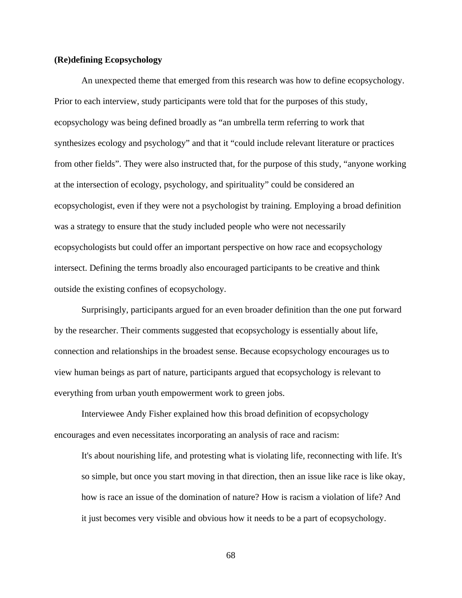#### **(Re)defining Ecopsychology**

An unexpected theme that emerged from this research was how to define ecopsychology. Prior to each interview, study participants were told that for the purposes of this study, ecopsychology was being defined broadly as "an umbrella term referring to work that synthesizes ecology and psychology" and that it "could include relevant literature or practices from other fields". They were also instructed that, for the purpose of this study, "anyone working at the intersection of ecology, psychology, and spirituality" could be considered an ecopsychologist, even if they were not a psychologist by training. Employing a broad definition was a strategy to ensure that the study included people who were not necessarily ecopsychologists but could offer an important perspective on how race and ecopsychology intersect. Defining the terms broadly also encouraged participants to be creative and think outside the existing confines of ecopsychology.

Surprisingly, participants argued for an even broader definition than the one put forward by the researcher. Their comments suggested that ecopsychology is essentially about life, connection and relationships in the broadest sense. Because ecopsychology encourages us to view human beings as part of nature, participants argued that ecopsychology is relevant to everything from urban youth empowerment work to green jobs.

Interviewee Andy Fisher explained how this broad definition of ecopsychology encourages and even necessitates incorporating an analysis of race and racism:

It's about nourishing life, and protesting what is violating life, reconnecting with life. It's so simple, but once you start moving in that direction, then an issue like race is like okay, how is race an issue of the domination of nature? How is racism a violation of life? And it just becomes very visible and obvious how it needs to be a part of ecopsychology.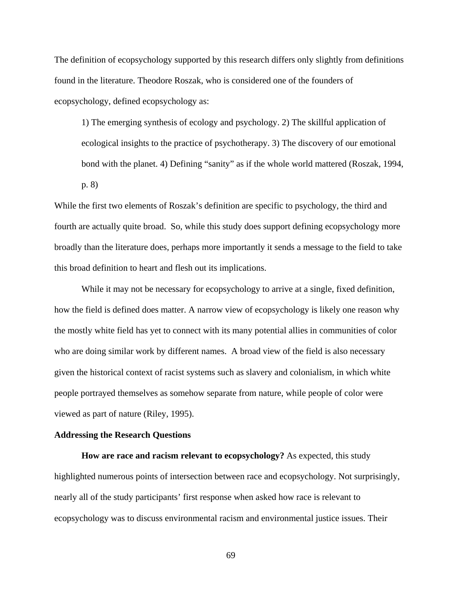The definition of ecopsychology supported by this research differs only slightly from definitions found in the literature. Theodore Roszak, who is considered one of the founders of ecopsychology, defined ecopsychology as:

1) The emerging synthesis of ecology and psychology. 2) The skillful application of ecological insights to the practice of psychotherapy. 3) The discovery of our emotional bond with the planet. 4) Defining "sanity" as if the whole world mattered (Roszak, 1994, p. 8)

While the first two elements of Roszak's definition are specific to psychology, the third and fourth are actually quite broad. So, while this study does support defining ecopsychology more broadly than the literature does, perhaps more importantly it sends a message to the field to take this broad definition to heart and flesh out its implications.

 While it may not be necessary for ecopsychology to arrive at a single, fixed definition, how the field is defined does matter. A narrow view of ecopsychology is likely one reason why the mostly white field has yet to connect with its many potential allies in communities of color who are doing similar work by different names. A broad view of the field is also necessary given the historical context of racist systems such as slavery and colonialism, in which white people portrayed themselves as somehow separate from nature, while people of color were viewed as part of nature (Riley, 1995).

#### **Addressing the Research Questions**

 **How are race and racism relevant to ecopsychology?** As expected, this study highlighted numerous points of intersection between race and ecopsychology. Not surprisingly, nearly all of the study participants' first response when asked how race is relevant to ecopsychology was to discuss environmental racism and environmental justice issues. Their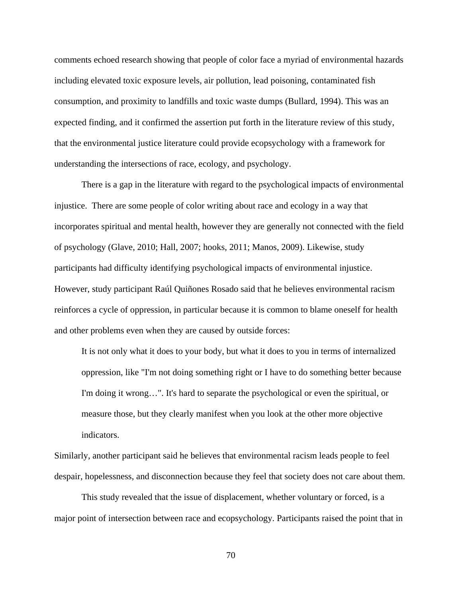comments echoed research showing that people of color face a myriad of environmental hazards including elevated toxic exposure levels, air pollution, lead poisoning, contaminated fish consumption, and proximity to landfills and toxic waste dumps (Bullard, 1994). This was an expected finding, and it confirmed the assertion put forth in the literature review of this study, that the environmental justice literature could provide ecopsychology with a framework for understanding the intersections of race, ecology, and psychology.

There is a gap in the literature with regard to the psychological impacts of environmental injustice. There are some people of color writing about race and ecology in a way that incorporates spiritual and mental health, however they are generally not connected with the field of psychology (Glave, 2010; Hall, 2007; hooks, 2011; Manos, 2009). Likewise, study participants had difficulty identifying psychological impacts of environmental injustice. However, study participant Raúl Quiñones Rosado said that he believes environmental racism reinforces a cycle of oppression, in particular because it is common to blame oneself for health and other problems even when they are caused by outside forces:

It is not only what it does to your body, but what it does to you in terms of internalized oppression, like "I'm not doing something right or I have to do something better because I'm doing it wrong…". It's hard to separate the psychological or even the spiritual, or measure those, but they clearly manifest when you look at the other more objective indicators.

Similarly, another participant said he believes that environmental racism leads people to feel despair, hopelessness, and disconnection because they feel that society does not care about them.

This study revealed that the issue of displacement, whether voluntary or forced, is a major point of intersection between race and ecopsychology. Participants raised the point that in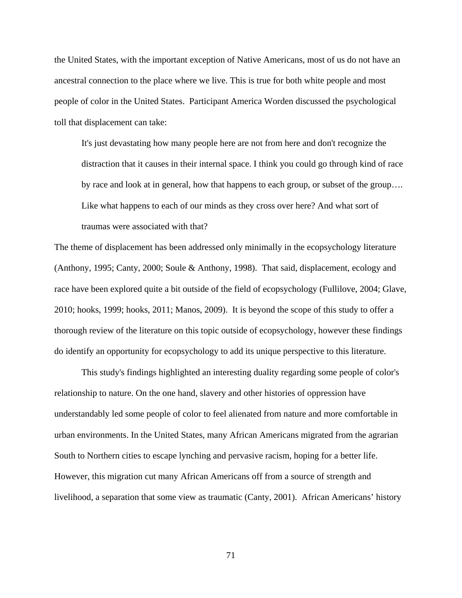the United States, with the important exception of Native Americans, most of us do not have an ancestral connection to the place where we live. This is true for both white people and most people of color in the United States. Participant America Worden discussed the psychological toll that displacement can take:

It's just devastating how many people here are not from here and don't recognize the distraction that it causes in their internal space. I think you could go through kind of race by race and look at in general, how that happens to each group, or subset of the group…. Like what happens to each of our minds as they cross over here? And what sort of traumas were associated with that?

The theme of displacement has been addressed only minimally in the ecopsychology literature (Anthony, 1995; Canty, 2000; Soule & Anthony, 1998). That said, displacement, ecology and race have been explored quite a bit outside of the field of ecopsychology (Fullilove, 2004; Glave, 2010; hooks, 1999; hooks, 2011; Manos, 2009). It is beyond the scope of this study to offer a thorough review of the literature on this topic outside of ecopsychology, however these findings do identify an opportunity for ecopsychology to add its unique perspective to this literature.

This study's findings highlighted an interesting duality regarding some people of color's relationship to nature. On the one hand, slavery and other histories of oppression have understandably led some people of color to feel alienated from nature and more comfortable in urban environments. In the United States, many African Americans migrated from the agrarian South to Northern cities to escape lynching and pervasive racism, hoping for a better life. However, this migration cut many African Americans off from a source of strength and livelihood, a separation that some view as traumatic (Canty, 2001). African Americans' history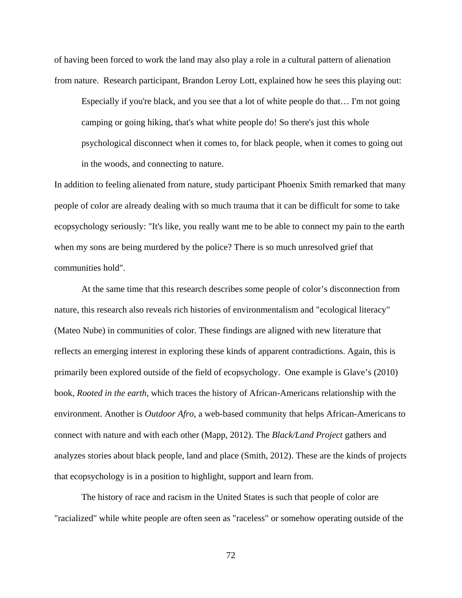of having been forced to work the land may also play a role in a cultural pattern of alienation from nature. Research participant, Brandon Leroy Lott, explained how he sees this playing out:

Especially if you're black, and you see that a lot of white people do that… I'm not going camping or going hiking, that's what white people do! So there's just this whole psychological disconnect when it comes to, for black people, when it comes to going out in the woods, and connecting to nature.

In addition to feeling alienated from nature, study participant Phoenix Smith remarked that many people of color are already dealing with so much trauma that it can be difficult for some to take ecopsychology seriously: "It's like, you really want me to be able to connect my pain to the earth when my sons are being murdered by the police? There is so much unresolved grief that communities hold".

At the same time that this research describes some people of color's disconnection from nature, this research also reveals rich histories of environmentalism and "ecological literacy" (Mateo Nube) in communities of color. These findings are aligned with new literature that reflects an emerging interest in exploring these kinds of apparent contradictions. Again, this is primarily been explored outside of the field of ecopsychology. One example is Glave's (2010) book, *Rooted in the earth,* which traces the history of African-Americans relationship with the environment. Another is *Outdoor Afro*, a web-based community that helps African-Americans to connect with nature and with each other (Mapp, 2012). The *Black/Land Project* gathers and analyzes stories about black people, land and place (Smith, 2012). These are the kinds of projects that ecopsychology is in a position to highlight, support and learn from.

The history of race and racism in the United States is such that people of color are "racialized" while white people are often seen as "raceless" or somehow operating outside of the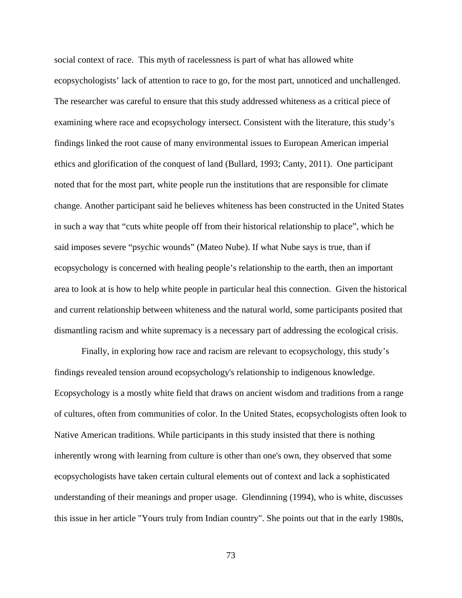social context of race. This myth of racelessness is part of what has allowed white ecopsychologists' lack of attention to race to go, for the most part, unnoticed and unchallenged. The researcher was careful to ensure that this study addressed whiteness as a critical piece of examining where race and ecopsychology intersect. Consistent with the literature, this study's findings linked the root cause of many environmental issues to European American imperial ethics and glorification of the conquest of land (Bullard, 1993; Canty, 2011). One participant noted that for the most part, white people run the institutions that are responsible for climate change. Another participant said he believes whiteness has been constructed in the United States in such a way that "cuts white people off from their historical relationship to place", which he said imposes severe "psychic wounds" (Mateo Nube). If what Nube says is true, than if ecopsychology is concerned with healing people's relationship to the earth, then an important area to look at is how to help white people in particular heal this connection. Given the historical and current relationship between whiteness and the natural world, some participants posited that dismantling racism and white supremacy is a necessary part of addressing the ecological crisis.

Finally, in exploring how race and racism are relevant to ecopsychology, this study's findings revealed tension around ecopsychology's relationship to indigenous knowledge. Ecopsychology is a mostly white field that draws on ancient wisdom and traditions from a range of cultures, often from communities of color. In the United States, ecopsychologists often look to Native American traditions. While participants in this study insisted that there is nothing inherently wrong with learning from culture is other than one's own, they observed that some ecopsychologists have taken certain cultural elements out of context and lack a sophisticated understanding of their meanings and proper usage. Glendinning (1994), who is white, discusses this issue in her article "Yours truly from Indian country". She points out that in the early 1980s,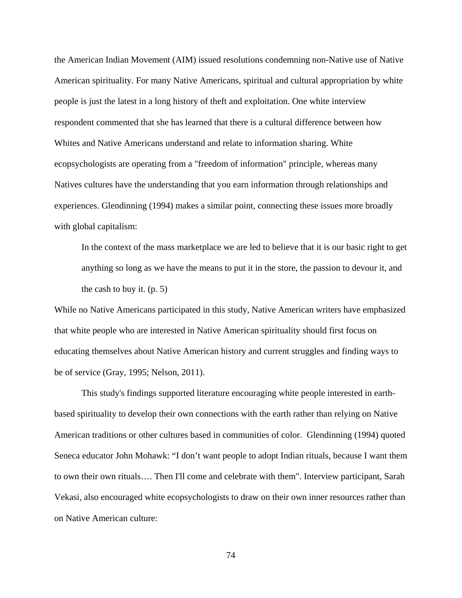the American Indian Movement (AIM) issued resolutions condemning non-Native use of Native American spirituality. For many Native Americans, spiritual and cultural appropriation by white people is just the latest in a long history of theft and exploitation. One white interview respondent commented that she has learned that there is a cultural difference between how Whites and Native Americans understand and relate to information sharing. White ecopsychologists are operating from a "freedom of information" principle, whereas many Natives cultures have the understanding that you earn information through relationships and experiences. Glendinning (1994) makes a similar point, connecting these issues more broadly with global capitalism:

In the context of the mass marketplace we are led to believe that it is our basic right to get anything so long as we have the means to put it in the store, the passion to devour it, and the cash to buy it. (p. 5)

While no Native Americans participated in this study, Native American writers have emphasized that white people who are interested in Native American spirituality should first focus on educating themselves about Native American history and current struggles and finding ways to be of service (Gray, 1995; Nelson, 2011).

 This study's findings supported literature encouraging white people interested in earthbased spirituality to develop their own connections with the earth rather than relying on Native American traditions or other cultures based in communities of color. Glendinning (1994) quoted Seneca educator John Mohawk: "I don't want people to adopt Indian rituals, because I want them to own their own rituals…. Then I'll come and celebrate with them". Interview participant, Sarah Vekasi, also encouraged white ecopsychologists to draw on their own inner resources rather than on Native American culture: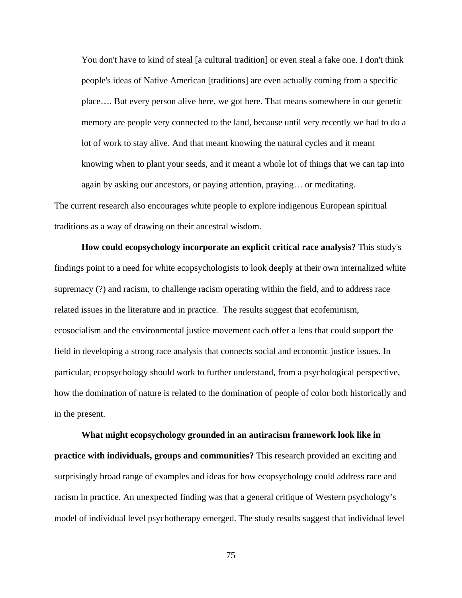You don't have to kind of steal [a cultural tradition] or even steal a fake one. I don't think people's ideas of Native American [traditions] are even actually coming from a specific place…. But every person alive here, we got here. That means somewhere in our genetic memory are people very connected to the land, because until very recently we had to do a lot of work to stay alive. And that meant knowing the natural cycles and it meant knowing when to plant your seeds, and it meant a whole lot of things that we can tap into again by asking our ancestors, or paying attention, praying… or meditating. The current research also encourages white people to explore indigenous European spiritual

traditions as a way of drawing on their ancestral wisdom.

**How could ecopsychology incorporate an explicit critical race analysis?** This study's findings point to a need for white ecopsychologists to look deeply at their own internalized white supremacy (?) and racism, to challenge racism operating within the field, and to address race related issues in the literature and in practice. The results suggest that ecofeminism, ecosocialism and the environmental justice movement each offer a lens that could support the field in developing a strong race analysis that connects social and economic justice issues. In particular, ecopsychology should work to further understand, from a psychological perspective, how the domination of nature is related to the domination of people of color both historically and in the present.

**What might ecopsychology grounded in an antiracism framework look like in practice with individuals, groups and communities?** This research provided an exciting and surprisingly broad range of examples and ideas for how ecopsychology could address race and racism in practice. An unexpected finding was that a general critique of Western psychology's model of individual level psychotherapy emerged. The study results suggest that individual level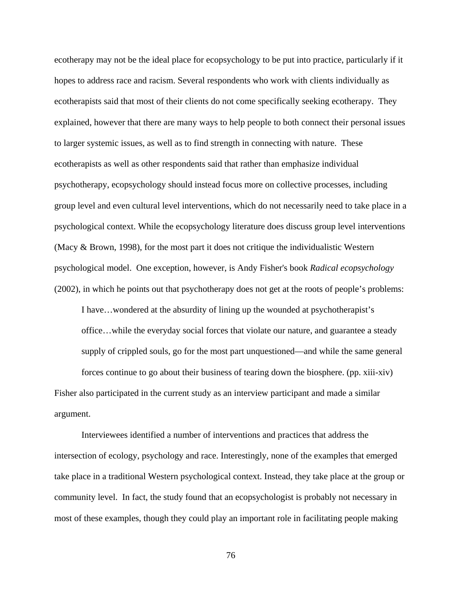ecotherapy may not be the ideal place for ecopsychology to be put into practice, particularly if it hopes to address race and racism. Several respondents who work with clients individually as ecotherapists said that most of their clients do not come specifically seeking ecotherapy. They explained, however that there are many ways to help people to both connect their personal issues to larger systemic issues, as well as to find strength in connecting with nature. These ecotherapists as well as other respondents said that rather than emphasize individual psychotherapy, ecopsychology should instead focus more on collective processes, including group level and even cultural level interventions, which do not necessarily need to take place in a psychological context. While the ecopsychology literature does discuss group level interventions (Macy & Brown, 1998), for the most part it does not critique the individualistic Western psychological model. One exception, however, is Andy Fisher's book *Radical ecopsychology* (2002), in which he points out that psychotherapy does not get at the roots of people's problems:

I have…wondered at the absurdity of lining up the wounded at psychotherapist's office…while the everyday social forces that violate our nature, and guarantee a steady supply of crippled souls, go for the most part unquestioned—and while the same general forces continue to go about their business of tearing down the biosphere. (pp. xiii-xiv)

Fisher also participated in the current study as an interview participant and made a similar argument.

Interviewees identified a number of interventions and practices that address the intersection of ecology, psychology and race. Interestingly, none of the examples that emerged take place in a traditional Western psychological context. Instead, they take place at the group or community level. In fact, the study found that an ecopsychologist is probably not necessary in most of these examples, though they could play an important role in facilitating people making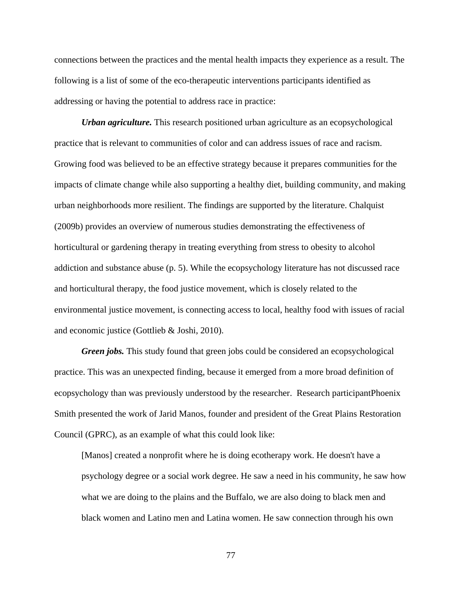connections between the practices and the mental health impacts they experience as a result. The following is a list of some of the eco-therapeutic interventions participants identified as addressing or having the potential to address race in practice:

*Urban agriculture.* This research positioned urban agriculture as an ecopsychological practice that is relevant to communities of color and can address issues of race and racism. Growing food was believed to be an effective strategy because it prepares communities for the impacts of climate change while also supporting a healthy diet, building community, and making urban neighborhoods more resilient. The findings are supported by the literature. Chalquist (2009b) provides an overview of numerous studies demonstrating the effectiveness of horticultural or gardening therapy in treating everything from stress to obesity to alcohol addiction and substance abuse (p. 5). While the ecopsychology literature has not discussed race and horticultural therapy, the food justice movement, which is closely related to the environmental justice movement, is connecting access to local, healthy food with issues of racial and economic justice (Gottlieb & Joshi, 2010).

*Green jobs.* This study found that green jobs could be considered an ecopsychological practice. This was an unexpected finding, because it emerged from a more broad definition of ecopsychology than was previously understood by the researcher. Research participantPhoenix Smith presented the work of Jarid Manos, founder and president of the Great Plains Restoration Council (GPRC), as an example of what this could look like:

[Manos] created a nonprofit where he is doing ecotherapy work. He doesn't have a psychology degree or a social work degree. He saw a need in his community, he saw how what we are doing to the plains and the Buffalo, we are also doing to black men and black women and Latino men and Latina women. He saw connection through his own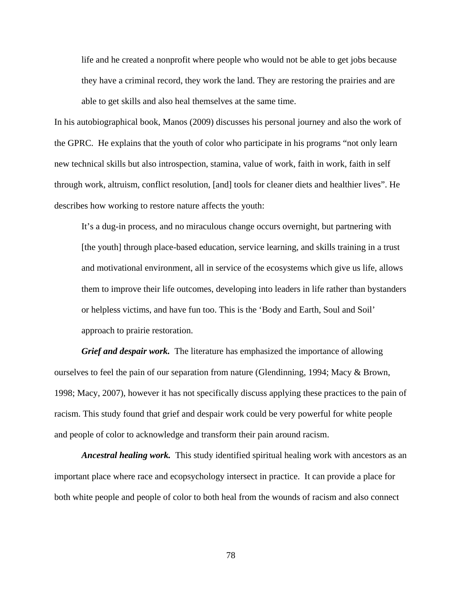life and he created a nonprofit where people who would not be able to get jobs because they have a criminal record, they work the land. They are restoring the prairies and are able to get skills and also heal themselves at the same time.

In his autobiographical book, Manos (2009) discusses his personal journey and also the work of the GPRC. He explains that the youth of color who participate in his programs "not only learn new technical skills but also introspection, stamina, value of work, faith in work, faith in self through work, altruism, conflict resolution, [and] tools for cleaner diets and healthier lives". He describes how working to restore nature affects the youth:

It's a dug-in process, and no miraculous change occurs overnight, but partnering with [the youth] through place-based education, service learning, and skills training in a trust and motivational environment, all in service of the ecosystems which give us life, allows them to improve their life outcomes, developing into leaders in life rather than bystanders or helpless victims, and have fun too. This is the 'Body and Earth, Soul and Soil' approach to prairie restoration.

*Grief and despair work.* The literature has emphasized the importance of allowing ourselves to feel the pain of our separation from nature (Glendinning, 1994; Macy & Brown, 1998; Macy, 2007), however it has not specifically discuss applying these practices to the pain of racism. This study found that grief and despair work could be very powerful for white people and people of color to acknowledge and transform their pain around racism.

*Ancestral healing work.* This study identified spiritual healing work with ancestors as an important place where race and ecopsychology intersect in practice. It can provide a place for both white people and people of color to both heal from the wounds of racism and also connect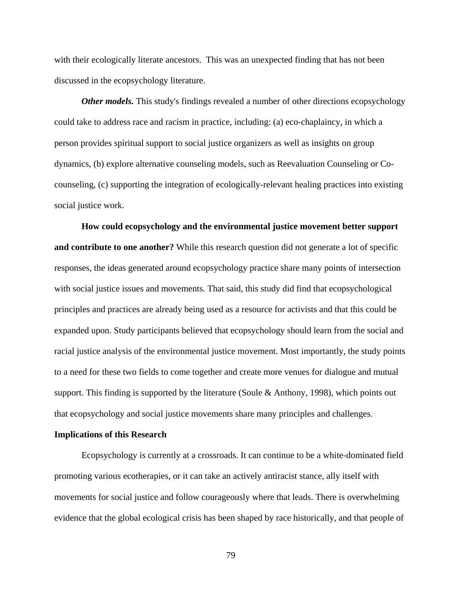with their ecologically literate ancestors. This was an unexpected finding that has not been discussed in the ecopsychology literature.

*Other models.* This study's findings revealed a number of other directions ecopsychology could take to address race and racism in practice, including: (a) eco-chaplaincy, in which a person provides spiritual support to social justice organizers as well as insights on group dynamics, (b) explore alternative counseling models, such as Reevaluation Counseling or Cocounseling, (c) supporting the integration of ecologically-relevant healing practices into existing social justice work.

**How could ecopsychology and the environmental justice movement better support and contribute to one another?** While this research question did not generate a lot of specific responses, the ideas generated around ecopsychology practice share many points of intersection with social justice issues and movements. That said, this study did find that ecopsychological principles and practices are already being used as a resource for activists and that this could be expanded upon. Study participants believed that ecopsychology should learn from the social and racial justice analysis of the environmental justice movement. Most importantly, the study points to a need for these two fields to come together and create more venues for dialogue and mutual support. This finding is supported by the literature (Soule & Anthony, 1998), which points out that ecopsychology and social justice movements share many principles and challenges.

#### **Implications of this Research**

Ecopsychology is currently at a crossroads. It can continue to be a white-dominated field promoting various ecotherapies, or it can take an actively antiracist stance, ally itself with movements for social justice and follow courageously where that leads. There is overwhelming evidence that the global ecological crisis has been shaped by race historically, and that people of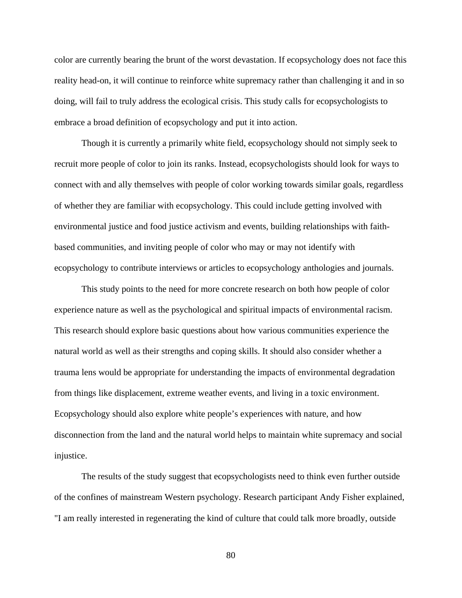color are currently bearing the brunt of the worst devastation. If ecopsychology does not face this reality head-on, it will continue to reinforce white supremacy rather than challenging it and in so doing, will fail to truly address the ecological crisis. This study calls for ecopsychologists to embrace a broad definition of ecopsychology and put it into action.

Though it is currently a primarily white field, ecopsychology should not simply seek to recruit more people of color to join its ranks. Instead, ecopsychologists should look for ways to connect with and ally themselves with people of color working towards similar goals, regardless of whether they are familiar with ecopsychology. This could include getting involved with environmental justice and food justice activism and events, building relationships with faithbased communities, and inviting people of color who may or may not identify with ecopsychology to contribute interviews or articles to ecopsychology anthologies and journals.

This study points to the need for more concrete research on both how people of color experience nature as well as the psychological and spiritual impacts of environmental racism. This research should explore basic questions about how various communities experience the natural world as well as their strengths and coping skills. It should also consider whether a trauma lens would be appropriate for understanding the impacts of environmental degradation from things like displacement, extreme weather events, and living in a toxic environment. Ecopsychology should also explore white people's experiences with nature, and how disconnection from the land and the natural world helps to maintain white supremacy and social injustice.

The results of the study suggest that ecopsychologists need to think even further outside of the confines of mainstream Western psychology. Research participant Andy Fisher explained, "I am really interested in regenerating the kind of culture that could talk more broadly, outside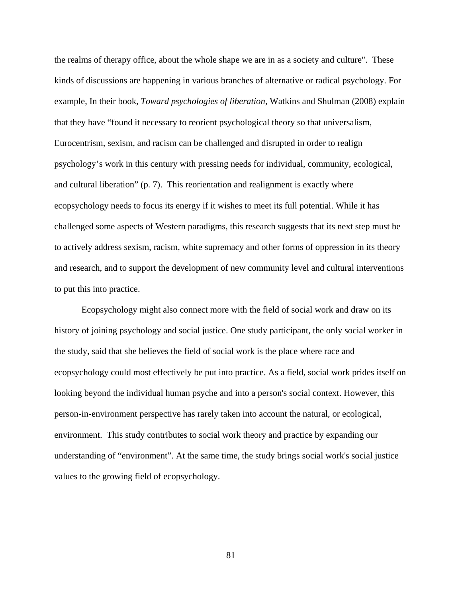the realms of therapy office, about the whole shape we are in as a society and culture". These kinds of discussions are happening in various branches of alternative or radical psychology. For example, In their book, *Toward psychologies of liberation*, Watkins and Shulman (2008) explain that they have "found it necessary to reorient psychological theory so that universalism, Eurocentrism, sexism, and racism can be challenged and disrupted in order to realign psychology's work in this century with pressing needs for individual, community, ecological, and cultural liberation" (p. 7). This reorientation and realignment is exactly where ecopsychology needs to focus its energy if it wishes to meet its full potential. While it has challenged some aspects of Western paradigms, this research suggests that its next step must be to actively address sexism, racism, white supremacy and other forms of oppression in its theory and research, and to support the development of new community level and cultural interventions to put this into practice.

Ecopsychology might also connect more with the field of social work and draw on its history of joining psychology and social justice. One study participant, the only social worker in the study, said that she believes the field of social work is the place where race and ecopsychology could most effectively be put into practice. As a field, social work prides itself on looking beyond the individual human psyche and into a person's social context. However, this person-in-environment perspective has rarely taken into account the natural, or ecological, environment. This study contributes to social work theory and practice by expanding our understanding of "environment". At the same time, the study brings social work's social justice values to the growing field of ecopsychology.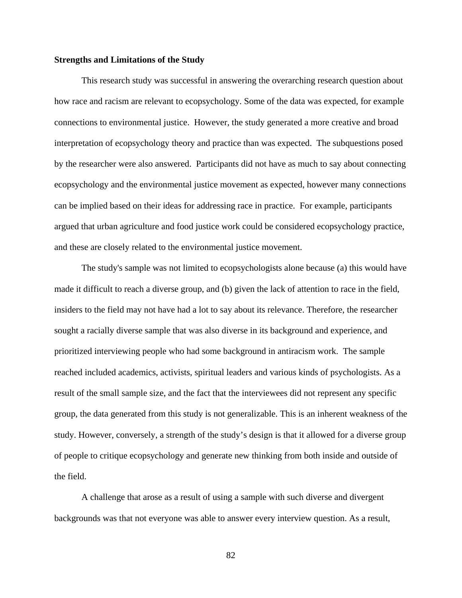#### **Strengths and Limitations of the Study**

This research study was successful in answering the overarching research question about how race and racism are relevant to ecopsychology. Some of the data was expected, for example connections to environmental justice. However, the study generated a more creative and broad interpretation of ecopsychology theory and practice than was expected. The subquestions posed by the researcher were also answered. Participants did not have as much to say about connecting ecopsychology and the environmental justice movement as expected, however many connections can be implied based on their ideas for addressing race in practice. For example, participants argued that urban agriculture and food justice work could be considered ecopsychology practice, and these are closely related to the environmental justice movement.

The study's sample was not limited to ecopsychologists alone because (a) this would have made it difficult to reach a diverse group, and (b) given the lack of attention to race in the field, insiders to the field may not have had a lot to say about its relevance. Therefore, the researcher sought a racially diverse sample that was also diverse in its background and experience, and prioritized interviewing people who had some background in antiracism work. The sample reached included academics, activists, spiritual leaders and various kinds of psychologists. As a result of the small sample size, and the fact that the interviewees did not represent any specific group, the data generated from this study is not generalizable. This is an inherent weakness of the study. However, conversely, a strength of the study's design is that it allowed for a diverse group of people to critique ecopsychology and generate new thinking from both inside and outside of the field.

A challenge that arose as a result of using a sample with such diverse and divergent backgrounds was that not everyone was able to answer every interview question. As a result,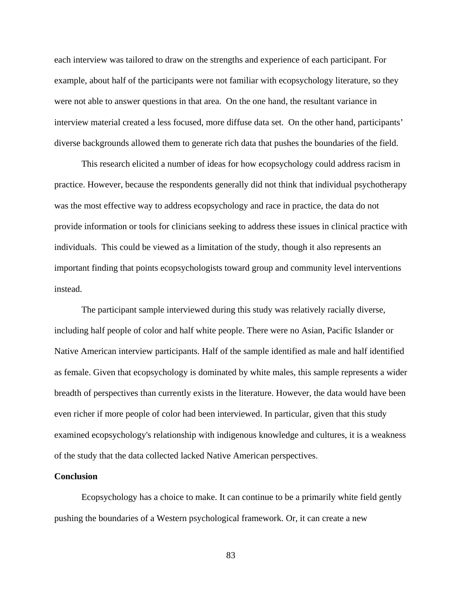each interview was tailored to draw on the strengths and experience of each participant. For example, about half of the participants were not familiar with ecopsychology literature, so they were not able to answer questions in that area. On the one hand, the resultant variance in interview material created a less focused, more diffuse data set. On the other hand, participants' diverse backgrounds allowed them to generate rich data that pushes the boundaries of the field.

This research elicited a number of ideas for how ecopsychology could address racism in practice. However, because the respondents generally did not think that individual psychotherapy was the most effective way to address ecopsychology and race in practice, the data do not provide information or tools for clinicians seeking to address these issues in clinical practice with individuals. This could be viewed as a limitation of the study, though it also represents an important finding that points ecopsychologists toward group and community level interventions instead.

The participant sample interviewed during this study was relatively racially diverse, including half people of color and half white people. There were no Asian, Pacific Islander or Native American interview participants. Half of the sample identified as male and half identified as female. Given that ecopsychology is dominated by white males, this sample represents a wider breadth of perspectives than currently exists in the literature. However, the data would have been even richer if more people of color had been interviewed. In particular, given that this study examined ecopsychology's relationship with indigenous knowledge and cultures, it is a weakness of the study that the data collected lacked Native American perspectives.

#### **Conclusion**

Ecopsychology has a choice to make. It can continue to be a primarily white field gently pushing the boundaries of a Western psychological framework. Or, it can create a new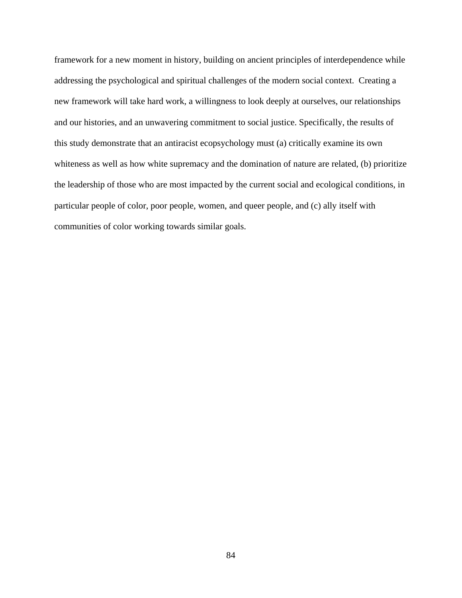framework for a new moment in history, building on ancient principles of interdependence while addressing the psychological and spiritual challenges of the modern social context. Creating a new framework will take hard work, a willingness to look deeply at ourselves, our relationships and our histories, and an unwavering commitment to social justice. Specifically, the results of this study demonstrate that an antiracist ecopsychology must (a) critically examine its own whiteness as well as how white supremacy and the domination of nature are related, (b) prioritize the leadership of those who are most impacted by the current social and ecological conditions, in particular people of color, poor people, women, and queer people, and (c) ally itself with communities of color working towards similar goals.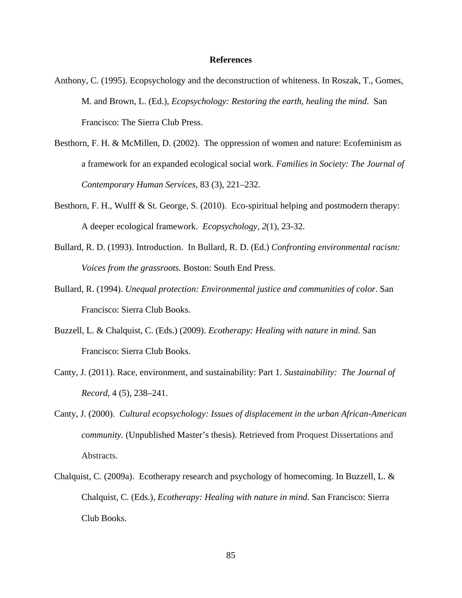#### **References**

- Anthony, C. (1995). Ecopsychology and the deconstruction of whiteness. In Roszak, T., Gomes, M. and Brown, L. (Ed.), *Ecopsychology: Restoring the earth, healing the mind*. San Francisco: The Sierra Club Press.
- Besthorn, F. H. & McMillen, D. (2002). The oppression of women and nature: Ecofeminism as a framework for an expanded ecological social work. *Families in Society: The Journal of Contemporary Human Services*, 83 (3), 221–232.
- Besthorn, F. H., Wulff & St. George, S. (2010). Eco-spiritual helping and postmodern therapy: A deeper ecological framework. *Ecopsychology, 2*(1), 23-32.
- Bullard, R. D. (1993). Introduction. In Bullard, R. D. (Ed.) *Confronting environmental racism: Voices from the grassroots.* Boston: South End Press.
- Bullard, R. (1994). *Unequal protection: Environmental justice and communities of color.* San Francisco: Sierra Club Books.
- Buzzell, L. & Chalquist, C. (Eds.) (2009). *Ecotherapy: Healing with nature in mind.* San Francisco: Sierra Club Books.
- Canty, J. (2011). Race, environment, and sustainability: Part 1. *Sustainability: The Journal of Record*, 4 (5), 238–241.
- Canty, J. (2000). *Cultural ecopsychology: Issues of displacement in the urban African-American community.* (Unpublished Master's thesis). Retrieved from Proquest Dissertations and Abstracts.
- Chalquist, C. (2009a). Ecotherapy research and psychology of homecoming. In Buzzell, L. & Chalquist, C. (Eds.), *Ecotherapy: Healing with nature in mind.* San Francisco: Sierra Club Books.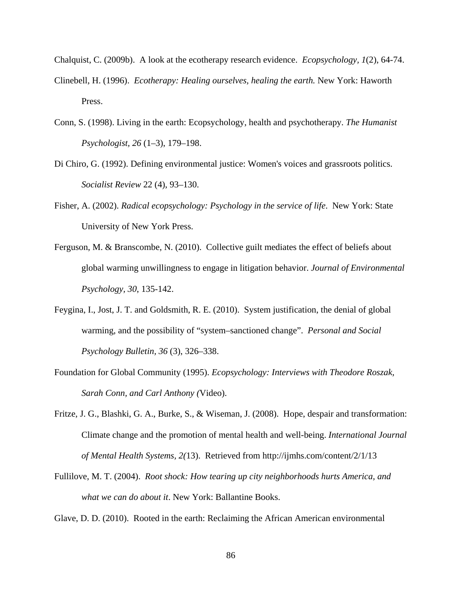Chalquist, C. (2009b). A look at the ecotherapy research evidence. *Ecopsychology, 1*(2), 64-74.

- Clinebell, H. (1996). *Ecotherapy: Healing ourselves, healing the earth.* New York: Haworth Press.
- Conn, S. (1998). Living in the earth: Ecopsychology, health and psychotherapy. *The Humanist Psychologist, 26* (1–3), 179–198.
- Di Chiro, G. (1992). Defining environmental justice: Women's voices and grassroots politics. *Socialist Review* 22 (4), 93–130.
- Fisher, A. (2002). *Radical ecopsychology: Psychology in the service of life*. New York: State University of New York Press.
- Ferguson, M. & Branscombe, N. (2010). Collective guilt mediates the effect of beliefs about global warming unwillingness to engage in litigation behavior. *Journal of Environmental Psychology, 30*, 135-142.
- Feygina, I., Jost, J. T. and Goldsmith, R. E. (2010). System justification, the denial of global warming, and the possibility of "system–sanctioned change". *Personal and Social Psychology Bulletin, 36* (3), 326–338.
- Foundation for Global Community (1995). *Ecopsychology: Interviews with Theodore Roszak, Sarah Conn, and Carl Anthony (*Video).
- Fritze, J. G., Blashki, G. A., Burke, S., & Wiseman, J. (2008). Hope, despair and transformation: Climate change and the promotion of mental health and well-being. *International Journal of Mental Health Systems, 2(*13). Retrieved from http://ijmhs.com/content/2/1/13
- Fullilove, M. T. (2004). *Root shock: How tearing up city neighborhoods hurts America, and what we can do about it*. New York: Ballantine Books.

Glave, D. D. (2010). Rooted in the earth: Reclaiming the African American environmental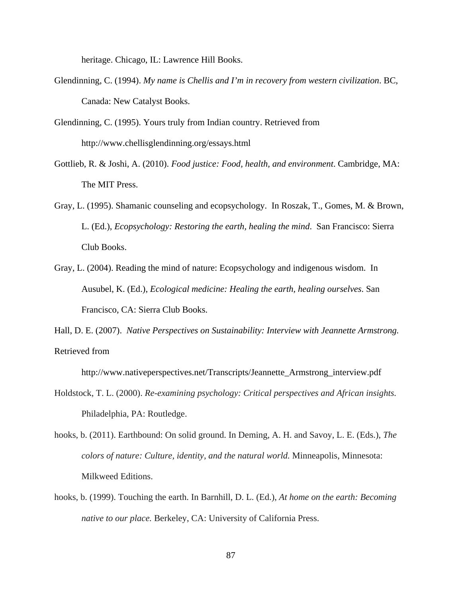heritage. Chicago, IL: Lawrence Hill Books.

- Glendinning, C. (1994). *My name is Chellis and I'm in recovery from western civilization*. BC, Canada: New Catalyst Books.
- Glendinning, C. (1995). Yours truly from Indian country. Retrieved from http://www.chellisglendinning.org/essays.html
- Gottlieb, R. & Joshi, A. (2010). *Food justice: Food, health, and environment*. Cambridge, MA: The MIT Press.
- Gray, L. (1995). Shamanic counseling and ecopsychology. In Roszak, T., Gomes, M. & Brown, L. (Ed.), *Ecopsychology: Restoring the earth, healing the mind*. San Francisco: Sierra Club Books.
- Gray, L. (2004). Reading the mind of nature: Ecopsychology and indigenous wisdom. In Ausubel, K. (Ed.), *Ecological medicine: Healing the earth, healing ourselves*. San Francisco, CA: Sierra Club Books.
- Hall, D. E. (2007). *Native Perspectives on Sustainability: Interview with Jeannette Armstrong.* Retrieved from

http://www.nativeperspectives.net/Transcripts/Jeannette\_Armstrong\_interview.pdf

- Holdstock, T. L. (2000). *Re-examining psychology: Critical perspectives and African insights.*  Philadelphia, PA: Routledge.
- hooks, b. (2011). Earthbound: On solid ground. In Deming, A. H. and Savoy, L. E. (Eds.), *The colors of nature: Culture, identity, and the natural world.* Minneapolis, Minnesota: Milkweed Editions.
- hooks, b. (1999). Touching the earth. In Barnhill, D. L. (Ed.), *At home on the earth: Becoming native to our place.* Berkeley, CA: University of California Press.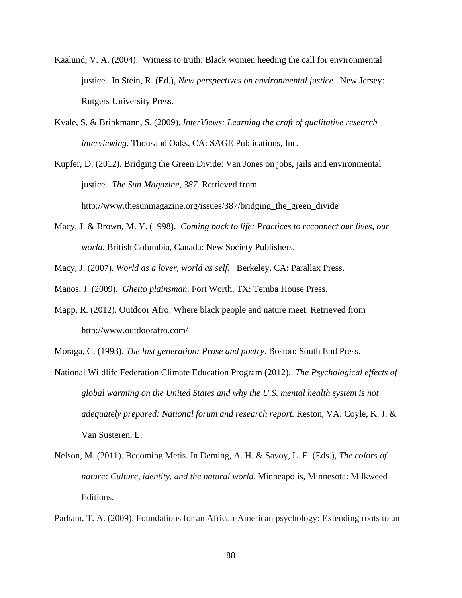- Kaalund, V. A. (2004). Witness to truth: Black women heeding the call for environmental justice. In Stein, R. (Ed.), *New perspectives on environmental justice.* New Jersey: Rutgers University Press.
- Kvale, S. & Brinkmann, S. (2009). *InterViews: Learning the craft of qualitative research interviewing*. Thousand Oaks, CA: SAGE Publications, Inc.

Kupfer, D. (2012). Bridging the Green Divide: Van Jones on jobs, jails and environmental justice. *The Sun Magazine, 387.* Retrieved from http://www.thesunmagazine.org/issues/387/bridging\_the\_green\_divide

- Macy, J. & Brown, M. Y. (1998). *Coming back to life: Practices to reconnect our lives, our world.* British Columbia, Canada: New Society Publishers.
- Macy, J. (2007). *World as a lover, world as self.* Berkeley, CA: Parallax Press.

Manos, J. (2009). *Ghetto plainsman*. Fort Worth, TX: Temba House Press.

Mapp, R. (2012). Outdoor Afro: Where black people and nature meet. Retrieved from http://www.outdoorafro.com/

Moraga, C. (1993). *The last generation: Prose and poetry*. Boston: South End Press.

- National Wildlife Federation Climate Education Program (2012). *The Psychological effects of global warming on the United States and why the U.S. mental health system is not adequately prepared: National forum and research report.* Reston, VA: Coyle, K. J. & Van Susteren, L.
- Nelson, M. (2011). Becoming Metis. In Deming, A. H. & Savoy, L. E. (Eds.), *The colors of nature: Culture, identity, and the natural world.* Minneapolis, Minnesota: Milkweed Editions.

Parham, T. A. (2009). Foundations for an African-American psychology: Extending roots to an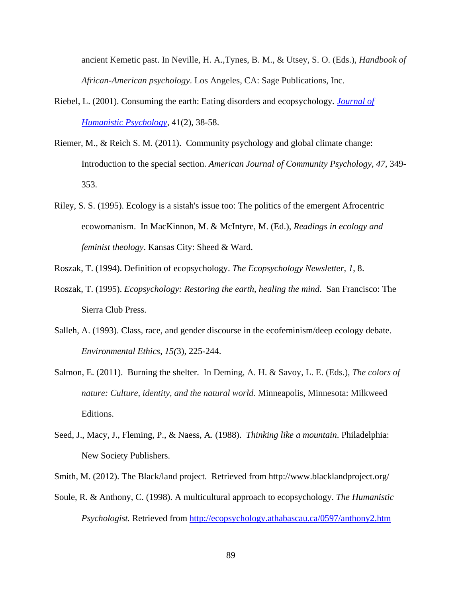ancient Kemetic past. In Neville, H. A.,Tynes, B. M., & Utsey, S. O. (Eds.), *Handbook of African-American psychology*. Los Angeles, CA: Sage Publications, Inc.

- Riebel, L. (2001). Consuming the earth: Eating disorders and ecopsychology*. Journal of Humanistic Psychology*, 41(2), 38-58.
- Riemer, M., & Reich S. M. (2011). Community psychology and global climate change: Introduction to the special section. *American Journal of Community Psychology, 47,* 349- 353.
- Riley, S. S. (1995). Ecology is a sistah's issue too: The politics of the emergent Afrocentric ecowomanism. In MacKinnon, M. & McIntyre, M. (Ed.), *Readings in ecology and feminist theology*. Kansas City: Sheed & Ward.

Roszak, T. (1994). Definition of ecopsychology. *The Ecopsychology Newsletter, 1*, 8.

- Roszak, T. (1995). *Ecopsychology: Restoring the earth, healing the mind*. San Francisco: The Sierra Club Press.
- Salleh, A. (1993). Class, race, and gender discourse in the ecofeminism/deep ecology debate. *Environmental Ethics*, *15(*3), 225-244.
- Salmon, E. (2011). Burning the shelter. In Deming, A. H. & Savoy, L. E. (Eds.), *The colors of nature: Culture, identity, and the natural world.* Minneapolis, Minnesota: Milkweed Editions.
- Seed, J., Macy, J., Fleming, P., & Naess, A. (1988). *Thinking like a mountain*. Philadelphia: New Society Publishers.

Smith, M. (2012). The Black/land project. Retrieved from http://www.blacklandproject.org/

Soule, R. & Anthony, C. (1998). A multicultural approach to ecopsychology. *The Humanistic Psychologist.* Retrieved from http://ecopsychology.athabascau.ca/0597/anthony2.htm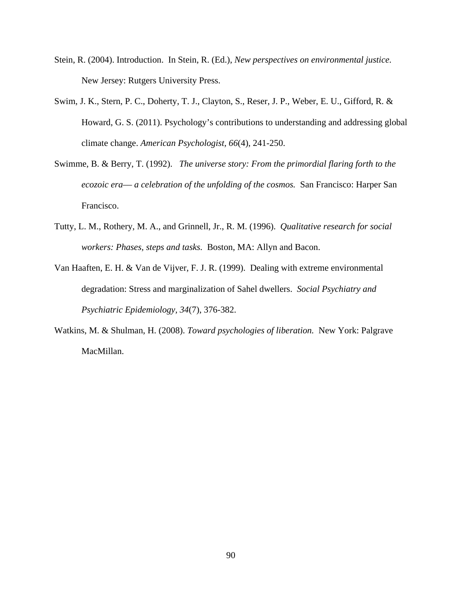- Stein, R. (2004). Introduction. In Stein, R. (Ed.), *New perspectives on environmental justice.*  New Jersey: Rutgers University Press.
- Swim, J. K., Stern, P. C., Doherty, T. J., Clayton, S., Reser, J. P., Weber, E. U., Gifford, R. & Howard, G. S. (2011). Psychology's contributions to understanding and addressing global climate change. *American Psychologist, 66*(4), 241-250.
- Swimme, B. & Berry, T. (1992). *The universe story: From the primordial flaring forth to the ecozoic era–– a celebration of the unfolding of the cosmos.* San Francisco: Harper San Francisco.
- Tutty, L. M., Rothery, M. A., and Grinnell, Jr., R. M. (1996). *Qualitative research for social workers: Phases, steps and tasks.* Boston, MA: Allyn and Bacon.
- Van Haaften, E. H. & Van de Vijver, F. J. R. (1999). Dealing with extreme environmental degradation: Stress and marginalization of Sahel dwellers. *Social Psychiatry and Psychiatric Epidemiology, 34*(7), 376-382.
- Watkins, M. & Shulman, H. (2008). *Toward psychologies of liberation.* New York: Palgrave MacMillan.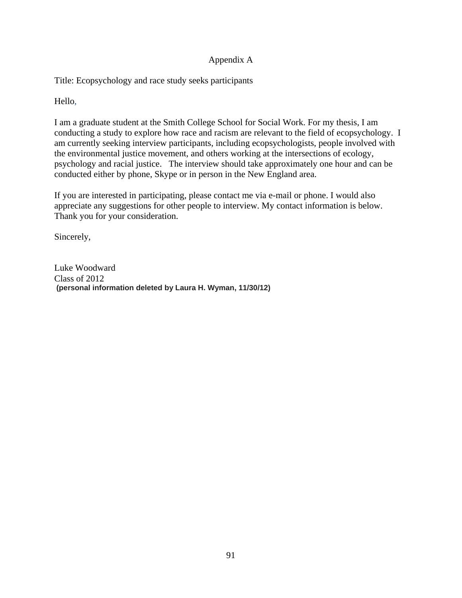### Appendix A

Title: Ecopsychology and race study seeks participants

Hello,

I am a graduate student at the Smith College School for Social Work. For my thesis, I am conducting a study to explore how race and racism are relevant to the field of ecopsychology. I am currently seeking interview participants, including ecopsychologists, people involved with the environmental justice movement, and others working at the intersections of ecology, psychology and racial justice. The interview should take approximately one hour and can be conducted either by phone, Skype or in person in the New England area.

If you are interested in participating, please contact me via e-mail or phone. I would also appreciate any suggestions for other people to interview. My contact information is below. Thank you for your consideration.

Sincerely,

Luke Woodward Class of 2012  **(personal information deleted by Laura H. Wyman, 11/30/12)**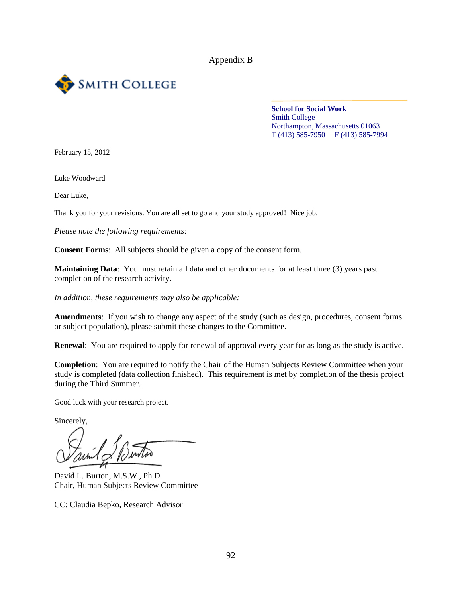

**School for Social Work**  Smith College Northampton, Massachusetts 01063 T (413) 585-7950 F (413) 585-7994

February 15, 2012

Luke Woodward

Dear Luke,

Thank you for your revisions. You are all set to go and your study approved! Nice job.

*Please note the following requirements:* 

**Consent Forms**: All subjects should be given a copy of the consent form.

**Maintaining Data**: You must retain all data and other documents for at least three (3) years past completion of the research activity.

*In addition, these requirements may also be applicable:* 

**Amendments**: If you wish to change any aspect of the study (such as design, procedures, consent forms or subject population), please submit these changes to the Committee.

**Renewal**: You are required to apply for renewal of approval every year for as long as the study is active.

**Completion:** You are required to notify the Chair of the Human Subjects Review Committee when your study is completed (data collection finished). This requirement is met by completion of the thesis project during the Third Summer.

Good luck with your research project.

Sincerely,

David L. Burton, M.S.W., Ph.D. Chair, Human Subjects Review Committee

CC: Claudia Bepko, Research Advisor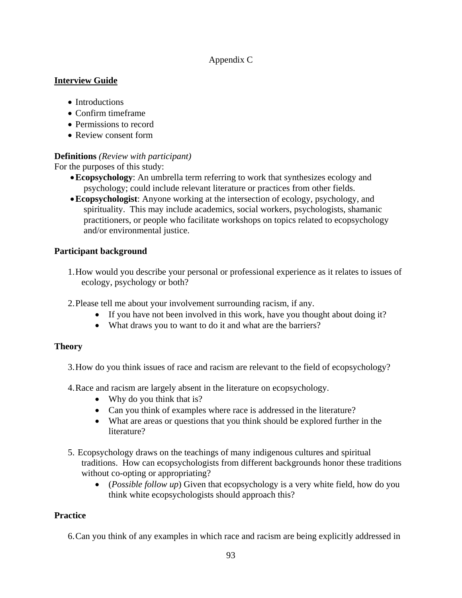## Appendix C

### **Interview Guide**

- Introductions
- Confirm timeframe
- Permissions to record
- Review consent form

## **Definitions** *(Review with participant)*

For the purposes of this study:

- **Ecopsychology**: An umbrella term referring to work that synthesizes ecology and psychology; could include relevant literature or practices from other fields.
- **Ecopsychologist**: Anyone working at the intersection of ecology, psychology, and spirituality. This may include academics, social workers, psychologists, shamanic practitioners, or people who facilitate workshops on topics related to ecopsychology and/or environmental justice.

# **Participant background**

- 1.How would you describe your personal or professional experience as it relates to issues of ecology, psychology or both?
- 2.Please tell me about your involvement surrounding racism, if any.
	- If you have not been involved in this work, have you thought about doing it?
	- What draws you to want to do it and what are the barriers?

### **Theory**

- 3.How do you think issues of race and racism are relevant to the field of ecopsychology?
- 4.Race and racism are largely absent in the literature on ecopsychology.
	- Why do you think that is?
	- Can you think of examples where race is addressed in the literature?
	- What are areas or questions that you think should be explored further in the literature?
- 5. Ecopsychology draws on the teachings of many indigenous cultures and spiritual traditions. How can ecopsychologists from different backgrounds honor these traditions without co-opting or appropriating?
	- (*Possible follow up*) Given that ecopsychology is a very white field, how do you think white ecopsychologists should approach this?

# **Practice**

6.Can you think of any examples in which race and racism are being explicitly addressed in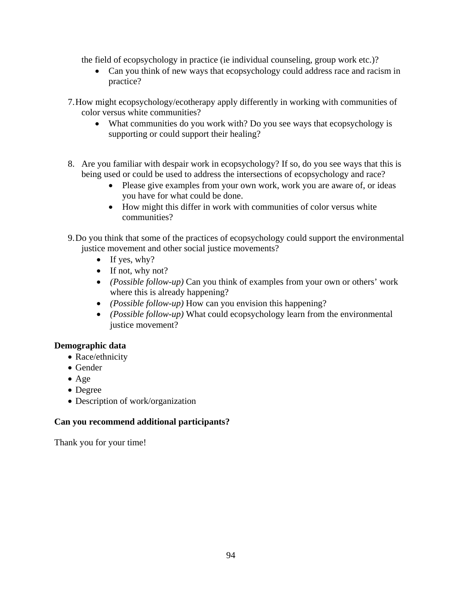the field of ecopsychology in practice (ie individual counseling, group work etc.)?

- Can you think of new ways that ecopsychology could address race and racism in practice?
- 7.How might ecopsychology/ecotherapy apply differently in working with communities of color versus white communities?
	- What communities do you work with? Do you see ways that ecopsychology is supporting or could support their healing?
- 8. Are you familiar with despair work in ecopsychology? If so, do you see ways that this is being used or could be used to address the intersections of ecopsychology and race?
	- Please give examples from your own work, work you are aware of, or ideas you have for what could be done.
	- How might this differ in work with communities of color versus white communities?
- 9.Do you think that some of the practices of ecopsychology could support the environmental justice movement and other social justice movements?
	- $\bullet$  If yes, why?
	- $\bullet$  If not, why not?
	- *(Possible follow-up)* Can you think of examples from your own or others' work where this is already happening?
	- *(Possible follow-up)* How can you envision this happening?
	- *(Possible follow-up)* What could ecopsychology learn from the environmental justice movement?

# **Demographic data**

- Race/ethnicity
- Gender
- $\bullet$  Age
- Degree
- Description of work/organization

# **Can you recommend additional participants?**

Thank you for your time!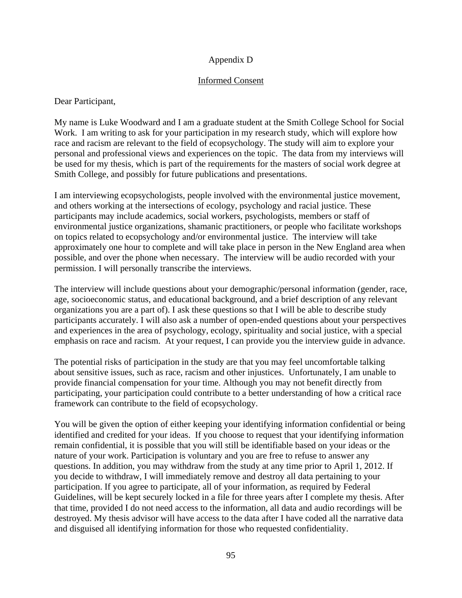### Appendix D

### Informed Consent

Dear Participant,

My name is Luke Woodward and I am a graduate student at the Smith College School for Social Work. I am writing to ask for your participation in my research study, which will explore how race and racism are relevant to the field of ecopsychology. The study will aim to explore your personal and professional views and experiences on the topic. The data from my interviews will be used for my thesis, which is part of the requirements for the masters of social work degree at Smith College, and possibly for future publications and presentations.

I am interviewing ecopsychologists, people involved with the environmental justice movement, and others working at the intersections of ecology, psychology and racial justice. These participants may include academics, social workers, psychologists, members or staff of environmental justice organizations, shamanic practitioners, or people who facilitate workshops on topics related to ecopsychology and/or environmental justice. The interview will take approximately one hour to complete and will take place in person in the New England area when possible, and over the phone when necessary. The interview will be audio recorded with your permission. I will personally transcribe the interviews.

The interview will include questions about your demographic/personal information (gender, race, age, socioeconomic status, and educational background, and a brief description of any relevant organizations you are a part of). I ask these questions so that I will be able to describe study participants accurately. I will also ask a number of open-ended questions about your perspectives and experiences in the area of psychology, ecology, spirituality and social justice, with a special emphasis on race and racism. At your request, I can provide you the interview guide in advance.

The potential risks of participation in the study are that you may feel uncomfortable talking about sensitive issues, such as race, racism and other injustices. Unfortunately, I am unable to provide financial compensation for your time. Although you may not benefit directly from participating, your participation could contribute to a better understanding of how a critical race framework can contribute to the field of ecopsychology.

You will be given the option of either keeping your identifying information confidential or being identified and credited for your ideas. If you choose to request that your identifying information remain confidential, it is possible that you will still be identifiable based on your ideas or the nature of your work. Participation is voluntary and you are free to refuse to answer any questions. In addition, you may withdraw from the study at any time prior to April 1, 2012. If you decide to withdraw, I will immediately remove and destroy all data pertaining to your participation. If you agree to participate, all of your information, as required by Federal Guidelines, will be kept securely locked in a file for three years after I complete my thesis. After that time, provided I do not need access to the information, all data and audio recordings will be destroyed. My thesis advisor will have access to the data after I have coded all the narrative data and disguised all identifying information for those who requested confidentiality.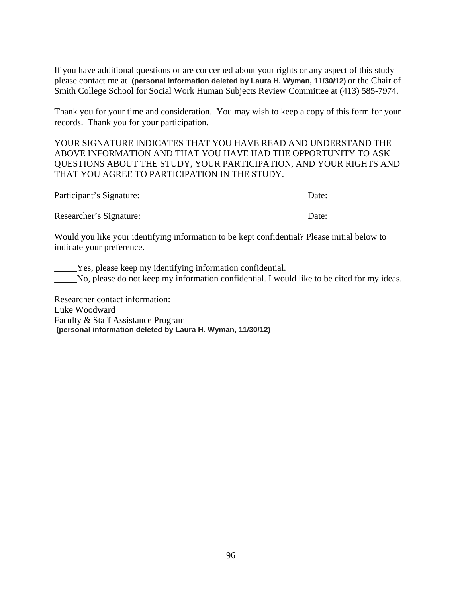If you have additional questions or are concerned about your rights or any aspect of this study please contact me at **(personal information deleted by Laura H. Wyman, 11/30/12)** or the Chair of Smith College School for Social Work Human Subjects Review Committee at (413) 585-7974.

Thank you for your time and consideration. You may wish to keep a copy of this form for your records. Thank you for your participation.

YOUR SIGNATURE INDICATES THAT YOU HAVE READ AND UNDERSTAND THE ABOVE INFORMATION AND THAT YOU HAVE HAD THE OPPORTUNITY TO ASK QUESTIONS ABOUT THE STUDY, YOUR PARTICIPATION, AND YOUR RIGHTS AND THAT YOU AGREE TO PARTICIPATION IN THE STUDY.

| Participant's Signature: | Date: |
|--------------------------|-------|
| Researcher's Signature:  | Date: |

Would you like your identifying information to be kept confidential? Please initial below to indicate your preference.

\_\_\_\_\_Yes, please keep my identifying information confidential. No, please do not keep my information confidential. I would like to be cited for my ideas.

Researcher contact information: Luke Woodward Faculty & Staff Assistance Program  **(personal information deleted by Laura H. Wyman, 11/30/12)**